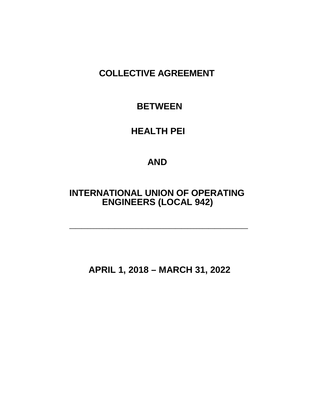# **COLLECTIVE AGREEMENT**

## **BETWEEN**

## **HEALTH PEI**

## **AND**

## **INTERNATIONAL UNION OF OPERATING ENGINEERS (LOCAL 942)**

**\_\_\_\_\_\_\_\_\_\_\_\_\_\_\_\_\_\_\_\_\_\_\_\_\_\_\_\_\_\_\_\_\_\_\_\_\_\_\_\_\_\_\_\_\_\_\_\_\_\_\_\_\_\_\_\_\_\_\_**

**APRIL 1, 2018 – MARCH 31, 2022**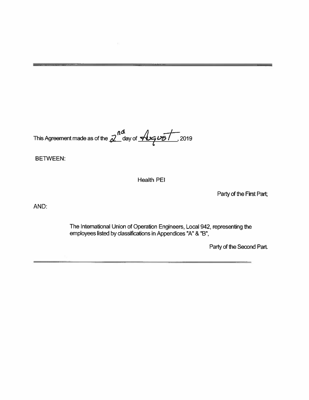This Agreement made as of the  $2^{nd}$  day of  $\overline{\mathcal{A}_{\mathcal{I}}\omega_{\mathcal{D}}}/2019$ 

**BETWEEN:** 

**Health PEI** 

Party of the First Part;

AND:

The International Union of Operation Engineers, Local 942, representing the employees listed by classifications in Appendices "A" & "B",

Party of the Second Part.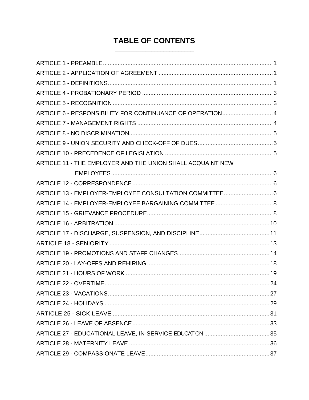## **TABLE OF CONTENTS**

| ARTICLE 6 - RESPONSIBILITY FOR CONTINUANCE OF OPERATION 4  |  |
|------------------------------------------------------------|--|
|                                                            |  |
|                                                            |  |
|                                                            |  |
|                                                            |  |
| ARTICLE 11 - THE EMPLOYER AND THE UNION SHALL ACQUAINT NEW |  |
|                                                            |  |
|                                                            |  |
|                                                            |  |
|                                                            |  |
|                                                            |  |
|                                                            |  |
|                                                            |  |
|                                                            |  |
|                                                            |  |
|                                                            |  |
|                                                            |  |
|                                                            |  |
|                                                            |  |
|                                                            |  |
|                                                            |  |
|                                                            |  |
|                                                            |  |
|                                                            |  |
|                                                            |  |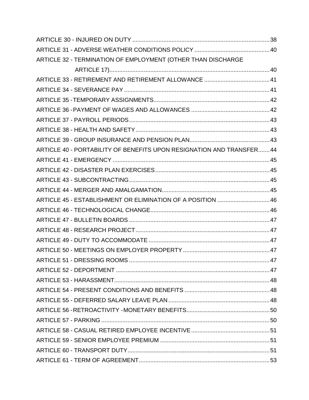| ARTICLE 32 - TERMINATION OF EMPLOYMENT (OTHER THAN DISCHARGE          |  |
|-----------------------------------------------------------------------|--|
|                                                                       |  |
|                                                                       |  |
|                                                                       |  |
|                                                                       |  |
|                                                                       |  |
|                                                                       |  |
|                                                                       |  |
|                                                                       |  |
| ARTICLE 40 - PORTABILITY OF BENEFITS UPON RESIGNATION AND TRANSFER 44 |  |
|                                                                       |  |
|                                                                       |  |
|                                                                       |  |
|                                                                       |  |
| ARTICLE 45 - ESTABLISHMENT OR ELIMINATION OF A POSITION  46           |  |
|                                                                       |  |
|                                                                       |  |
|                                                                       |  |
|                                                                       |  |
|                                                                       |  |
|                                                                       |  |
|                                                                       |  |
|                                                                       |  |
|                                                                       |  |
|                                                                       |  |
|                                                                       |  |
|                                                                       |  |
|                                                                       |  |
|                                                                       |  |
|                                                                       |  |
|                                                                       |  |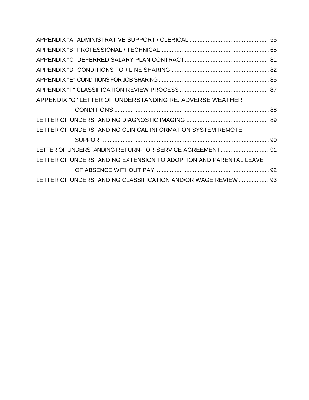| APPENDIX "G" LETTER OF UNDERSTANDING RE: ADVERSE WEATHER         |  |
|------------------------------------------------------------------|--|
|                                                                  |  |
|                                                                  |  |
| LETTER OF UNDERSTANDING CLINICAL INFORMATION SYSTEM REMOTE       |  |
|                                                                  |  |
| LETTER OF UNDERSTANDING RETURN-FOR-SERVICE AGREEMENT 91          |  |
| LETTER OF UNDERSTANDING EXTENSION TO ADOPTION AND PARENTAL LEAVE |  |
|                                                                  |  |
| LETTER OF UNDERSTANDING CLASSIFICATION AND/OR WAGE REVIEW  93    |  |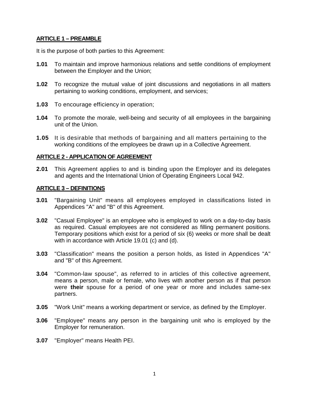## <span id="page-6-0"></span>**ARTICLE 1 – PREAMBLE**

It is the purpose of both parties to this Agreement:

- **1.01** To maintain and improve harmonious relations and settle conditions of employment between the Employer and the Union;
- **1.02** To recognize the mutual value of joint discussions and negotiations in all matters pertaining to working conditions, employment, and services;
- **1.03** To encourage efficiency in operation;
- **1.04** To promote the morale, well-being and security of all employees in the bargaining unit of the Union.
- **1.05** It is desirable that methods of bargaining and all matters pertaining to the working conditions of the employees be drawn up in a Collective Agreement.

## <span id="page-6-1"></span>**ARTICLE 2 - APPLICATION OF AGREEMENT**

**2.01** This Agreement applies to and is binding upon the Employer and its delegates and agents and the International Union of Operating Engineers Local 942.

## <span id="page-6-2"></span>**ARTICLE 3 – DEFINITIONS**

- **3.01** "Bargaining Unit" means all employees employed in classifications listed in Appendices "A" and "B" of this Agreement.
- **3.02** "Casual Employee" is an employee who is employed to work on a day-to-day basis as required. Casual employees are not considered as filling permanent positions. Temporary positions which exist for a period of six (6) weeks or more shall be dealt with in accordance with Article 19.01 (c) and (d).
- **3.03** "Classification" means the position a person holds, as listed in Appendices "A" and "B" of this Agreement.
- **3.04** "Common-law spouse", as referred to in articles of this collective agreement, means a person, male or female, who lives with another person as if that person were **their** spouse for a period of one year or more and includes same-sex partners.
- **3.05** "Work Unit" means a working department or service, as defined by the Employer.
- **3.06** "Employee" means any person in the bargaining unit who is employed by the Employer for remuneration.
- **3.07** "Employer" means Health PEI.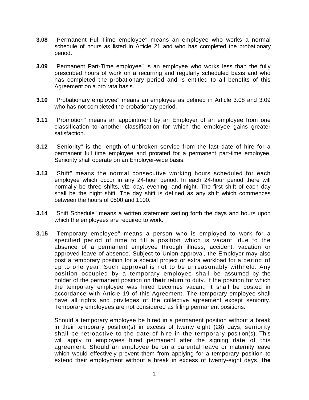- **3.08** "Permanent Full-Time employee" means an employee who works a normal schedule of hours as listed in Article 21 and who has completed the probationary period.
- **3.09** "Permanent Part-Time employee" is an employee who works less than the fully prescribed hours of work on a recurring and regularly scheduled basis and who has completed the probationary period and is entitled to all benefits of this Agreement on a pro rata basis.
- **3.10** "Probationary employee" means an employee as defined in Article 3.08 and 3.09 who has not completed the probationary period.
- **3.11** "Promotion" means an appointment by an Employer of an employee from one classification to another classification for which the employee gains greater satisfaction.
- **3.12** "Seniority" is the length of unbroken service from the last date of hire for a permanent full time employee and prorated for a permanent part-time employee. Seniority shall operate on an Employer-wide basis.
- **3.13** "Shift" means the normal consecutive working hours scheduled for each employee which occur in any 24-hour period. In each 24-hour period there will normally be three shifts, viz, day, evening, and night. The first shift of each day shall be the night shift. The day shift is defined as any shift which commences between the hours of 0500 and 1100.
- **3.14** "Shift Schedule" means a written statement setting forth the days and hours upon which the employees are required to work.
- **3.15** "Temporary employee" means a person who is employed to work for a specified period of time to fill a position which is vacant, due to the absence of a permanent employee through illness, accident, vacation or approved leave of absence. Subject to Union approval, the Employer may also post a temporary position for a special project or extra workload for a period of up to one year. Such approval is not to be unreasonably withheld. Any position occupied by a temporary employee shall be assumed by the holder of the permanent position on **their** return to duty. If the position for which the temporary employee was hired becomes vacant, it shall be posted in accordance with Article 19 of this Agreement. The temporary employee shall have all rights and privileges of the collective agreement except seniority. Temporary employees are not considered as filling permanent positions.

Should a temporary employee be hired in a permanent position without a break in their temporary position(s) in excess of twenty eight (28) days, seniority shall be retroactive to the date of hire in the temporary position(s). This will apply to employees hired permanent after the signing date of this agreement. Should an employee be on a parental leave or maternity leave which would effectively prevent them from applying for a temporary position to extend their employment without a break in excess of twenty-eight days, **the**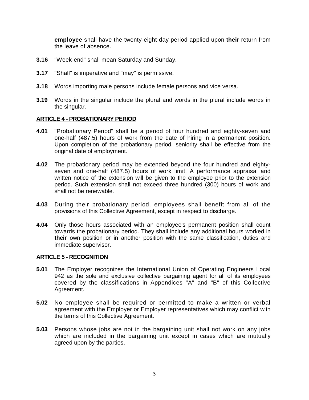**employee** shall have the twenty-eight day period applied upon **their** return from the leave of absence.

- **3.16** "Week-end" shall mean Saturday and Sunday.
- **3.17** "Shall" is imperative and "may" is permissive.
- **3.18** Words importing male persons include female persons and vice versa.
- **3.19** Words in the singular include the plural and words in the plural include words in the singular.

## <span id="page-8-0"></span>**ARTICLE 4 - PROBATIONARY PERIOD**

- **4.01** "Probationary Period" shall be a period of four hundred and eighty-seven and one-half (487.5) hours of work from the date of hiring in a permanent position. Upon completion of the probationary period, seniority shall be effective from the original date of employment.
- **4.02** The probationary period may be extended beyond the four hundred and eightyseven and one-half (487.5) hours of work limit. A performance appraisal and written notice of the extension will be given to the employee prior to the extension period. Such extension shall not exceed three hundred (300) hours of work and shall not be renewable.
- **4.03** During their probationary period, employees shall benefit from all of the provisions of this Collective Agreement, except in respect to discharge.
- **4.04** Only those hours associated with an employee's permanent position shall count towards the probationary period. They shall include any additional hours worked in **their** own position or in another position with the same classification, duties and immediate supervisor.

## <span id="page-8-1"></span>**ARTICLE 5 - RECOGNITION**

- **5.01** The Employer recognizes the International Union of Operating Engineers Local 942 as the sole and exclusive collective bargaining agent for all of its employees covered by the classifications in Appendices "A" and "B" of this Collective Agreement.
- **5.02** No employee shall be required or permitted to make a written or verbal agreement with the Employer or Employer representatives which may conflict with the terms of this Collective Agreement.
- **5.03** Persons whose jobs are not in the bargaining unit shall not work on any jobs which are included in the bargaining unit except in cases which are mutually agreed upon by the parties.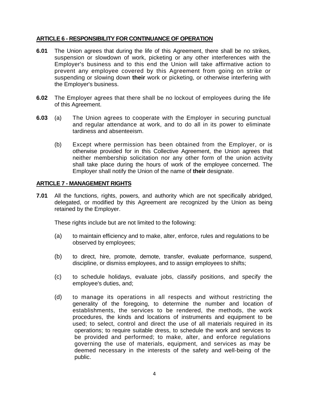## <span id="page-9-0"></span>**ARTICLE 6 - RESPONSIBILITY FOR CONTINUANCE OF OPERATION**

- **6.01** The Union agrees that during the life of this Agreement, there shall be no strikes, suspension or slowdown of work, picketing or any other interferences with the Employer's business and to this end the Union will take affirmative action to prevent any employee covered by this Agreement from going on strike or suspending or slowing down **their** work or picketing, or otherwise interfering with the Employer's business.
- **6.02** The Employer agrees that there shall be no lockout of employees during the life of this Agreement.
- **6.03** (a) The Union agrees to cooperate with the Employer in securing punctual and regular attendance at work, and to do all in its power to eliminate tardiness and absenteeism.
	- (b) Except where permission has been obtained from the Employer, or is otherwise provided for in this Collective Agreement, the Union agrees that neither membership solicitation nor any other form of the union activity shall take place during the hours of work of the employee concerned. The Employer shall notify the Union of the name of **their** designate.

## <span id="page-9-1"></span>**ARTICLE 7 - MANAGEMENT RIGHTS**

**7.01** All the functions, rights, powers, and authority which are not specifically abridged, delegated, or modified by this Agreement are recognized by the Union as being retained by the Employer.

These rights include but are not limited to the following:

- (a) to maintain efficiency and to make, alter, enforce, rules and regulations to be observed by employees;
- (b) to direct, hire, promote, demote, transfer, evaluate performance, suspend, discipline, or dismiss employees, and to assign employees to shifts;
- (c) to schedule holidays, evaluate jobs, classify positions, and specify the employee's duties, and;
- (d) to manage its operations in all respects and without restricting the generality of the foregoing, to determine the number and location of establishments, the services to be rendered, the methods, the work procedures, the kinds and locations of instruments and equipment to be used; to select, control and direct the use of all materials required in its operations; to require suitable dress, to schedule the work and services to be provided and performed; to make, alter, and enforce regulations governing the use of materials, equipment, and services as may be deemed necessary in the interests of the safety and well-being of the public.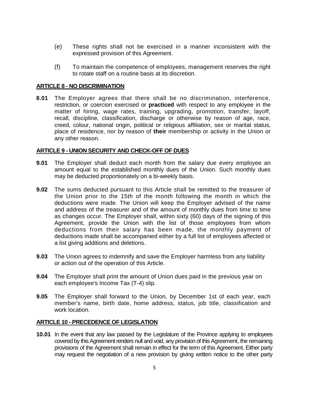- (e) These rights shall not be exercised in a manner inconsistent with the expressed provision of this Agreement.
- (f) To maintain the competence of employees, management reserves the right to rotate staff on a routine basis at its discretion.

## <span id="page-10-0"></span>**ARTICLE 8 - NO DISCRIMINATION**

**8.01** The Employer agrees that there shall be no discrimination, interference, restriction, or coercion exercised or **practiced** with respect to any employee in the matter of hiring, wage rates, training, upgrading, promotion, transfer, layoff, recall, discipline, classification, discharge or otherwise by reason of age, race, creed, colour, national origin, political or religious affiliation, sex or marital status, place of residence, nor by reason of **their** membership or activity in the Union or any other reason.

## <span id="page-10-1"></span>**ARTICLE 9 - UNION SECURITY AND CHECK-OFF OF DUES**

- **9.01** The Employer shall deduct each month from the salary due every employee an amount equal to the established monthly dues of the Union. Such monthly dues may be deducted proportionately on a bi-weekly basis.
- **9.02** The sums deducted pursuant to this Article shall be remitted to the treasurer of the Union prior to the 15th of the month following the month in which the deductions were made. The Union will keep the Employer advised of the name and address of the treasurer and of the amount of monthly dues from time to time as changes occur. The Employer shall, within sixty (60) days of the signing of this Agreement, provide the Union with the list of those employees from whom deductions from their salary has been made, the monthly payment of deductions made shall be accompanied either by a full list of employees affected or a list giving additions and deletions.
- **9.03** The Union agrees to indemnify and save the Employer harmless from any liability or action out of the operation of this Article.
- **9.04** The Employer shall print the amount of Union dues paid in the previous year on each employee's Income Tax (T-4) slip.
- **9.05** The Employer shall forward to the Union, by December 1st of each year, each member's name, birth date, home address, status, job title, classification and work location.

## <span id="page-10-2"></span>**ARTICLE 10 - PRECEDENCE OF LEGISLATION**

**10.01** In the event that any law passed by the Legislature of the Province applying to employees covered by this Agreement renders null and void, any provision of this Agreement, the remaining provisions of the Agreement shall remain in effect for the term of this Agreement. Either party may request the negotiation of a new provision by giving written notice to the other party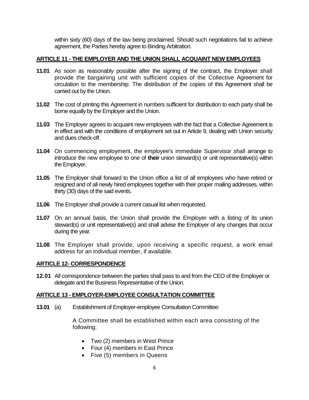within sixty (60) days of the law being proclaimed. Should such negotiations fail to achieve agreement, the Parties hereby agree to Binding Arbitration.

## <span id="page-11-0"></span>**ARTICLE 11 - THE EMPLOYER AND THE UNION SHALL ACQUAINT NEW EMPLOYEES**

- **11.01** As soon as reasonably possible after the signing of the contract, the Employer shall provide the bargaining unit with sufficient copies of the Collective Agreement for circulation to the membership. The distribution of the copies of this Agreement shall be carried out by the Union.
- **11.02** The cost of printing this Agreement in numbers sufficient for distribution to each party shall be borne equally by the Employer and the Union.
- **11.03** The Employer agrees to acquaint new employees with the fact that a Collective Agreement is in effect and with the conditions of employment set out in Article 9, dealing with Union security and dues check-off.
- **11.04** On commencing employment, the employee's immediate Supervisor shall arrange to introduce the new employee to one of **their** union steward(s) or unit representative(s) within the Employer.
- **11.05** The Employer shall forward to the Union office a list of all employees who have retired or resigned and of all newly hired employees together with their proper mailing addresses, within thirty (30) days of the said events.
- **11.06** The Employer shall provide a current casual list when requested.
- **11.07** On an annual basis, the Union shall provide the Employer with a listing of its union steward(s) or unit representative(s) and shall advise the Employer of any changes that occur during the year.
- **11.08** The Employer shall provide, upon receiving a specific request, a work email address for an individual member, if available.

## <span id="page-11-1"></span>**ARTICLE 12- CORRESPONDENCE**

**12.01** All correspondence between the parties shall pass to and from the CEO of the Employer or delegate and the Business Representative of the Union.

## <span id="page-11-2"></span>**ARTICLE 13 - EMPLOYER-EMPLOYEE CONSULTATION COMMITTEE**

**13.01** (a) Establishment of Employer-employee Consultation Committee:

A Committee shall be established within each area consisting of the following:

- Two (2) members in West Prince
- Four (4) members in East Prince
- Five (5) members in Queens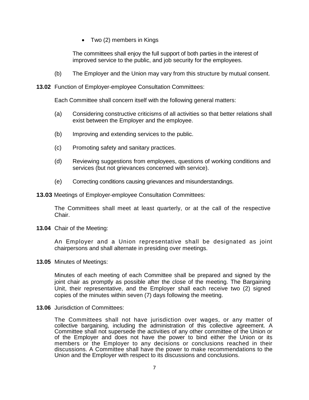• Two (2) members in Kings

The committees shall enjoy the full support of both parties in the interest of improved service to the public, and job security for the employees.

(b) The Employer and the Union may vary from this structure by mutual consent.

**13.02** Function of Employer-employee Consultation Committees:

Each Committee shall concern itself with the following general matters:

- (a) Considering constructive criticisms of all activities so that better relations shall exist between the Employer and the employee.
- (b) Improving and extending services to the public.
- (c) Promoting safety and sanitary practices.
- (d) Reviewing suggestions from employees, questions of working conditions and services (but not grievances concerned with service).
- (e) Correcting conditions causing grievances and misunderstandings.

**13.03** Meetings of Employer-employee Consultation Committees:

The Committees shall meet at least quarterly, or at the call of the respective Chair.

**13.04** Chair of the Meeting:

An Employer and a Union representative shall be designated as joint chairpersons and shall alternate in presiding over meetings.

**13.05** Minutes of Meetings:

Minutes of each meeting of each Committee shall be prepared and signed by the joint chair as promptly as possible after the close of the meeting. The Bargaining Unit, their representative, and the Employer shall each receive two (2) signed copies of the minutes within seven (7) days following the meeting.

**13.06** Jurisdiction of Committees:

The Committees shall not have jurisdiction over wages, or any matter of collective bargaining, including the administration of this collective agreement. A Committee shall not supersede the activities of any other committee of the Union or of the Employer and does not have the power to bind either the Union or its members or the Employer to any decisions or conclusions reached in their discussions. A Committee shall have the power to make recommendations to the Union and the Employer with respect to its discussions and conclusions.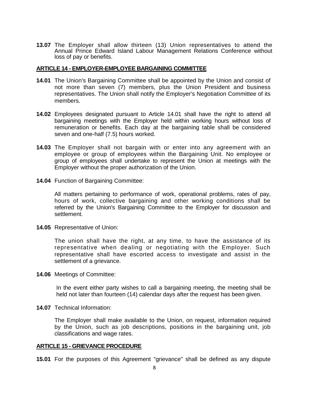**13.07** The Employer shall allow thirteen (13) Union representatives to attend the Annual Prince Edward Island Labour Management Relations Conference without loss of pay or benefits.

#### <span id="page-13-0"></span>**ARTICLE 14 - EMPLOYER-EMPLOYEE BARGAINING COMMITTEE**

- **14.01** The Union's Bargaining Committee shall be appointed by the Union and consist of not more than seven (7) members, plus the Union President and business representatives. The Union shall notify the Employer's Negotiation Committee of its members.
- **14.02** Employees designated pursuant to Article 14.01 shall have the right to attend all bargaining meetings with the Employer held within working hours without loss of remuneration or benefits. Each day at the bargaining table shall be considered seven and one-half (7.5) hours worked.
- **14.03** The Employer shall not bargain with or enter into any agreement with an employee or group of employees within the Bargaining Unit. No employee or group of employees shall undertake to represent the Union at meetings with the Employer without the proper authorization of the Union.
- **14.04** Function of Bargaining Committee:

All matters pertaining to performance of work, operational problems, rates of pay, hours of work, collective bargaining and other working conditions shall be referred by the Union's Bargaining Committee to the Employer for discussion and settlement.

**14.05** Representative of Union:

The union shall have the right, at any time, to have the assistance of its representative when dealing or negotiating with the Employer. Such representative shall have escorted access to investigate and assist in the settlement of a grievance.

**14.06** Meetings of Committee:

In the event either party wishes to call a bargaining meeting, the meeting shall be held not later than fourteen (14) calendar days after the request has been given.

**14.07** Technical Information:

The Employer shall make available to the Union, on request, information required by the Union, such as job descriptions, positions in the bargaining unit, job classifications and wage rates.

#### <span id="page-13-1"></span>**ARTICLE 15 - GRIEVANCE PROCEDURE**

**15.01** For the purposes of this Agreement "grievance" shall be defined as any dispute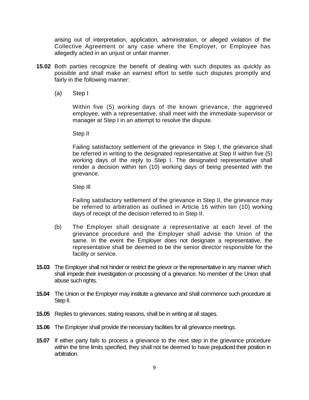arising out of interpretation, application, administration, or alleged violation of the Collective Agreement or any case where the Employer, or Employee has allegedly acted in an unjust or unfair manner.

- **15.02** Both parties recognize the benefit of dealing with such disputes as quickly as possible and shall make an earnest effort to settle such disputes promptly and fairly in the following manner:
	- (a) Step I

Within five (5) working days of the known grievance, the aggrieved employee, with a representative, shall meet with the immediate supervisor or manager at Step I in an attempt to resolve the dispute.

Step II

Failing satisfactory settlement of the grievance in Step I, the grievance shall be referred in writing to the designated representative at Step II within five (5) working days of the reply to Step I. The designated representative shall render a decision within ten (10) working days of being presented with the grievance.

Step Ill

Failing satisfactory settlement of the grievance in Step II, the grievance may be referred to arbitration as outlined in Article 16 within ten (10) working days of receipt of the decision referred to in Step II.

- (b) The Employer shall designate a representative at each level of the grievance procedure and the Employer shall advise the Union of the same. In the event the Employer does not designate a representative, the representative shall be deemed to be the senior director responsible for the facility or service.
- **15.03** The Employer shall not hinder or restrict the grievor or the representative in any manner which shall impede their investigation or processing of a grievance. No member of the Union shall abuse such rights.
- **15.04** The Union or the Employer may institute a grievance and shall commence such procedure at Step II.
- **15.05** Replies to grievances, stating reasons, shall be in writing at all stages.
- **15.06** The Employer shall provide the necessary facilities for all grievance meetings.
- **15.07** If either party fails to process a grievance to the next step in the grievance procedure within the time limits specified, they shall not be deemed to have prejudiced their position in arbitration.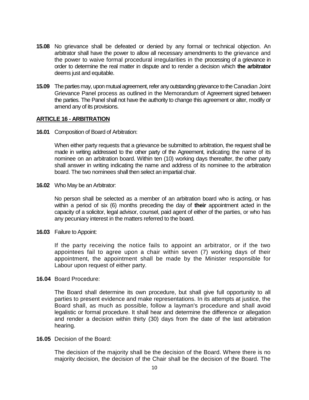- **15.08** No grievance shall be defeated or denied by any formal or technical objection. An arbitrator shall have the power to allow all necessary amendments to the grievance and the power to waive formal procedural irregularities in the processing of a grievance in order to determine the real matter in dispute and to render a decision which **the arbitrator**  deems just and equitable.
- **15.09** The parties may, upon mutual agreement, refer any outstanding grievance to the Canadian Joint Grievance Panel process as outlined in the Memorandum of Agreement signed between the parties. The Panel shall not have the authority to change this agreement or alter, modify or amend any of its provisions.

#### <span id="page-15-0"></span>**ARTICLE 16 - ARBITRATION**

**16.01** Composition of Board of Arbitration:

When either party requests that a grievance be submitted to arbitration, the request shall be made in writing addressed to the other party of the Agreement, indicating the name of its nominee on an arbitration board. Within ten (10) working days thereafter, the other party shall answer in writing indicating the name and address of its nominee to the arbitration board. The two nominees shall then select an impartial chair.

**16.02** Who May be an Arbitrator:

No person shall be selected as a member of an arbitration board who is acting, or has within a period of six (6) months preceding the day of **their** appointment acted in the capacity of a solicitor, legal advisor, counsel, paid agent of either of the parties, or who has any pecuniary interest in the matters referred to the board.

**16.03** Failure to Appoint:

If the party receiving the notice fails to appoint an arbitrator, or if the two appointees fail to agree upon a chair within seven (7) working days of their appointment, the appointment shall be made by the Minister responsible for Labour upon request of either party.

#### **16.04** Board Procedure:

The Board shall determine its own procedure, but shall give full opportunity to all parties to present evidence and make representations. In its attempts at justice, the Board shall, as much as possible, follow a layman's procedure and shall avoid legalistic or formal procedure. It shall hear and determine the difference or allegation and render a decision within thirty (30) days from the date of the last arbitration hearing.

**16.05** Decision of the Board:

The decision of the majority shall be the decision of the Board. Where there is no majority decision, the decision of the Chair shall be the decision of the Board. The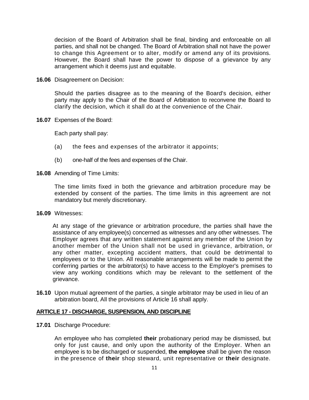decision of the Board of Arbitration shall be final, binding and enforceable on all parties, and shall not be changed. The Board of Arbitration shall not have the power to change this Agreement or to alter, modify or amend any of its provisions. However, the Board shall have the power to dispose of a grievance by any arrangement which it deems just and equitable.

**16.06** Disagreement on Decision:

Should the parties disagree as to the meaning of the Board's decision, either party may apply to the Chair of the Board of Arbitration to reconvene the Board to clarify the decision, which it shall do at the convenience of the Chair.

**16.07** Expenses of the Board:

Each party shall pay:

- (a) the fees and expenses of the arbitrator it appoints;
- (b) one-half of the fees and expenses of the Chair.
- **16.08** Amending of Time Limits:

The time limits fixed in both the grievance and arbitration procedure may be extended by consent of the parties. The time limits in this agreement are not mandatory but merely discretionary.

**16.09** Witnesses:

At any stage of the grievance or arbitration procedure, the parties shall have the assistance of any employee(s) concerned as witnesses and any other witnesses. The Employer agrees that any written statement against any member of the Union by another member of the Union shall not be used in grievance, arbitration, or any other matter, excepting accident matters, that could be detrimental to employees or to the Union. All reasonable arrangements will be made to permit the conferring parties or the arbitrator(s) to have access to the Employer's premises to view any working conditions which may be relevant to the settlement of the grievance.

**16.10** Upon mutual agreement of the parties, a single arbitrator may be used in lieu of an arbitration board, All the provisions of Article 16 shall apply.

#### <span id="page-16-0"></span>**ARTICLE 17 - DISCHARGE, SUSPENSION, AND DISCIPLINE**

**17.01** Discharge Procedure:

An employee who has completed **their** probationary period may be dismissed, but only for just cause, and only upon the authority of the Employer. When an employee is to be discharged or suspended, **the employee** shall be given the reason in the presence of **their** shop steward, unit representative or **their** designate.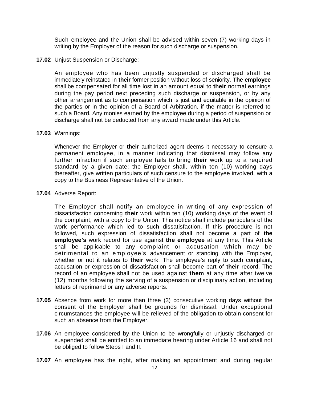Such employee and the Union shall be advised within seven (7) working days in writing by the Employer of the reason for such discharge or suspension.

#### **17.02** Unjust Suspension or Discharge:

An employee who has been unjustly suspended or discharged shall be immediately reinstated in **their** former position without loss of seniority. **The employee** shall be compensated for all time lost in an amount equal to **their** normal earnings during the pay period next preceding such discharge or suspension, or by any other arrangement as to compensation which is just and equitable in the opinion of the parties or in the opinion of a Board of Arbitration, if the matter is referred to such a Board. Any monies earned by the employee during a period of suspension or discharge shall not be deducted from any award made under this Article.

## **17.03** Warnings:

Whenever the Employer or **their** authorized agent deems it necessary to censure a permanent employee, in a manner indicating that dismissal may follow any further infraction if such employee fails to bring **their** work up to a required standard by a given date; the Employer shall, within ten (10) working days thereafter, give written particulars of such censure to the employee involved, with a copy to the Business Representative of the Union.

#### **17.04** Adverse Report:

The Employer shall notify an employee in writing of any expression of dissatisfaction concerning **their** work within ten (10) working days of the event of the complaint, with a copy to the Union. This notice shall include particulars of the work performance which led to such dissatisfaction. If this procedure is not followed, such expression of dissatisfaction shall not become a part of **the employee's** work record for use against **the employee** at any time. This Article shall be applicable to any complaint or accusation which may be detrimental to an employee's advancement or standing with the Employer, whether or not it relates to **their** work. The employee's reply to such complaint, accusation or expression of dissatisfaction shall become part of **their** record. The record of an employee shall not be used against **them** at any time after twelve (12) months following the serving of a suspension or disciplinary action, including letters of reprimand or any adverse reports.

- **17.05** Absence from work for more than three (3) consecutive working days without the consent of the Employer shall be grounds for dismissal. Under exceptional circumstances the employee will be relieved of the obligation to obtain consent for such an absence from the Employer.
- **17.06** An employee considered by the Union to be wrongfully or unjustly discharged or suspended shall be entitled to an immediate hearing under Article 16 and shall not be obliged to follow Steps I and II.
- **17.07** An employee has the right, after making an appointment and during regular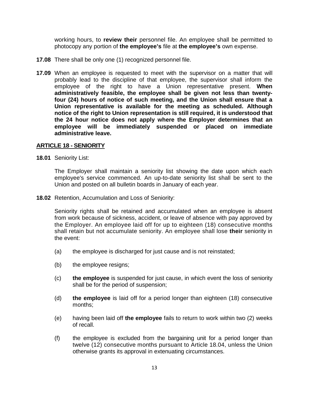working hours, to **review their** personnel file. An employee shall be permitted to photocopy any portion of **the employee's** file at **the employee's** own expense.

- **17.08** There shall be only one (1) recognized personnel file.
- **17.09** When an employee is requested to meet with the supervisor on a matter that will probably lead to the discipline of that employee, the supervisor shall inform the employee of the right to have a Union representative present. **When administratively feasible, the employee shall be given not less than twentyfour (24) hours of notice of such meeting, and the Union shall ensure that a Union representative is available for the meeting as scheduled. Although notice of the right to Union representation is still required, it is understood that the 24 hour notice does not apply where the Employer determines that an employee will be immediately suspended or placed on immediate administrative leave.**

## <span id="page-18-0"></span>**ARTICLE 18 - SENIORITY**

**18.01** Seniority List:

The Employer shall maintain a seniority list showing the date upon which each employee's service commenced. An up-to-date seniority list shall be sent to the Union and posted on all bulletin boards in January of each year.

**18.02** Retention, Accumulation and Loss of Seniority:

Seniority rights shall be retained and accumulated when an employee is absent from work because of sickness, accident, or leave of absence with pay approved by the Employer. An employee laid off for up to eighteen (18) consecutive months shall retain but not accumulate seniority. An employee shall lose **their** seniority in the event:

- (a) the employee is discharged for just cause and is not reinstated;
- (b) the employee resigns;
- (c) **the employee** is suspended for just cause, in which event the loss of seniority shall be for the period of suspension;
- (d) **the employee** is laid off for a period longer than eighteen (18) consecutive months;
- (e) having been laid off **the employee** fails to return to work within two (2) weeks of recall.
- (f) the employee is excluded from the bargaining unit for a period longer than twelve (12) consecutive months pursuant to Article 18.04, unless the Union otherwise grants its approval in extenuating circumstances.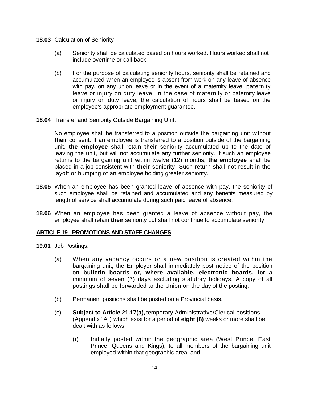- **18.03** Calculation of Seniority
	- (a) Seniority shall be calculated based on hours worked. Hours worked shall not include overtime or call-back.
	- (b) For the purpose of calculating seniority hours, seniority shall be retained and accumulated when an employee is absent from work on any leave of absence with pay, on any union leave or in the event of a maternity leave, paternity leave or injury on duty leave. In the case of maternity or paternity leave or injury on duty leave, the calculation of hours shall be based on the employee's appropriate employment guarantee.
- **18.04** Transfer and Seniority Outside Bargaining Unit:

No employee shall be transferred to a position outside the bargaining unit without **their** consent. If an employee is transferred to a position outside of the bargaining unit, **the employee** shall retain **their** seniority accumulated up to the date of leaving the unit, but will not accumulate any further seniority. If such an employee returns to the bargaining unit within twelve (12) months, **the employee** shall be placed in a job consistent with **their** seniority. Such return shall not result in the layoff or bumping of an employee holding greater seniority.

- **18.05** When an employee has been granted leave of absence with pay, the seniority of such employee shall be retained and accumulated and any benefits measured by length of service shall accumulate during such paid leave of absence.
- **18.06** When an employee has been granted a leave of absence without pay, the employee shall retain **their** seniority but shall not continue to accumulate seniority.

#### <span id="page-19-0"></span>**ARTICLE 19 - PROMOTIONS AND STAFF CHANGES**

- **19.01** Job Postings:
	- (a) When any vacancy occurs or a new position is created within the bargaining unit, the Employer shall immediately post notice of the position on **bulletin boards or, where available, electronic boards,** for a minimum of seven (7) days excluding statutory holidays. A copy of all postings shall be forwarded to the Union on the day of the posting.
	- (b) Permanent positions shall be posted on a Provincial basis.
	- (c) **Subject to Article 21.17(a),** temporary Administrative/Clerical positions (Appendix "A") which exist for a period of **eight (8)** weeks or more shall be dealt with as follows:
		- (i) Initially posted within the geographic area (West Prince, East Prince, Queens and Kings), to all members of the bargaining unit employed within that geographic area; and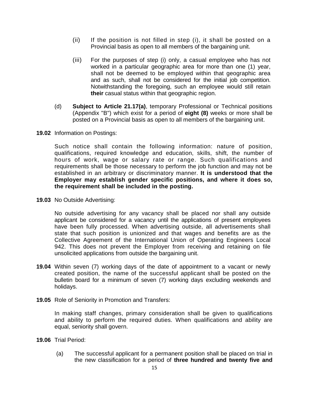- (ii) If the position is not filled in step (i), it shall be posted on a Provincial basis as open to all members of the bargaining unit.
- (iii) For the purposes of step (i) only, a casual employee who has not worked in a particular geographic area for more than one (1) year, shall not be deemed to be employed within that geographic area and as such, shall not be considered for the initial job competition. Notwithstanding the foregoing, such an employee would still retain **their** casual status within that geographic region.
- (d) **Subject to Article 21.17(a)**, temporary Professional or Technical positions (Appendix "B") which exist for a period of **eight (8)** weeks or more shall be posted on a Provincial basis as open to all members of the bargaining unit.
- **19.02** Information on Postings:

Such notice shall contain the following information: nature of position, qualifications, required knowledge and education, skills, shift, the number of hours of work, wage or salary rate or range. Such qualifications and requirements shall be those necessary to perform the job function and may not be established in an arbitrary or discriminatory manner. **It is understood that the Employer may establish gender specific positions, and where it does so, the requirement shall be included in the posting.** 

**19.03** No Outside Advertising:

No outside advertising for any vacancy shall be placed nor shall any outside applicant be considered for a vacancy until the applications of present employees have been fully processed. When advertising outside, all advertisements shall state that such position is unionized and that wages and benefits are as the Collective Agreement of the International Union of Operating Engineers Local 942. This does not prevent the Employer from receiving and retaining on file unsolicited applications from outside the bargaining unit.

- **19.04** Within seven (7) working days of the date of appointment to a vacant or newly created position, the name of the successful applicant shall be posted on the bulletin board for a minimum of seven (7) working days excluding weekends and holidays.
- **19.05** Role of Seniority in Promotion and Transfers:

In making staff changes, primary consideration shall be given to qualifications and ability to perform the required duties. When qualifications and ability are equal, seniority shall govern.

- **19.06** Trial Period:
	- (a) The successful applicant for a permanent position shall be placed on trial in the new classification for a period of **three hundred and twenty five and**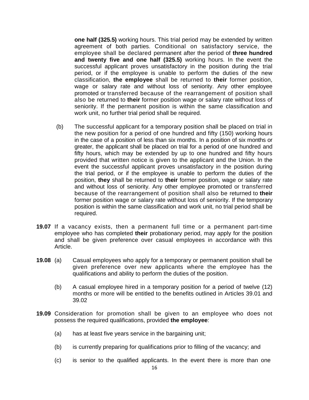**one half (325.5)** working hours. This trial period may be extended by written agreement of both parties. Conditional on satisfactory service, the employee shall be declared permanent after the period of **three hundred and twenty five and one half (325.5)** working hours. In the event the successful applicant proves unsatisfactory in the position during the trial period, or if the employee is unable to perform the duties of the new classification, **the employee** shall be returned to **their** former position, wage or salary rate and without loss of seniority. Any other employee promoted or transferred because of the rearrangement of position shall also be returned to **their** former position wage or salary rate without loss of seniority. If the permanent position is within the same classification and work unit, no further trial period shall be required.

- (b) The successful applicant for a temporary position shall be placed on trial in the new position for a period of one hundred and fifty (150) working hours in the case of a position of less than six months. In a position of six months or greater, the applicant shall be placed on trial for a period of one hundred and fifty hours, which may be extended by up to one hundred and fifty hours provided that written notice is given to the applicant and the Union. In the event the successful applicant proves unsatisfactory in the position during the trial period, or if the employee is unable to perform the duties of the position, **they** shall be returned to **their** former position, wage or salary rate and without loss of seniority. Any other employee promoted or transferred because of the rearrangement of position shall also be returned to **their** former position wage or salary rate without loss of seniority. If the temporary position is within the same classification and work unit, no trial period shall be required.
- **19.07** If a vacancy exists, then a permanent full time or a permanent part-time employee who has completed **their** probationary period, may apply for the position and shall be given preference over casual employees in accordance with this Article.
- **19.08** (a) Casual employees who apply for a temporary or permanent position shall be given preference over new applicants where the employee has the qualifications and ability to perform the duties of the position.
	- (b) A casual employee hired in a temporary position for a period of twelve (12) months or more will be entitled to the benefits outlined in Articles 39.01 and 39.02
- **19.09** Consideration for promotion shall be given to an employee who does not possess the required qualifications, provided **the employee**:
	- (a) has at least five years service in the bargaining unit;
	- (b) is currently preparing for qualifications prior to filling of the vacancy; and
	- (c) is senior to the qualified applicants. In the event there is more than one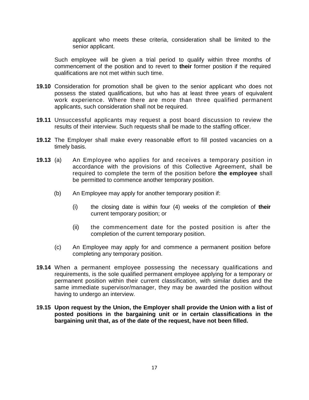applicant who meets these criteria, consideration shall be limited to the senior applicant.

Such employee will be given a trial period to qualify within three months of commencement of the position and to revert to **their** former position if the required qualifications are not met within such time.

- **19.10** Consideration for promotion shall be given to the senior applicant who does not possess the stated qualifications, but who has at least three years of equivalent work experience. Where there are more than three qualified permanent applicants, such consideration shall not be required.
- **19.11** Unsuccessful applicants may request a post board discussion to review the results of their interview. Such requests shall be made to the staffing officer.
- **19.12** The Employer shall make every reasonable effort to fill posted vacancies on a timely basis.
- **19.13** (a) An Employee who applies for and receives a temporary position in accordance with the provisions of this Collective Agreement, shall be required to complete the term of the position before **the employee** shall be permitted to commence another temporary position.
	- (b) An Employee may apply for another temporary position if:
		- (i) the closing date is within four (4) weeks of the completion of **their**  current temporary position; or
		- (ii) the commencement date for the posted position is after the completion of the current temporary position.
	- (c) An Employee may apply for and commence a permanent position before completing any temporary position.
- **19.14** When a permanent employee possessing the necessary qualifications and requirements, is the sole qualified permanent employee applying for a temporary or permanent position within their current classification, with similar duties and the same immediate supervisor/manager, they may be awarded the position without having to undergo an interview.
- **19.15 Upon request by the Union, the Employer shall provide the Union with a list of posted positions in the bargaining unit or in certain classifications in the bargaining unit that, as of the date of the request, have not been filled.**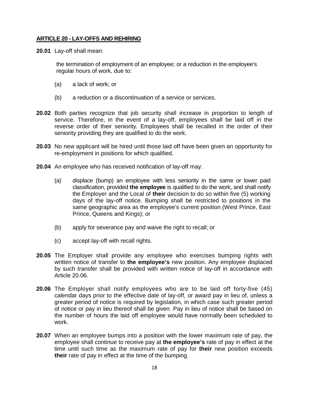## <span id="page-23-0"></span>**ARTICLE 20 - LAY-OFFS AND REHIRING**

**20.01** Lay-off shall mean:

the termination of employment of an employee; or a reduction in the employee's regular hours of work, due to:

- (a) a lack of work; or
- (b) a reduction or a discontinuation of a service or services.
- **20.02** Both parties recognize that job security shall increase in proportion to length of service. Therefore, in the event of a lay-off, employees shall be laid off in the reverse order of their seniority. Employees shall be recalled in the order of their seniority providing they are qualified to do the work.
- **20.03** No new applicant will be hired until those laid off have been given an opportunity for re-employment in positions for which qualified.
- **20.04** An employee who has received notification of lay-off may:
	- (a) displace (bump) an employee with less seniority in the same or lower paid classification, provided **the employee** is qualified to do the work, and shall notify the Employer and the Local of **their** decision to do so within five (5) working days of the lay-off notice. Bumping shall be restricted to positions in the same geographic area as the employee's current position (West Prince, East Prince, Queens and Kings); or
	- (b) apply for severance pay and waive the right to recall; or
	- (c) accept lay-off with recall rights.
- **20.05** The Employer shall provide any employee who exercises bumping rights with written notice of transfer to **the employee's** new position. Any employee displaced by such transfer shall be provided with written notice of lay-off in accordance with Article 20.06.
- **20.06** The Employer shall notify employees who are to be laid off forty-five (45) calendar days prior to the effective date of lay-off, or award pay in lieu of, unless a greater period of notice is required by legislation, in which case such greater period of notice or pay in lieu thereof shall be given. Pay in lieu of notice shall be based on the number of hours the laid off employee would have normally been scheduled to work.
- **20.07** When an employee bumps into a position with the lower maximum rate of pay, the employee shall continue to receive pay at **the employee's** rate of pay in effect at the time until such time as the maximum rate of pay for **their** new position exceeds **their** rate of pay in effect at the time of the bumping.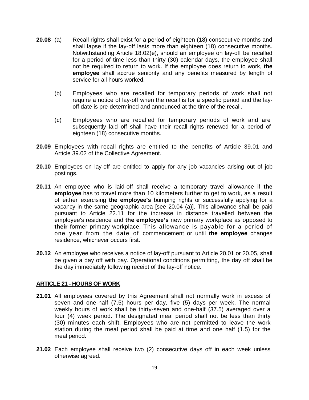- **20.08** (a) Recall rights shall exist for a period of eighteen (18) consecutive months and shall lapse if the lay-off lasts more than eighteen (18) consecutive months. Notwithstanding Article 18.02(e), should an employee on lay-off be recalled for a period of time less than thirty (30) calendar days, the employee shall not be required to return to work. If the employee does return to work, **the employee** shall accrue seniority and any benefits measured by length of service for all hours worked.
	- (b) Employees who are recalled for temporary periods of work shall not require a notice of lay-off when the recall is for a specific period and the layoff date is pre-determined and announced at the time of the recall.
	- (c) Employees who are recalled for temporary periods of work and are subsequently laid off shall have their recall rights renewed for a period of eighteen (18) consecutive months.
- **20.09** Employees with recall rights are entitled to the benefits of Article 39.01 and Article 39.02 of the Collective Agreement.
- **20.10** Employees on lay-off are entitled to apply for any job vacancies arising out of job postings.
- **20.11** An employee who is laid-off shall receive a temporary travel allowance if **the employee** has to travel more than 10 kilometers further to get to work, as a result of either exercising **the employee's** bumping rights or successfully applying for a vacancy in the same geographic area [see 20.04 (a)]. This allowance shall be paid pursuant to Article 22.11 for the increase in distance travelled between the employee's residence and **the employee's** new primary workplace as opposed to **their** former primary workplace. This allowance is payable for a period of one year from the date of commencement or until **the employee** changes residence, whichever occurs first.
- **20.12** An employee who receives a notice of lay-off pursuant to Article 20.01 or 20.05, shall be given a day off with pay. Operational conditions permitting, the day off shall be the day immediately following receipt of the lay-off notice.

## <span id="page-24-0"></span>**ARTICLE 21 - HOURS OF WORK**

- **21.01** All employees covered by this Agreement shall not normally work in excess of seven and one-half (7.5) hours per day, five (5) days per week. The normal weekly hours of work shall be thirty-seven and one-half (37.5) averaged over a four (4) week period. The designated meal period shall not be less than thirty (30) minutes each shift. Employees who are not permitted to leave the work station during the meal period shall be paid at time and one half (1.5) for the meal period.
- **21.02** Each employee shall receive two (2) consecutive days off in each week unless otherwise agreed.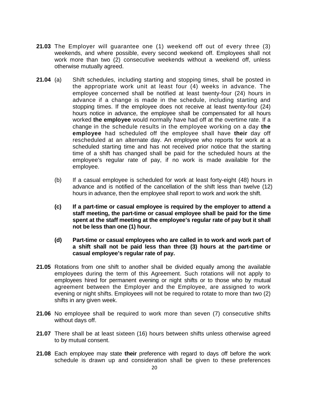- **21.03** The Employer will guarantee one (1) weekend off out of every three (3) weekends, and where possible, every second weekend off. Employees shall not work more than two (2) consecutive weekends without a weekend off, unless otherwise mutually agreed.
- **21.04** (a) Shift schedules, including starting and stopping times, shall be posted in the appropriate work unit at least four (4) weeks in advance. The employee concerned shall be notified at least twenty-four (24) hours in advance if a change is made in the schedule, including starting and stopping times. If the employee does not receive at least twenty-four (24) hours notice in advance, the employee shall be compensated for all hours worked **the employee** would normally have had off at the overtime rate. If a change in the schedule results in the employee working on a day **the employee** had scheduled off the employee shall have **their** day off rescheduled at an alternate day. An employee who reports for work at a scheduled starting time and has not received prior notice that the starting time of a shift has changed shall be paid for the scheduled hours at the employee's regular rate of pay, if no work is made available for the employee.
	- (b) If a casual employee is scheduled for work at least forty-eight (48) hours in advance and is notified of the cancellation of the shift less than twelve (12) hours in advance, then the employee shall report to work and work the shift.
	- **(c) If a part-time or casual employee is required by the employer to attend a staff meeting, the part-time or casual employee shall be paid for the time spent at the staff meeting at the employee's regular rate of pay but it shall not be less than one (1) hour.**
	- **(d) Part-time or casual employees who are called in to work and work part of a shift shall not be paid less than three (3) hours at the part-time or casual employee's regular rate of pay.**
- **21.05** Rotations from one shift to another shall be divided equally among the available employees during the term of this Agreement. Such rotations will not apply to employees hired for permanent evening or night shifts or to those who by mutual agreement between the Employer and the Employee, are assigned to work evening or night shifts. Employees will not be required to rotate to more than two (2) shifts in any given week.
- **21.06** No employee shall be required to work more than seven (7) consecutive shifts without days off.
- **21.07** There shall be at least sixteen (16) hours between shifts unless otherwise agreed to by mutual consent.
- **21.08** Each employee may state **their** preference with regard to days off before the work schedule is drawn up and consideration shall be given to these preferences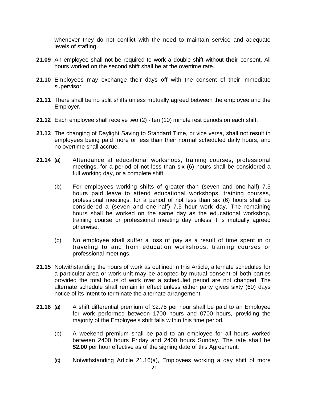whenever they do not conflict with the need to maintain service and adequate levels of staffing.

- **21.09** An employee shall not be required to work a double shift without **their** consent. All hours worked on the second shift shall be at the overtime rate.
- **21.10** Employees may exchange their days off with the consent of their immediate supervisor.
- **21.11** There shall be no split shifts unless mutually agreed between the employee and the Employer.
- **21.12** Each employee shall receive two (2) ten (10) minute rest periods on each shift.
- **21.13** The changing of Daylight Saving to Standard Time, or vice versa, shall not result in employees being paid more or less than their normal scheduled daily hours, and no overtime shall accrue.
- **21.14** (a) Attendance at educational workshops, training courses, professional meetings, for a period of not less than six (6) hours shall be considered a full working day, or a complete shift.
	- (b) For employees working shifts of greater than (seven and one-half) 7.5 hours paid leave to attend educational workshops, training courses, professional meetings, for a period of not less than six (6) hours shall be considered a (seven and one-half) 7.5 hour work day. The remaining hours shall be worked on the same day as the educational workshop, training course or professional meeting day unless it is mutually agreed otherwise.
	- (c) No employee shall suffer a loss of pay as a result of time spent in or traveling to and from education workshops, training courses or professional meetings.
- **21.15** Notwithstanding the hours of work as outlined in this Article, alternate schedules for a particular area or work unit may be adopted by mutual consent of both parties provided the total hours of work over a scheduled period are not changed. The alternate schedule shall remain in effect unless either party gives sixty (60) days notice of its intent to terminate the alternate arrangement
- **21.16** (a) A shift differential premium of \$2.75 per hour shall be paid to an Employee for work performed between 1700 hours and 0700 hours, providing the majority of the Employee's shift falls within this time period.
	- (b) A weekend premium shall be paid to an employee for all hours worked between 2400 hours Friday and 2400 hours Sunday. The rate shall be \$2.00 per hour effective as of the signing date of this Agreement.
	- (c) Notwithstanding Article 21.16(a), Employees working a day shift of more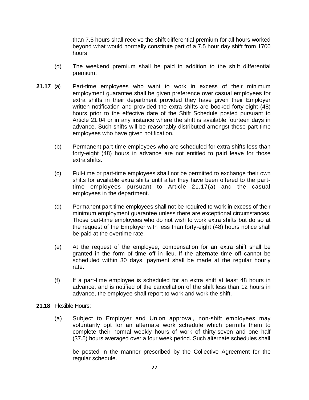than 7.5 hours shall receive the shift differential premium for all hours worked beyond what would normally constitute part of a 7.5 hour day shift from 1700 hours.

- (d) The weekend premium shall be paid in addition to the shift differential premium.
- **21.17** (a) Part-time employees who want to work in excess of their minimum employment guarantee shall be given preference over casual employees for extra shifts in their department provided they have given their Employer written notification and provided the extra shifts are booked forty-eight (48) hours prior to the effective date of the Shift Schedule posted pursuant to Article 21.04 or in any instance where the shift is available fourteen days in advance. Such shifts will be reasonably distributed amongst those part-time employees who have given notification.
	- (b) Permanent part-time employees who are scheduled for extra shifts less than forty-eight (48) hours in advance are not entitled to paid leave for those extra shifts.
	- (c) Full-time or part-time employees shall not be permitted to exchange their own shifts for available extra shifts until after they have been offered to the parttime employees pursuant to Article 21.17(a) and the casual employees in the department.
	- (d) Permanent part-time employees shall not be required to work in excess of their minimum employment guarantee unless there are exceptional circumstances. Those part-time employees who do not wish to work extra shifts but do so at the request of the Employer with less than forty-eight (48) hours notice shall be paid at the overtime rate.
	- (e) At the request of the employee, compensation for an extra shift shall be granted in the form of time off in lieu. If the alternate time off cannot be scheduled within 30 days, payment shall be made at the regular hourly rate.
	- (f) If a part-time employee is scheduled for an extra shift at least 48 hours in advance, and is notified of the cancellation of the shift less than 12 hours in advance, the employee shall report to work and work the shift.
- **21.18** Flexible Hours:
	- (a) Subject to Employer and Union approval, non-shift employees may voluntarily opt for an alternate work schedule which permits them to complete their normal weekly hours of work of thirty-seven and one half (37.5) hours averaged over a four week period. Such alternate schedules shall

be posted in the manner prescribed by the Collective Agreement for the regular schedule.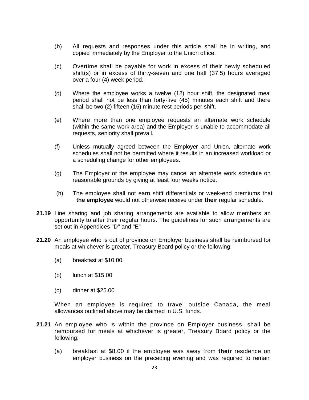- (b) All requests and responses under this article shall be in writing, and copied immediately by the Employer to the Union office.
- (c) Overtime shall be payable for work in excess of their newly scheduled shift(s) or in excess of thirty-seven and one half (37.5) hours averaged over a four (4) week period.
- (d) Where the employee works a twelve (12) hour shift, the designated meal period shall not be less than forty-five (45) minutes each shift and there shall be two (2) fifteen (15) minute rest periods per shift.
- (e) Where more than one employee requests an alternate work schedule (within the same work area) and the Employer is unable to accommodate all requests, seniority shall prevail.
- (f) Unless mutually agreed between the Employer and Union, alternate work schedules shall not be permitted where it results in an increased workload or a scheduling change for other employees.
- (g) The Employer or the employee may cancel an alternate work schedule on reasonable grounds by giving at least four weeks notice.
- (h) The employee shall not earn shift differentials or week-end premiums that **the employee** would not otherwise receive under **their** regular schedule.
- **21.19** Line sharing and job sharing arrangements are available to allow members an opportunity to alter their regular hours. The guidelines for such arrangements are set out in Appendices "D" and "E"
- **21.20** An employee who is out of province on Employer business shall be reimbursed for meals at whichever is greater, Treasury Board policy or the following:
	- (a) breakfast at \$10.00
	- (b) lunch at \$15.00
	- (c) dinner at \$25.00

When an employee is required to travel outside Canada, the meal allowances outlined above may be claimed in U.S. funds.

- **21.21** An employee who is within the province on Employer business, shall be reimbursed for meals at whichever is greater, Treasury Board policy or the following:
	- (a) breakfast at \$8.00 if the employee was away from **their** residence on employer business on the preceding evening and was required to remain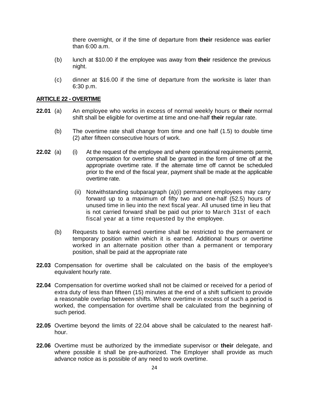there overnight, or if the time of departure from **their** residence was earlier than 6:00 a.m.

- (b) lunch at \$10.00 if the employee was away from **their** residence the previous night.
- (c) dinner at \$16.00 if the time of departure from the worksite is later than 6:30 p.m.

## <span id="page-29-0"></span>**ARTICLE 22 - OVERTIME**

- **22.01** (a) An employee who works in excess of normal weekly hours or **their** normal shift shall be eligible for overtime at time and one-half **their** regular rate.
	- (b) The overtime rate shall change from time and one half (1.5) to double time (2) after fifteen consecutive hours of work.
- **22.02** (a) (i) At the request of the employee and where operational requirements permit, compensation for overtime shall be granted in the form of time off at the appropriate overtime rate. If the alternate time off cannot be scheduled prior to the end of the fiscal year, payment shall be made at the applicable overtime rate.
	- (ii) Notwithstanding subparagraph (a)(i) permanent employees may carry forward up to a maximum of fifty two and one-half (52.5) hours of unused time in lieu into the next fiscal year. All unused time in lieu that is not carried forward shall be paid out prior to March 31st of each fiscal year at a time requested by the employee.
	- (b) Requests to bank earned overtime shall be restricted to the permanent or temporary position within which it is earned. Additional hours or overtime worked in an alternate position other than a permanent or temporary position, shall be paid at the appropriate rate
- **22.03** Compensation for overtime shall be calculated on the basis of the employee's equivalent hourly rate.
- **22.04** Compensation for overtime worked shall not be claimed or received for a period of extra duty of less than fifteen (15) minutes at the end of a shift sufficient to provide a reasonable overlap between shifts. Where overtime in excess of such a period is worked, the compensation for overtime shall be calculated from the beginning of such period.
- **22.05** Overtime beyond the limits of 22.04 above shall be calculated to the nearest halfhour.
- **22.06** Overtime must be authorized by the immediate supervisor or **their** delegate, and where possible it shall be pre-authorized. The Employer shall provide as much advance notice as is possible of any need to work overtime.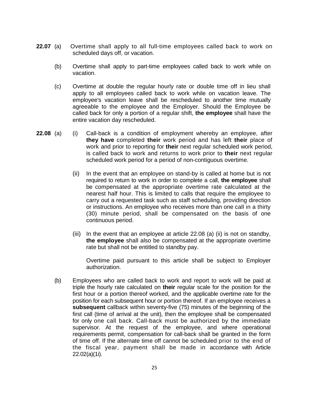- **22.07** (a) Overtime shall apply to all full-time employees called back to work on scheduled days off, or vacation.
	- (b) Overtime shall apply to part-time employees called back to work while on vacation.
	- (c) Overtime at double the regular hourly rate or double time off in lieu shall apply to all employees called back to work while on vacation leave. The employee's vacation leave shall be rescheduled to another time mutually agreeable to the employee and the Employer. Should the Employee be called back for only a portion of a regular shift, **the employee** shall have the entire vacation day rescheduled.
- **22.08** (a) (i) Call-back is a condition of employment whereby an employee, after **they have** completed **their** work period and has left **their** place of work and prior to reporting for **their** next regular scheduled work period, is called back to work and returns to work prior to **their** next regular scheduled work period for a period of non-contiguous overtime.
	- (ii) In the event that an employee on stand-by is called at home but is not required to return to work in order to complete a call, **the employee** shall be compensated at the appropriate overtime rate calculated at the nearest half hour. This is limited to calls that require the employee to carry out a requested task such as staff scheduling, providing direction or instructions. An employee who receives more than one call in a thirty (30) minute period, shall be compensated on the basis of one continuous period.
	- (iii) In the event that an employee at article  $22.08$  (a) (ii) is not on standby, **the employee** shall also be compensated at the appropriate overtime rate but shall not be entitled to standby pay.

Overtime paid pursuant to this article shall be subject to Employer authorization.

(b) Employees who are called back to work and report to work will be paid at triple the hourly rate calculated on **their** regular scale for the position for the first hour or a portion thereof worked, and the applicable overtime rate for the position for each subsequent hour or portion thereof. If an employee receives a **subsequent** callback within seventy-five (75) minutes of the beginning of the first call (time of arrival at the unit), then the employee shall be compensated for only one call back. Call-back must be authorized by the immediate supervisor. At the request of the employee, and where operational requirements permit, compensation for call-back shall be granted in the form of time off. If the alternate time off cannot be scheduled prior to the end of the fiscal year, payment shall be made in accordance with Article 22.02(a)(1i).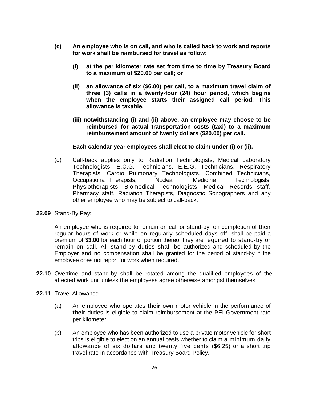- **(c) An employee who is on call, and who is called back to work and reports for work shall be reimbursed for travel as follow:** 
	- **(i) at the per kilometer rate set from time to time by Treasury Board to a maximum of \$20.00 per call; or**
	- **(ii) an allowance of six (\$6.00) per call, to a maximum travel claim of three (3) calls in a twenty-four (24) hour period, which begins when the employee starts their assigned call period. This allowance is taxable.**
	- **(iii) notwithstanding (i) and (ii) above, an employee may choose to be reimbursed for actual transportation costs (taxi) to a maximum reimbursement amount of twenty dollars (\$20.00) per call.**

## **Each calendar year employees shall elect to claim under (i) or (ii).**

- (d) Call-back applies only to Radiation Technologists, Medical Laboratory Technologists, E.C.G. Technicians, E.E.G. Technicians, Respiratory Therapists, Cardio Pulmonary Technologists, Combined Technicians, Occupational Therapists, Muclear Medicine Technologists, Physiotherapists, Biomedical Technologists, Medical Records staff, Pharmacy staff, Radiation Therapists, Diagnostic Sonographers and any other employee who may be subject to call-back.
- **22.09** Stand-By Pay:

An employee who is required to remain on call or stand-by, on completion of their regular hours of work or while on regularly scheduled days off, shall be paid a premium of **\$3.00** for each hour or portion thereof they are required to stand-by or remain on call. All stand-by duties shall be authorized and scheduled by the Employer and no compensation shall be granted for the period of stand-by if the employee does not report for work when required.

- **22.10** Overtime and stand-by shall be rotated among the qualified employees of the affected work unit unless the employees agree otherwise amongst themselves
- **22.11** Travel Allowance
	- (a) An employee who operates **their** own motor vehicle in the performance of **their** duties is eligible to claim reimbursement at the PEI Government rate per kilometer.
	- (b) An employee who has been authorized to use a private motor vehicle for short trips is eligible to elect on an annual basis whether to claim a minimum daily allowance of six dollars and twenty five cents (\$6.25) or a short trip travel rate in accordance with Treasury Board Policy.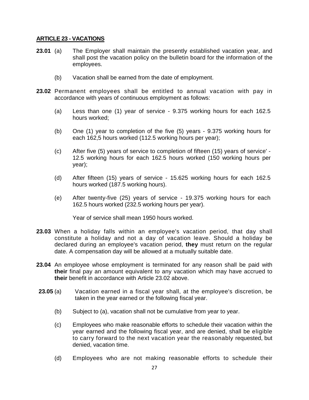## <span id="page-32-0"></span>**ARTICLE 23 - VACATIONS**

- **23.01** (a) The Employer shall maintain the presently established vacation year, and shall post the vacation policy on the bulletin board for the information of the employees.
	- (b) Vacation shall be earned from the date of employment.
- **23.02** Permanent employees shall be entitled to annual vacation with pay in accordance with years of continuous employment as follows:
	- (a) Less than one (1) year of service 9.375 working hours for each 162.5 hours worked;
	- (b) One (1) year to completion of the five (5) years 9.375 working hours for each 162,5 hours worked (112.5 working hours per year);
	- (c) After five (5) years of service to completion of fifteen (15) years of service' 12.5 working hours for each 162.5 hours worked (150 working hours per year);
	- (d) After fifteen (15) years of service 15.625 working hours for each 162.5 hours worked (187.5 working hours).
	- (e) After twenty-five (25) years of service 19.375 working hours for each 162.5 hours worked (232.5 working hours per year).

Year of service shall mean 1950 hours worked.

- **23.03** When a holiday falls within an employee's vacation period, that day shall constitute a holiday and not a day of vacation leave. Should a holiday be declared during an employee's vacation period, **they** must return on the regular date. A compensation day will be allowed at a mutually suitable date.
- **23.04** An employee whose employment is terminated for any reason shall be paid with **their** final pay an amount equivalent to any vacation which may have accrued to **their** benefit in accordance with Article 23.02 above.
- **23.05** (a) Vacation earned in a fiscal year shall, at the employee's discretion, be taken in the year earned or the following fiscal year.
	- (b) Subject to (a), vacation shall not be cumulative from year to year.
	- (c) Employees who make reasonable efforts to schedule their vacation within the year earned and the following fiscal year, and are denied, shall be eligible to carry forward to the next vacation year the reasonably requested, but denied, vacation time.
	- (d) Employees who are not making reasonable efforts to schedule their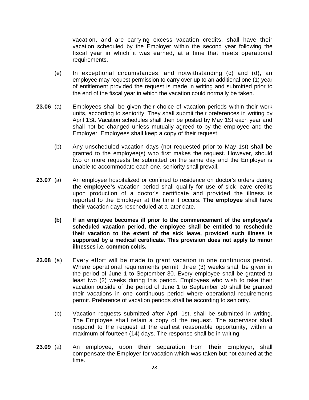vacation, and are carrying excess vacation credits, shall have their vacation scheduled by the Employer within the second year following the fiscal year in which it was earned, at a time that meets operational requirements.

- (e) In exceptional circumstances, and notwithstanding (c) and (d), an employee may request permission to carry over up to an additional one (1) year of entitlement provided the request is made in writing and submitted prior to the end of the fiscal year in which the vacation could normally be taken.
- **23.06** (a) Employees shall be given their choice of vacation periods within their work units, according to seniority. They shall submit their preferences in writing by April 1St. Vacation schedules shall then be posted by May 1St each year and shall not be changed unless mutually agreed to by the employee and the Employer. Employees shall keep a copy of their request.
	- (b) Any unscheduled vacation days (not requested prior to May 1st) shall be granted to the employee(s) who first makes the request. However, should two or more requests be submitted on the same day and the Employer is unable to accommodate each one, seniority shall prevail.
- **23.07** (a) An employee hospitalized or confined to residence on doctor's orders during **the employee's** vacation period shall qualify for use of sick leave credits upon production of a doctor's certificate and provided the illness is reported to the Employer at the time it occurs. **The employee** shall have **their** vacation days rescheduled at a later date.
	- **(b) If an employee becomes ill prior to the commencement of the employee's scheduled vacation period, the employee shall be entitled to reschedule their vacation to the extent of the sick leave, provided such illness is supported by a medical certificate. This provision does not apply to minor illnesses i.e. common colds.**
- **23.08** (a) Every effort will be made to grant vacation in one continuous period. Where operational requirements permit, three (3) weeks shall be given in the period of June 1 to September 30. Every employee shall be granted at least two (2) weeks during this period. Employees who wish to take their vacation outside of the period of June 1 to September 30 shall be granted their vacations in one continuous period where operational requirements permit. Preference of vacation periods shall be according to seniority.
	- (b) Vacation requests submitted after April 1st, shall be submitted in writing. The Employee shall retain a copy of the request. The supervisor shall respond to the request at the earliest reasonable opportunity, within a maximum of fourteen (14) days. The response shall be in writing.
- **23.09** (a) An employee, upon **their** separation from **their** Employer, shall compensate the Employer for vacation which was taken but not earned at the time.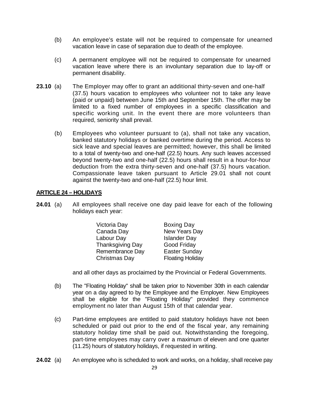- (b) An employee's estate will not be required to compensate for unearned vacation leave in case of separation due to death of the employee.
- (c) A permanent employee will not be required to compensate for unearned vacation leave where there is an involuntary separation due to lay-off or permanent disability.
- **23.10** (a) The Employer may offer to grant an additional thirty-seven and one-half (37.5) hours vacation to employees who volunteer not to take any leave (paid or unpaid) between June 15th and September 15th. The offer may be limited to a fixed number of employees in a specific classification and specific working unit. In the event there are more volunteers than required, seniority shall prevail.
	- (b) Employees who volunteer pursuant to (a), shall not take any vacation, banked statutory holidays or banked overtime during the period. Access to sick leave and special leaves are permitted; however, this shall be limited to a total of twenty-two and one-half (22.5) hours. Any such leaves accessed beyond twenty-two and one-half (22.5) hours shall result in a hour-for-hour deduction from the extra thirty-seven and one-half (37.5) hours vacation. Compassionate leave taken pursuant to Article 29.01 shall not count against the twenty-two and one-half (22.5) hour limit.

## <span id="page-34-0"></span>**ARTICLE 24 – HOLIDAYS**

**24.01** (a) All employees shall receive one day paid leave for each of the following holidays each year:

| Victoria Day           | <b>Boxing Day</b>       |
|------------------------|-------------------------|
| Canada Day             | New Years Day           |
| Labour Day             | <b>Islander Day</b>     |
| Thanksgiving Day       | Good Friday             |
| <b>Remembrance Day</b> | <b>Easter Sunday</b>    |
| Christmas Day          | <b>Floating Holiday</b> |

and all other days as proclaimed by the Provincial or Federal Governments.

- (b) The "Floating Holiday" shall be taken prior to November 30th in each calendar year on a day agreed to by the Employee and the Employer. New Employees shall be eligible for the "Floating Holiday" provided they commence employment no later than August 15th of that calendar year.
- (c) Part-time employees are entitled to paid statutory holidays have not been scheduled or paid out prior to the end of the fiscal year, any remaining statutory holiday time shall be paid out. Notwithstanding the foregoing, part-time employees may carry over a maximum of eleven and one quarter (11.25) hours of statutory holidays, if requested in writing.
- **24.02** (a) An employee who is scheduled to work and works, on a holiday, shall receive pay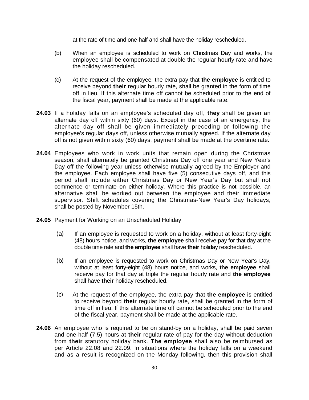at the rate of time and one-half and shall have the holiday rescheduled.

- (b) When an employee is scheduled to work on Christmas Day and works, the employee shall be compensated at double the regular hourly rate and have the holiday rescheduled.
- (c) At the request of the employee, the extra pay that **the employee** is entitled to receive beyond **their** regular hourly rate, shall be granted in the form of time off in lieu. If this alternate time off cannot be scheduled prior to the end of the fiscal year, payment shall be made at the applicable rate.
- **24.03** If a holiday falls on an employee's scheduled day off, **they** shall be given an alternate day off within sixty (60) days. Except in the case of an emergency, the alternate day off shall be given immediately preceding or following the employee's regular days off, unless otherwise mutually agreed. If the alternate day off is not given within sixty (60) days, payment shall be made at the overtime rate.
- **24.04** Employees who work in work units that remain open during the Christmas season, shall alternately be granted Christmas Day off one year and New Year's Day off the following year unless otherwise mutually agreed by the Employer and the employee. Each employee shall have five (5) consecutive days off, and this period shall include either Christmas Day or New Year's Day but shall not commence or terminate on either holiday. Where this practice is not possible, an alternative shall be worked out between the employee and their immediate supervisor. Shift schedules covering the Christmas-New Year's Day holidays, shall be posted by November 15th.
- **24.05** Payment for Working on an Unscheduled Holiday
	- (a) If an employee is requested to work on a holiday, without at least forty-eight (48) hours notice, and works, **the employee** shall receive pay for that day at the double time rate and **the employee** shall have **their** holiday rescheduled.
	- (b) If an employee is requested to work on Christmas Day or New Year's Day, without at least forty-eight (48) hours notice, and works, **the employee** shall receive pay for that day at triple the regular hourly rate and **the employee** shall have **their** holiday rescheduled.
	- (c) At the request of the employee, the extra pay that **the employee** is entitled to receive beyond **their** regular hourly rate, shall be granted in the form of time off in lieu. If this alternate time off cannot be scheduled prior to the end of the fiscal year, payment shall be made at the applicable rate.
- **24.06** An employee who is required to be on stand-by on a holiday, shall be paid seven and one-half (7.5) hours at **their** regular rate of pay for the day without deduction from **their** statutory holiday bank. **The employee** shall also be reimbursed as per Article 22.08 and 22.09. In situations where the holiday falls on a weekend and as a result is recognized on the Monday following, then this provision shall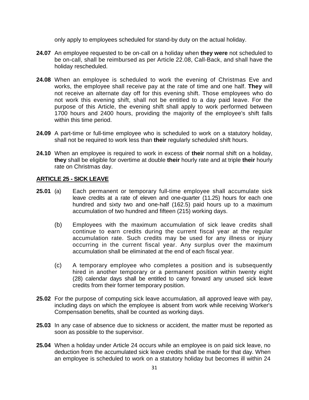only apply to employees scheduled for stand-by duty on the actual holiday.

- **24.07** An employee requested to be on-call on a holiday when **they were** not scheduled to be on-call, shall be reimbursed as per Article 22.08, Call-Back, and shall have the holiday rescheduled.
- **24.08** When an employee is scheduled to work the evening of Christmas Eve and works, the employee shall receive pay at the rate of time and one half. **They** will not receive an alternate day off for this evening shift. Those employees who do not work this evening shift, shall not be entitled to a day paid leave. For the purpose of this Article, the evening shift shall apply to work performed between 1700 hours and 2400 hours, providing the majority of the employee's shift falls within this time period.
- **24.09** A part-time or full-time employee who is scheduled to work on a statutory holiday, shall not be required to work less than **their** regularly scheduled shift hours.
- **24.10** When an employee is required to work in excess of **their** normal shift on a holiday, **they** shall be eligible for overtime at double **their** hourly rate and at triple **their** hourly rate on Christmas day.

## **ARTICLE 25 - SICK LEAVE**

- **25.01** (a) Each permanent or temporary full-time employee shall accumulate sick leave credits at a rate of eleven and one-quarter (11.25) hours for each one hundred and sixty two and one-half (162.5) paid hours up to a maximum accumulation of two hundred and fifteen (215) working days.
	- (b) Employees with the maximum accumulation of sick leave credits shall continue to earn credits during the current fiscal year at the regular accumulation rate. Such credits may be used for any illness or injury occurring in the current fiscal year. Any surplus over the maximum accumulation shall be eliminated at the end of each fiscal year.
	- (c) A temporary employee who completes a position and is subsequently hired in another temporary or a permanent position within twenty eight (28) calendar days shall be entitled to carry forward any unused sick leave credits from their former temporary position.
- **25.02** For the purpose of computing sick leave accumulation, all approved leave with pay, including days on which the employee is absent from work while receiving Worker's Compensation benefits, shall be counted as working days.
- **25.03** In any case of absence due to sickness or accident, the matter must be reported as soon as possible to the supervisor.
- **25.04** When a holiday under Article 24 occurs while an employee is on paid sick leave, no deduction from the accumulated sick leave credits shall be made for that day. When an employee is scheduled to work on a statutory holiday but becomes ill within 24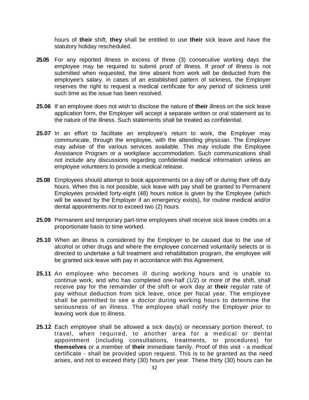hours of **their** shift, **they** shall be entitled to use **their** sick leave and have the statutory holiday rescheduled.

- **25.05** For any reported illness in excess of three (3) consecutive working days the employee may be required to submit proof of illness. If proof of illness is not submitted when requested, the time absent from work will be deducted from the employee's salary. in cases of an established pattern of sickness, the Employer reserves the right to request a medical certificate for any period of sickness until such time as the issue has been resolved.
- **25.06** If an employee does not wish to disclose the nature of **their** illness on the sick leave application form, the Employer will accept a separate written or oral statement as to the nature of the illness. Such statements shall be treated as confidential.
- **25.07** In an effort to facilitate an employee's return to work, the Employer may communicate, through the employee, with the attending physician. The Employer may advise of the various services available. This may include the Employee Assistance Program or a workplace accommodation. Such communications shall not include any discussions regarding confidential medical information unless an employee volunteers to provide a medical release.
- **25.08** Employees should attempt to book appointments on a day off or during their off duty hours. When this is not possible, sick leave with pay shall be granted to Permanent Employees provided forty-eight (48) hours notice is given by the Employee (which will be waived by the Employer if an emergency exists), for routine medical and/or dental appointments not to exceed two (2) hours.
- **25.09** Permanent and temporary part-time employees shall receive sick leave credits on a proportionate basis to time worked.
- **25.10** When an illness is considered by the Employer to be caused due to the use of alcohol or other drugs and where the employee concerned voluntarily selects or is directed to undertake a full treatment and rehabilitation program, the employee will be granted sick leave with pay in accordance with this Agreement.
- **25.11** An employee who becomes ill during working hours and is unable to continue work, and who has completed one-half (1/2) or more of the shift, shall receive pay for the remainder of the shift or work day at **their** regular rate of pay without deduction from sick leave, once per fiscal year. The employee shall be permitted to see a doctor during working hours to determine the seriousness of an illness. The employee shall notify the Employer prior to leaving work due to illness.
- **25.12** Each employee shall be allowed a sick day(s) or necessary portion thereof, to travel, when required, to another area for a medical or dental appointment (including consultations, treatments, or procedures) for **themselves** or a member of **their** immediate family. Proof of this visit - a medical certificate - shall be provided upon request. This is to be granted as the need arises, and not to exceed thirty (30) hours per year. These thirty (30) hours can be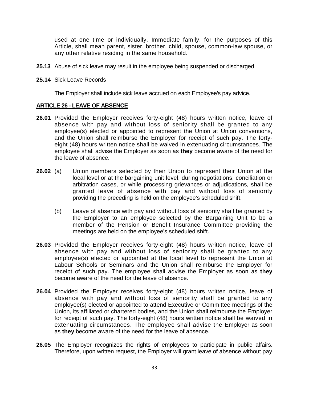used at one time or individually. Immediate family, for the purposes of this Article, shall mean parent, sister, brother, child, spouse, common-law spouse, or any other relative residing in the same household.

- **25.13** Abuse of sick leave may result in the employee being suspended or discharged.
- **25.14** Sick Leave Records

The Employer shall include sick leave accrued on each Employee's pay advice.

## **ARTICLE 26 - LEAVE OF ABSENCE**

- **26.01** Provided the Employer receives forty-eight (48) hours written notice, leave of absence with pay and without loss of seniority shall be granted to any employee(s) elected or appointed to represent the Union at Union conventions, and the Union shall reimburse the Employer for receipt of such pay. The fortyeight (48) hours written notice shall be waived in extenuating circumstances. The employee shall advise the Employer as soon as **they** become aware of the need for the leave of absence.
- **26.02** (a) Union members selected by their Union to represent their Union at the local level or at the bargaining unit level, during negotiations, conciliation or arbitration cases, or while processing grievances or adjudications, shall be granted leave of absence with pay and without loss of seniority providing the preceding is held on the employee's scheduled shift.
	- (b) Leave of absence with pay and without loss of seniority shall be granted by the Employer to an employee selected by the Bargaining Unit to be a member of the Pension or Benefit Insurance Committee providing the meetings are held on the employee's scheduled shift.
- **26.03** Provided the Employer receives forty-eight (48) hours written notice, leave of absence with pay and without loss of seniority shall be granted to any employee(s) elected or appointed at the local level to represent the Union at Labour Schools or Seminars and the Union shall reimburse the Employer for receipt of such pay. The employee shall advise the Employer as soon as **they**  become aware of the need for the leave of absence.
- **26.04** Provided the Employer receives forty-eight (48) hours written notice, leave of absence with pay and without loss of seniority shall be granted to any employee(s) elected or appointed to attend Executive or Committee meetings of the Union, its affiliated or chartered bodies, and the Union shall reimburse the Employer for receipt of such pay. The forty-eight (48) hours written notice shall be waived in extenuating circumstances. The employee shall advise the Employer as soon as **they** become aware of the need for the leave of absence.
- **26.05** The Employer recognizes the rights of employees to participate in public affairs. Therefore, upon written request, the Employer will grant leave of absence without pay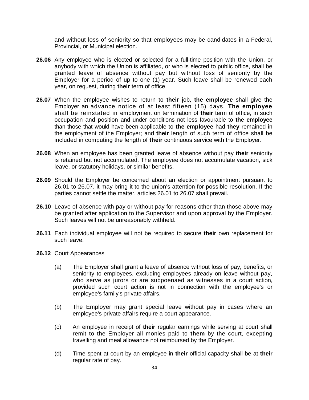and without loss of seniority so that employees may be candidates in a Federal, Provincial, or Municipal election.

- **26.06** Any employee who is elected or selected for a full-time position with the Union, or anybody with which the Union is affiliated, or who is elected to public office, shall be granted leave of absence without pay but without loss of seniority by the Employer for a period of up to one (1) year. Such leave shall be renewed each year, on request, during **their** term of office.
- **26.07** When the employee wishes to return to **their** job, **the employee** shall give the Employer an advance notice of at least fifteen (15) days. **The employee** shall be reinstated in employment on termination of **their** term of office, in such occupation and position and under conditions not less favourable to **the employee** than those that would have been applicable to **the employee** had **they** remained in the employment of the Employer; and **their** length of such term of office shall be included in computing the length of **their** continuous service with the Employer.
- **26.08** When an employee has been granted leave of absence without pay **their** seniority is retained but not accumulated. The employee does not accumulate vacation, sick leave, or statutory holidays, or similar benefits.
- **26.09** Should the Employer be concerned about an election or appointment pursuant to 26.01 to 26.07, it may bring it to the union's attention for possible resolution. If the parties cannot settle the matter, articles 26.01 to 26.07 shall prevail.
- **26.10** Leave of absence with pay or without pay for reasons other than those above may be granted after application to the Supervisor and upon approval by the Employer. Such leaves will not be unreasonably withheld.
- **26.11** Each individual employee will not be required to secure **their** own replacement for such leave.
- **26.12** Court Appearances
	- (a) The Employer shall grant a leave of absence without loss of pay, benefits, or seniority to employees, excluding employees already on leave without pay, who serve as jurors or are subpoenaed as witnesses in a court action, provided such court action is not in connection with the employee's or employee's family's private affairs.
	- (b) The Employer may grant special leave without pay in cases where an employee's private affairs require a court appearance.
	- (c) An employee in receipt of **their** regular earnings while serving at court shall remit to the Employer all monies paid to **them** by the court, excepting travelling and meal allowance not reimbursed by the Employer.
	- (d) Time spent at court by an employee in **their** official capacity shall be at **their** regular rate of pay.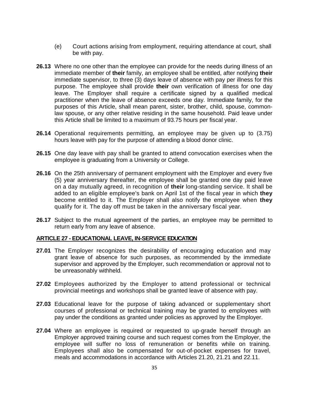- (e) Court actions arising from employment, requiring attendance at court, shall be with pay.
- **26.13** Where no one other than the employee can provide for the needs during illness of an immediate member of **their** family, an employee shall be entitled, after notifying **their** immediate supervisor, to three (3) days leave of absence with pay per illness for this purpose. The employee shall provide **their** own verification of illness for one day leave. The Employer shall require a certificate signed by a qualified medical practitioner when the leave of absence exceeds one day. Immediate family, for the purposes of this Article, shall mean parent, sister, brother, child, spouse, commonlaw spouse, or any other relative residing in the same household. Paid leave under this Article shall be limited to a maximum of 93.75 hours per fiscal year.
- **26.14** Operational requirements permitting, an employee may be given up to (3.75) hours leave with pay for the purpose of attending a blood donor clinic.
- **26.15** One day leave with pay shall be granted to attend convocation exercises when the employee is graduating from a University or College.
- **26.16** On the 25th anniversary of permanent employment with the Employer and every five (5) year anniversary thereafter, the employee shall be granted one day paid leave on a day mutually agreed, in recognition of **their** long-standing service. It shall be added to an eligible employee's bank on April 1st of the fiscal year in which **they** become entitled to it. The Employer shall also notify the employee when **they** qualify for it. The day off must be taken in the anniversary fiscal year.
- **26.17** Subject to the mutual agreement of the parties, an employee may be permitted to return early from any leave of absence.

### **ARTICLE 27 - EDUCATIONAL LEAVE, IN-SERVICE EDUCATION**

- **27.01** The Employer recognizes the desirability of encouraging education and may grant leave of absence for such purposes, as recommended by the immediate supervisor and approved by the Employer, such recommendation or approval not to be unreasonably withheld.
- **27.02** Employees authorized by the Employer to attend professional or technical provincial meetings and workshops shall be granted leave of absence with pay.
- **27.03** Educational leave for the purpose of taking advanced or supplementary short courses of professional or technical training may be granted to employees with pay under the conditions as granted under policies as approved by the Employer.
- **27.04** Where an employee is required or requested to up-grade herself through an Employer approved training course and such request comes from the Employer, the employee will suffer no loss of remuneration or benefits while on training. Employees shall also be compensated for out-of-pocket expenses for travel, meals and accommodations in accordance with Articles 21.20, 21.21 and 22.11.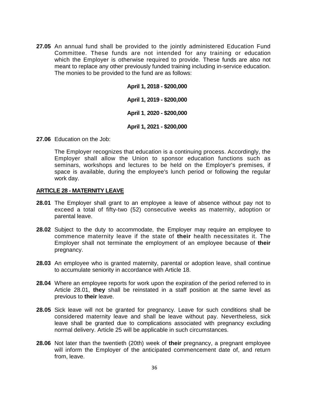**27.05** An annual fund shall be provided to the jointly administered Education Fund Committee. These funds are not intended for any training or education which the Employer is otherwise required to provide. These funds are also not meant to replace any other previously funded training including in-service education. The monies to be provided to the fund are as follows:

> **April 1, 2019 - \$200,000 April 1**, **2020 - \$200,000 April 1, 2021 - \$200,000**

> **April 1, 2018 - \$200,000**

**27.06** Education on the Job:

The Employer recognizes that education is a continuing process. Accordingly, the Employer shall allow the Union to sponsor education functions such as seminars, workshops and lectures to be held on the Employer's premises, if space is available, during the employee's lunch period or following the regular work day.

#### **ARTICLE 28 - MATERNITY LEAVE**

- **28.01** The Employer shall grant to an employee a leave of absence without pay not to exceed a total of fifty-two (52) consecutive weeks as maternity, adoption or parental leave.
- **28.02** Subject to the duty to accommodate, the Employer may require an employee to commence maternity leave if the state of **their** health necessitates it. The Employer shall not terminate the employment of an employee because of **their**  pregnancy.
- **28.03** An employee who is granted maternity, parental or adoption leave, shall continue to accumulate seniority in accordance with Article 18.
- **28.04** Where an employee reports for work upon the expiration of the period referred to in Article 28.01, **they** shall be reinstated in a staff position at the same level as previous to **their** leave.
- **28.05** Sick leave will not be granted for pregnancy. Leave for such conditions shall be considered maternity leave and shall be leave without pay. Nevertheless, sick leave shall be granted due to complications associated with pregnancy excluding normal delivery. Article 25 will be applicable in such circumstances.
- **28.06** Not later than the twentieth (20th) week of **their** pregnancy, a pregnant employee will inform the Employer of the anticipated commencement date of, and return from, leave.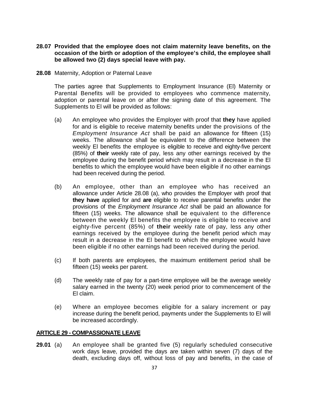- **28.07 Provided that the employee does not claim maternity leave benefits, on the occasion of the birth or adoption of the employee's child, the employee shall be allowed two (2) days special leave with pay.**
- **28.08** Maternity, Adoption or Paternal Leave

The parties agree that Supplements to Employment Insurance (El) Maternity or Parental Benefits will be provided to employees who commence maternity, adoption or parental leave on or after the signing date of this agreement. The Supplements to El will be provided as follows:

- (a) An employee who provides the Employer with proof that **they** have applied for and is eligible to receive maternity benefits under the provisions of the *Employment Insurance Act* shall be paid an allowance for fifteen (15) weeks. The allowance shall be equivalent to the difference between the weekly El benefits the employee is eligible to receive and eighty-five percent (85%) of **their** weekly rate of pay, less any other earnings received by the employee during the benefit period which may result in a decrease in the El benefits to which the employee would have been eligible if no other earnings had been received during the period.
- (b) An employee, other than an employee who has received an allowance under Article 28.08 (a), who provides the Employer with proof that **they have** applied for and **are** eligible to receive parental benefits under the provisions of the *Employment Insurance Act* shall be paid an allowance for fifteen (15) weeks. The allowance shall be equivalent to the difference between the weekly El benefits the employee is eligible to receive and eighty-five percent (85%) of **their** weekly rate of pay, less any other earnings received by the employee during the benefit period which may result in a decrease in the El benefit to which the employee would have been eligible if no other earnings had been received during the period.
- (c) If both parents are employees, the maximum entitlement period shall be fifteen (15) weeks per parent.
- (d) The weekly rate of pay for a part-time employee will be the average weekly salary earned in the twenty (20) week period prior to commencement of the El claim.
- (e) Where an employee becomes eligible for a salary increment or pay increase during the benefit period, payments under the Supplements to El will be increased accordingly.

### **ARTICLE 29 - COMPASSIONATE LEAVE**

**29.01** (a) An employee shall be granted five (5) regularly scheduled consecutive work days leave, provided the days are taken within seven (7) days of the death, excluding days off, without loss of pay and benefits, in the case of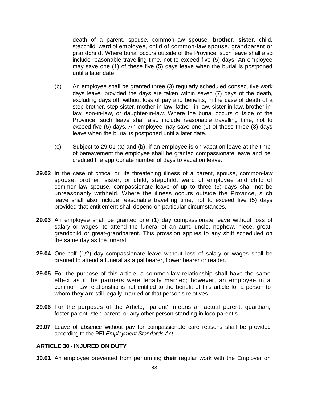death of a parent, spouse, common-law spouse, **brother**, **sister**, child, stepchild, ward of employee, child of common-law spouse, grandparent or grandchild. Where burial occurs outside of the Province, such leave shall also include reasonable travelling time, not to exceed five (5) days. An employee may save one (1) of these five (5) days leave when the burial is postponed until a later date.

- (b) An employee shall be granted three (3) regularly scheduled consecutive work days leave, provided the days are taken within seven (7) days of the death, excluding days off, without loss of pay and benefits, in the case of death of a step-brother, step-sister, mother-in-law, father- in-law, sister-in-law, brother-inlaw, son-in-law, or daughter-in-law. Where the burial occurs outside of the Province, such leave shall also include reasonable travelling time, not to exceed five (5) days. An employee may save one (1) of these three (3) days leave when the burial is postponed until a later date.
- (c) Subject to 29.01 (a) and (b), if an employee is on vacation leave at the time of bereavement the employee shall be granted compassionate leave and be credited the appropriate number of days to vacation leave.
- **29.02** In the case of critical or life threatening illness of a parent, spouse, common-law spouse, brother, sister, or child, stepchild, ward of employee and child of common-law spouse, compassionate leave of up to three (3) days shall not be unreasonably withheld. Where the illness occurs outside the Province, such leave shall also include reasonable travelling time, not to exceed five (5) days provided that entitlement shall depend on particular circumstances.
- **29.03** An employee shall be granted one (1) day compassionate leave without loss of salary or wages, to attend the funeral of an aunt, uncle, nephew, niece, greatgrandchild or great-grandparent. This provision applies to any shift scheduled on the same day as the funeral.
- **29.04** One-half (1/2) day compassionate leave without loss of salary or wages shall be granted to attend a funeral as a pallbearer, flower bearer or reader.
- **29.05** For the purpose of this article, a common-law relationship shall have the same effect as if the partners were legally married; however, an employee in a common-law relationship is not entitled to the benefit of this article for a person to whom **they are** still legally married or that person's relatives.
- **29.06** For the purposes of the Article, "parent': means an actual parent, guardian, foster-parent, step-parent, or any other person standing in loco parentis.
- **29.07** Leave of absence without pay for compassionate care reasons shall be provided according to the PEI *Employment Standards Act.*

### **ARTICLE 30 - INJURED ON DUTY**

**30.01** An employee prevented from performing **their** regular work with the Employer on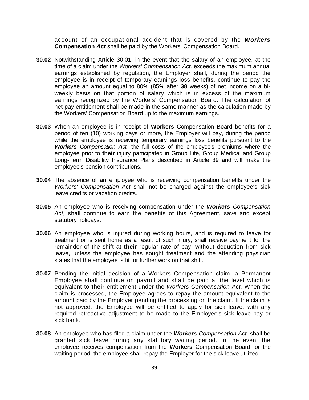account of an occupational accident that is covered by the *Workers* **Compensation** *Act* shall be paid by the Workers' Compensation Board.

- **30.02** Notwithstanding Article 30.01, in the event that the salary of an employee, at the time of a claim under the *Workers' Compensation Act,* exceeds the maximum annual earnings established by regulation, the Employer shall, during the period the employee is in receipt of temporary earnings loss benefits, continue to pay the employee an amount equal to 80% (85% after **38** weeks) of net income on a biweekly basis on that portion of salary which is in excess of the maximum earnings recognized by the Workers' Compensation Board. The calculation of net pay entitlement shall be made in the same manner as the calculation made by the Workers' Compensation Board up to the maximum earnings.
- **30.03** When an employee is in receipt of **Workers** Compensation Board benefits for a period of ten (10) working days or more, the Employer will pay, during the period while the employee is receiving temporary earnings loss benefits pursuant to the *Workers Compensation Act,* the full costs of the employee's premiums where the employee prior to **their** injury participated in Group Life, Group Medical and Group Long-Term Disability Insurance Plans described in Article 39 and will make the employee's pension contributions.
- **30.04** The absence of an employee who is receiving compensation benefits under the *Workers' Compensation Act* shall not be charged against the employee's sick leave credits or vacation credits.
- **30.05** An employee who is receiving compensation under the *Workers Compensation Act,* shall continue to earn the benefits of this Agreement, save and except statutory holidays.
- **30.06** An employee who is injured during working hours, and is required to leave for treatment or is sent home as a result of such injury, shall receive payment for the remainder of the shift at **their** regular rate of pay, without deduction from sick leave, unless the employee has sought treatment and the attending physician states that the employee is fit for further work on that shift.
- **30.07** Pending the initial decision of a Workers Compensation claim, a Permanent Employee shall continue on payroll and shall be paid at the level which is equivalent to **their** entitlement under the *Workers Compensation Act.* When the claim is processed, the Employee agrees to repay the amount equivalent to the amount paid by the Employer pending the processing on the claim. If the claim is not approved, the Employee will be entitled to apply for sick leave, with any required retroactive adjustment to be made to the Employee's sick leave pay or sick bank.
- **30.08** An employee who has filed a claim under the *Workers Compensation Act,* shall be granted sick leave during any statutory waiting period. In the event the employee receives compensation from the **Workers** Compensation Board for the waiting period, the employee shall repay the Employer for the sick leave utilized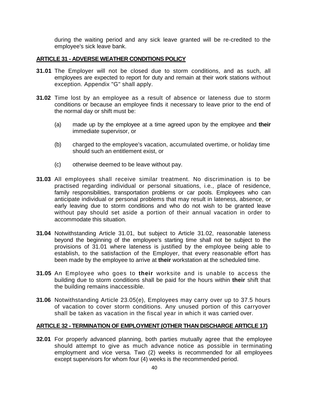during the waiting period and any sick leave granted will be re-credited to the employee's sick leave bank.

## **ARTICLE 31 - ADVERSE WEATHER CONDITIONS POLICY**

- **31.01** The Employer will not be closed due to storm conditions, and as such, all employees are expected to report for duty and remain at their work stations without exception. Appendix "G" shall apply.
- **31.02** Time lost by an employee as a result of absence or lateness due to storm conditions or because an employee finds it necessary to leave prior to the end of the normal day or shift must be:
	- (a) made up by the employee at a time agreed upon by the employee and **their** immediate supervisor, or
	- (b) charged to the employee's vacation, accumulated overtime, or holiday time should such an entitlement exist, or
	- (c) otherwise deemed to be leave without pay.
- **31.03** All employees shall receive similar treatment. No discrimination is to be practised regarding individual or personal situations, i.e., place of residence, family responsibilities, transportation problems or car pools. Employees who can anticipate individual or personal problems that may result in lateness, absence, or early leaving due to storm conditions and who do not wish to be granted leave without pay should set aside a portion of their annual vacation in order to accommodate this situation.
- **31.04** Notwithstanding Article 31.01, but subject to Article 31.02, reasonable lateness beyond the beginning of the employee's starting time shall not be subject to the provisions of 31.01 where lateness is justified by the employee being able to establish, to the satisfaction of the Employer, that every reasonable effort has been made by the employee to arrive at **their** workstation at the scheduled time.
- **31.05** An Employee who goes to **their** worksite and is unable to access the building due to storm conditions shall be paid for the hours within **their** shift that the building remains inaccessible.
- **31.06** Notwithstanding Article 23.05(e), Employees may carry over up to 37.5 hours of vacation to cover storm conditions. Any unused portion of this carryover shall be taken as vacation in the fiscal year in which it was carried over.

## **ARTICLE 32 - TERMINATION OF EMPLOYMENT (OTHER THAN DISCHARGE ARTICLE 17)**

**32.01** For properly advanced planning, both parties mutually agree that the employee should attempt to give as much advance notice as possible in terminating employment and vice versa. Two (2) weeks is recommended for all employees except supervisors for whom four (4) weeks is the recommended period.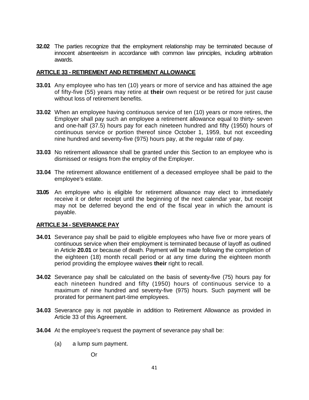**32.02** The parties recognize that the employment relationship may be terminated because of innocent absenteeism in accordance with common law principles, including arbitration awards.

## **ARTICLE 33 - RETIREMENT AND RETIREMENT ALLOWANCE**

- **33.01** Any employee who has ten (10) years or more of service and has attained the age of fifty-five (55) years may retire at **their** own request or be retired for just cause without loss of retirement benefits.
- **33.02** When an employee having continuous service of ten (10) years or more retires, the Employer shall pay such an employee a retirement allowance equal to thirty- seven and one-half (37.5) hours pay for each nineteen hundred and fifty (1950) hours of continuous service or portion thereof since October 1, 1959, but not exceeding nine hundred and seventy-five (975) hours pay, at the regular rate of pay.
- **33.03** No retirement allowance shall be granted under this Section to an employee who is dismissed or resigns from the employ of the Employer.
- **33.04** The retirement allowance entitlement of a deceased employee shall be paid to the employee's estate.
- **33.05** An employee who is eligible for retirement allowance may elect to immediately receive it or defer receipt until the beginning of the next calendar year, but receipt may not be deferred beyond the end of the fiscal year in which the amount is payable.

## **ARTICLE 34 - SEVERANCE PAY**

- **34.01** Severance pay shall be paid to eligible employees who have five or more years of continuous service when their employment is terminated because of layoff as outlined in Article **20.01** or because of death. Payment will be made following the completion of the eighteen (18) month recall period or at any time during the eighteen month period providing the employee waives **their** right to recall.
- **34.02** Severance pay shall be calculated on the basis of seventy-five (75) hours pay for each nineteen hundred and fifty (1950) hours of continuous service to a maximum of nine hundred and seventy-five (975) hours. Such payment will be prorated for permanent part-time employees.
- **34.03** Severance pay is not payable in addition to Retirement Allowance as provided in Article 33 of this Agreement.
- **34.04** At the employee's request the payment of severance pay shall be:
	- (a) a lump sum payment.

Or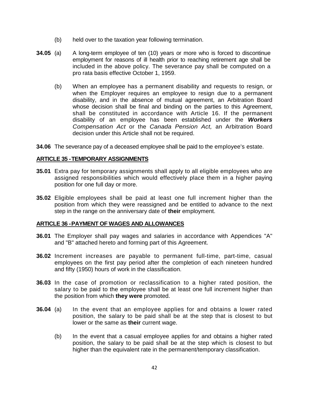- (b) held over to the taxation year following termination.
- **34.05** (a) A long-term employee of ten (10) years or more who is forced to discontinue employment for reasons of ill health prior to reaching retirement age shall be included in the above policy. The severance pay shall be computed on a pro rata basis effective October 1, 1959.
	- (b) When an employee has a permanent disability and requests to resign, or when the Employer requires an employee to resign due to a permanent disability, and in the absence of mutual agreement, an Arbitration Board whose decision shall be final and binding on the parties to this Agreement, shall be constituted in accordance with Article 16. If the permanent disability of an employee has been established under the *Workers Compensation Act* or the *Canada Pension Act,* an Arbitration Board decision under this Article shall not be required.
- **34.06** The severance pay of a deceased employee shall be paid to the employee's estate.

## **ARTICLE 35 -TEMPORARY ASSIGNMENTS**

- **35.01** Extra pay for temporary assignments shall apply to all eligible employees who are assigned responsibilities which would effectively place them in a higher paying position for one full day or more.
- **35.02** Eligible employees shall be paid at least one full increment higher than the position from which they were reassigned and be entitled to advance to the next step in the range on the anniversary date of **their** employment.

### **ARTICLE 36 -PAYMENT OF WAGES AND ALLOWANCES**

- **36.01** The Employer shall pay wages and salaries in accordance with Appendices "A" and "B" attached hereto and forming part of this Agreement.
- **36.02** Increment increases are payable to permanent full-time, part-time, casual employees on the first pay period after the completion of each nineteen hundred and fifty (1950) hours of work in the classification.
- **36.03** In the case of promotion or reclassification to a higher rated position, the salary to be paid to the employee shall be at least one full increment higher than the position from which **they were** promoted.
- **36.04** (a) In the event that an employee applies for and obtains a lower rated position, the salary to be paid shall be at the step that is closest to but lower or the same as **their** current wage.
	- (b) In the event that a casual employee applies for and obtains a higher rated position, the salary to be paid shall be at the step which is closest to but higher than the equivalent rate in the permanent/temporary classification.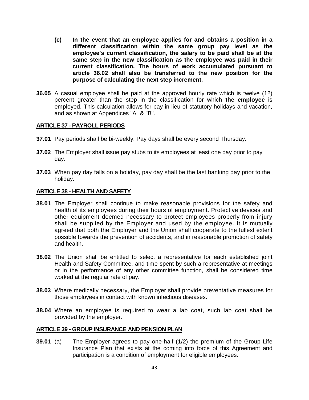- **(c) In the event that an employee applies for and obtains a position in a different classification within the same group pay level as the employee's current classification, the salary to be paid shall be at the same step in the new classification as the employee was paid in their current classification. The hours of work accumulated pursuant to article 36.02 shall also be transferred to the new position for the purpose of calculating the next step increment.**
- **36.05** A casual employee shall be paid at the approved hourly rate which is twelve (12) percent greater than the step in the classification for which **the employee** is employed. This calculation allows for pay in lieu of statutory holidays and vacation, and as shown at Appendices "A" & "B".

## **ARTICLE 37 - PAYROLL PERIODS**

- **37.01** Pay periods shall be bi-weekly, Pay days shall be every second Thursday.
- **37.02** The Employer shall issue pay stubs to its employees at least one day prior to pay day.
- **37.03** When pay day falls on a holiday, pay day shall be the last banking day prior to the holiday.

### **ARTICLE 38 - HEALTH AND SAFETY**

- **38.01** The Employer shall continue to make reasonable provisions for the safety and health of its employees during their hours of employment. Protective devices and other equipment deemed necessary to protect employees properly from injury shall be supplied by the Employer and used by the employee. It is mutually agreed that both the Employer and the Union shall cooperate to the fullest extent possible towards the prevention of accidents, and in reasonable promotion of safety and health.
- **38.02** The Union shall be entitled to select a representative for each established joint Health and Safety Committee, and time spent by such a representative at meetings or in the performance of any other committee function, shall be considered time worked at the regular rate of pay.
- **38.03** Where medically necessary, the Employer shall provide preventative measures for those employees in contact with known infectious diseases.
- **38.04** Where an employee is required to wear a lab coat, such lab coat shall be provided by the employer.

### **ARTICLE 39 - GROUP INSURANCE AND PENSION PLAN**

**39.01** (a) The Employer agrees to pay one-half (1/2) the premium of the Group Life Insurance Plan that exists at the coming into force of this Agreement and participation is a condition of employment for eligible employees.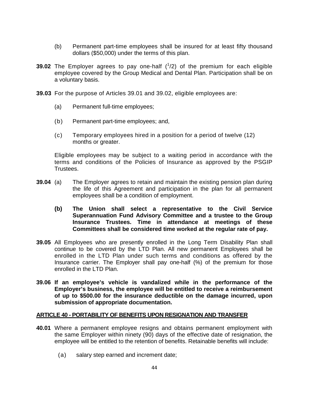- (b) Permanent part-time employees shall be insured for at least fifty thousand dollars (\$50,000) under the terms of this plan.
- **39.02** The Employer agrees to pay one-half (<sup>1</sup>/2) of the premium for each eligible employee covered by the Group Medical and Dental Plan. Participation shall be on a voluntary basis.
- **39.03** For the purpose of Articles 39.01 and 39.02, eligible employees are:
	- (a) Permanent full-time employees;
	- (b) Permanent part-time employees; and,
	- (c) Temporary employees hired in a position for a period of twelve (12) months or greater.

Eligible employees may be subject to a waiting period in accordance with the terms and conditions of the Policies of Insurance as approved by the PSGIP Trustees.

- **39.04** (a) The Employer agrees to retain and maintain the existing pension plan during the life of this Agreement and participation in the plan for all permanent employees shall be a condition of employment.
	- **(b) The Union shall select a representative to the Civil Service Superannuation Fund Advisory Committee and a trustee to the Group Insurance Trustees. Time in attendance at meetings of these Committees shall be considered time worked at the regular rate of pay.**
- **39.05** All Employees who are presently enrolled in the Long Term Disability Plan shall continue to be covered by the LTD Plan. All new permanent Employees shall be enrolled in the LTD Plan under such terms and conditions as offered by the Insurance carrier. The Employer shall pay one-half (%) of the premium for those enrolled in the LTD Plan.
- **39.06 If an employee's vehicle is vandalized while in the performance of the Employer's business, the employee will be entitled to receive a reimbursement of up to \$500.00 for the insurance deductible on the damage incurred, upon submission of appropriate documentation.**

### **ARTICLE 40 - PORTABILITY OF BENEFITS UPON RESIGNATION AND TRANSFER**

- **40.01** Where a permanent employee resigns and obtains permanent employment with the same Employer within ninety (90) days of the effective date of resignation, the employee will be entitled to the retention of benefits. Retainable benefits will include:
	- (a) salary step earned and increment date;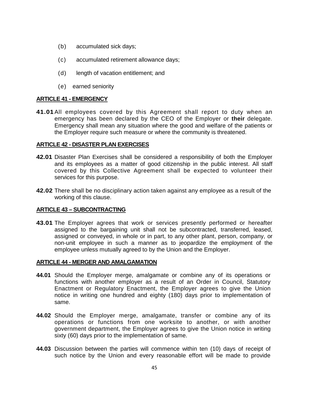- (b) accumulated sick days;
- (c) accumulated retirement allowance days;
- (d) length of vacation entitlement; and
- (e) earned seniority

## **ARTICLE 41 - EMERGENCY**

**41.01**All employees covered by this Agreement shall report to duty when an emergency has been declared by the CEO of the Employer or **their** delegate. Emergency shall mean any situation where the good and welfare of the patients or the Employer require such measure or where the community is threatened.

## **ARTICLE 42 - DISASTER PLAN EXERCISES**

- **42.01** Disaster Plan Exercises shall be considered a responsibility of both the Employer and its employees as a matter of good citizenship in the public interest. All staff covered by this Collective Agreement shall be expected to volunteer their services for this purpose.
- **42.02** There shall be no disciplinary action taken against any employee as a result of the working of this clause.

### **ARTICLE 43 – SUBCONTRACTING**

**43.01** The Employer agrees that work or services presently performed or hereafter assigned to the bargaining unit shall not be subcontracted, transferred, leased, assigned or conveyed, in whole or in part, to any other plant, person, company, or non-unit employee in such a manner as to jeopardize the employment of the employee unless mutually agreed to by the Union and the Employer.

## **ARTICLE 44 - MERGER AND AMALGAMATION**

- **44.01** Should the Employer merge, amalgamate or combine any of its operations or functions with another employer as a result of an Order in Council, Statutory Enactment or Regulatory Enactment, the Employer agrees to give the Union notice in writing one hundred and eighty (180) days prior to implementation of same.
- **44.02** Should the Employer merge, amalgamate, transfer or combine any of its operations or functions from one worksite to another, or with another government department, the Employer agrees to give the Union notice in writing sixty (60) days prior to the implementation of same.
- **44.03** Discussion between the parties will commence within ten (10) days of receipt of such notice by the Union and every reasonable effort will be made to provide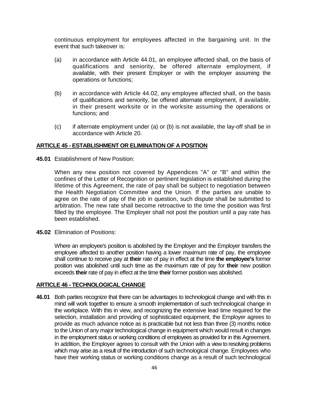continuous employment for employees affected in the bargaining unit. In the event that such takeover is:

- (a) in accordance with Article 44.01, an employee affected shall, on the basis of qualifications and seniority, be offered alternate employment, if available, with their present Employer or with the employer assuming the operations or functions;
- (b) in accordance with Article 44.02, any employee affected shall, on the basis of qualifications and seniority, be offered alternate employment, if available, in their present worksite or in the worksite assuming the operations or functions; and
- (c) if alternate employment under (a) or (b) is not available, the lay-off shall be in accordance with Article 20.

## **ARTICLE 45 - ESTABLISHMENT OR ELIMINATION OF A POSITION**

**45.01** Establishment of New Position:

When any new position not covered by Appendices "A" or "B" and within the confines of the Letter of Recognition or pertinent legislation is established during the lifetime of this Agreement, the rate of pay shall be subject to negotiation between the Health Negotiation Committee and the Union. If the parties are unable to agree on the rate of pay of the job in question, such dispute shall be submitted to arbitration. The new rate shall become retroactive to the time the position was first filled by the employee. The Employer shall not post the position until a pay rate has been established.

**45.02** Elimination of Positions:

Where an employee's position is abolished by the Employer and the Employer transfers the employee affected to another position having a lower maximum rate of pay, the employee shall continue to receive pay at **their** rate of pay in effect at the time **the employee's** former position was abolished until such time as the maximum rate of pay for **their** new position exceeds **their**rate of pay in effect at the time **their**former position was abolished.

### **ARTICLE 46 - TECHNOLOGICAL CHANGE**

**46.01** Both parties recognize that there can be advantages to technological change and with this in mind will work together to ensure a smooth implementation of such technological change in the workplace. With this in view, and recognizing the extensive lead time required for the selection, installation and providing of sophisticated equipment, the Employer agrees to provide as much advance notice as is practicable but not less than three (3) months notice to the Union of any major technological change in equipment which would result in changes in the employment status or working conditions of employees as provided for in this Agreement. In addition, the Employer agrees to consult with the Union with a view to resolving problems which may arise as a result of the introduction of such technological change. Employees who have their working status or working conditions change as a result of such technological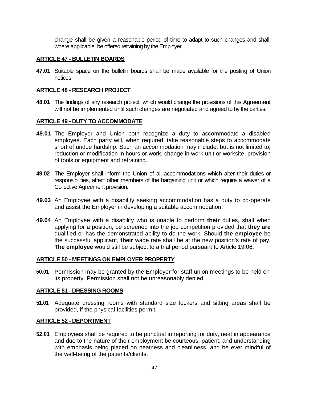change shall be given a reasonable period of time to adapt to such changes and shall, where applicable, be offered retraining by the Employer.

### **ARTICLE 47 - BULLETIN BOARDS**

**47.01** Suitable space on the bulletin boards shall be made available for the posting of Union notices.

## **ARTICLE 48 - RESEARCH PROJECT**

**48.01** The findings of any research project, which would change the provisions of this Agreement will not be implemented until such changes are negotiated and agreed to by the parties.

## **ARTICLE 49 - DUTY TO ACCOMMODATE**

- **49.01** The Employer and Union both recognize a duty to accommodate a disabled employee. Each party will, when required, take reasonable steps to accommodate short of undue hardship. Such an accommodation may include, but is not limited to, reduction or modification in hours or work, change in work unit or worksite, provision of tools or equipment and retraining.
- **49.02** The Employer shall inform the Union of all accommodations which alter their duties or responsibilities, affect other members of the bargaining unit or which require a waiver of a Collective Agreement provision.
- **49.03** An Employee with a disability seeking accommodation has a duty to co-operate and assist the Employer in developing a suitable accommodation.
- **49.04** An Employee with a disability who is unable to perform **their** duties, shall when applying for a position, be screened into the job competition provided that **they are**  qualified or has the demonstrated ability to do the work. Should **the employee** be the successful applicant, **their** wage rate shall be at the new position's rate of pay. **The employee** would still be subject to a trial period pursuant to Article 19.06.

### **ARTICLE 50 - MEETINGS ON EMPLOYER PROPERTY**

**50.01** Permission may be granted by the Employer for staff union meetings to be held on its property. Permission shall not be unreasonably denied.

### **ARTICLE 51 - DRESSING ROOMS**

**51.01** Adequate dressing rooms with standard size lockers and sitting areas shall be provided, if the physical facilities permit.

## **ARTICLE 52 - DEPORTMENT**

**52.01** Employees shall be required to be punctual in reporting for duty, neat in appearance and due to the nature of their employment be courteous, patient, and understanding with emphasis being placed on neatness and cleanliness, and be ever mindful of the well-being of the patients/clients.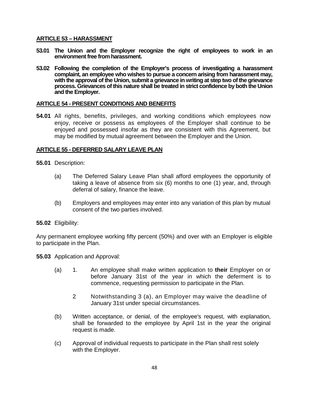## **ARTICLE 53 – HARASSMENT**

- **53.01 The Union and the Employer recognize the right of employees to work in an environment free from harassment.**
- **53.02 Following the completion of the Employer's process of investigating a harassment complaint, an employee who wishes to pursue a concern arising from harassment may, with the approval of the Union, submit a grievance in writing at step two of the grievance process. Grievances of this nature shall be treated in strict confidence by both the Union and the Employer.**

## **ARTICLE 54 - PRESENT CONDITIONS AND BENEFITS**

**54.01** All rights, benefits, privileges, and working conditions which employees now enjoy, receive or possess as employees of the Employer shall continue to be enjoyed and possessed insofar as they are consistent with this Agreement, but may be modified by mutual agreement between the Employer and the Union.

## **ARTICLE 55 - DEFERRED SALARY LEAVE PLAN**

**55.01** Description:

- (a) The Deferred Salary Leave Plan shall afford employees the opportunity of taking a leave of absence from six (6) months to one (1) year, and, through deferral of salary, finance the leave.
- (b) Employers and employees may enter into any variation of this plan by mutual consent of the two parties involved.

**55.02** Eligibility:

Any permanent employee working fifty percent (50%) and over with an Employer is eligible to participate in the Plan.

**55.03** Application and Approval:

- (a) 1. An employee shall make written application to **their** Employer on or before January 31st of the year in which the deferment is to commence, requesting permission to participate in the Plan.
	- 2. Notwithstanding 3 (a), an Employer may waive the deadline of January 31st under special circumstances.
- (b) Written acceptance, or denial, of the employee's request, with explanation, shall be forwarded to the employee by April 1st in the year the original request is made.
- (c) Approval of individual requests to participate in the Plan shall rest solely with the Employer.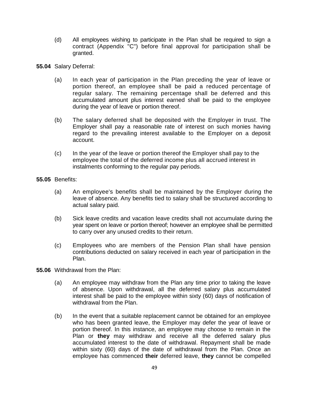- (d) All employees wishing to participate in the Plan shall be required to sign a contract (Appendix "C") before final approval for participation shall be granted.
- **55.04** Salary Deferral:
	- (a) In each year of participation in the Plan preceding the year of leave or portion thereof, an employee shall be paid a reduced percentage of regular salary. The remaining percentage shall be deferred and this accumulated amount plus interest earned shall be paid to the employee during the year of leave or portion thereof.
	- (b) The salary deferred shall be deposited with the Employer in trust. The Employer shall pay a reasonable rate of interest on such monies having regard to the prevailing interest available to the Employer on a deposit account.
	- (c) In the year of the leave or portion thereof the Employer shall pay to the employee the total of the deferred income plus all accrued interest in instalments conforming to the regular pay periods.
- **55.05** Benefits:
	- (a) An employee's benefits shall be maintained by the Employer during the leave of absence. Any benefits tied to salary shall be structured according to actual salary paid.
	- (b) Sick leave credits and vacation leave credits shall not accumulate during the year spent on leave or portion thereof; however an employee shall be permitted to carry over any unused credits to their return.
	- (c) Employees who are members of the Pension Plan shall have pension contributions deducted on salary received in each year of participation in the Plan.
- **55.06** Withdrawal from the Plan:
	- (a) An employee may withdraw from the Plan any time prior to taking the leave of absence. Upon withdrawal, all the deferred salary plus accumulated interest shall be paid to the employee within sixty (60) days of notification of withdrawal from the Plan.
	- (b) In the event that a suitable replacement cannot be obtained for an employee who has been granted leave, the Employer may defer the year of leave or portion thereof. In this instance, an employee may choose to remain in the Plan or they may withdraw and receive all the deferred salary plus accumulated interest to the date of withdrawal. Repayment shall be made within sixty (60) days of the date of withdrawal from the Plan. Once an employee has commenced **their** deferred leave, **they** cannot be compelled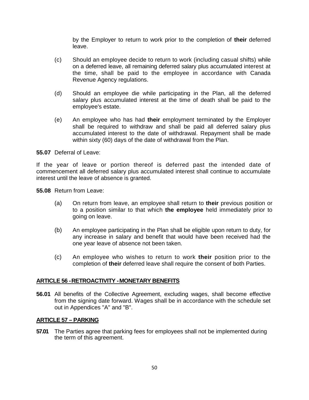by the Employer to return to work prior to the completion of **their** deferred leave.

- (c) Should an employee decide to return to work (including casual shifts) while on a deferred leave, all remaining deferred salary plus accumulated interest at the time, shall be paid to the employee in accordance with Canada Revenue Agency regulations.
- (d) Should an employee die while participating in the Plan, all the deferred salary plus accumulated interest at the time of death shall be paid to the employee's estate.
- (e) An employee who has had **their** employment terminated by the Employer shall be required to withdraw and shall be paid all deferred salary plus accumulated interest to the date of withdrawal. Repayment shall be made within sixty (60) days of the date of withdrawal from the Plan.

**55.07** Deferral of Leave:

If the year of leave or portion thereof is deferred past the intended date of commencement all deferred salary plus accumulated interest shall continue to accumulate interest until the leave of absence is granted.

**55.08** Return from Leave:

- (a) On return from leave, an employee shall return to **their** previous position or to a position similar to that which **the employee** held immediately prior to going on leave.
- (b) An employee participating in the Plan shall be eligible upon return to duty, for any increase in salary and benefit that would have been received had the one year leave of absence not been taken.
- (c) An employee who wishes to return to work **their** position prior to the completion of **their** deferred leave shall require the consent of both Parties.

## **ARTICLE 56 -RETROACTIVITY -MONETARY BENEFITS**

**56.01** All benefits of the Collective Agreement, excluding wages, shall become effective from the signing date forward. Wages shall be in accordance with the schedule set out in Appendices "A" and "B".

### **ARTICLE 57 – PARKING**

**57.01** The Parties agree that parking fees for employees shall not be implemented during the term of this agreement.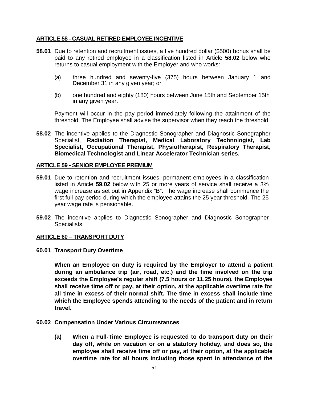## **ARTICLE 58 - CASUAL RETIRED EMPLOYEE INCENTIVE**

- **58.01** Due to retention and recruitment issues, a five hundred dollar (\$500) bonus shall be paid to any retired employee in a classification listed in Article **58.02** below who returns to casual employment with the Employer and who works:
	- (a) three hundred and seventy-five (375) hours between January 1 and December 31 in any given year; or
	- (b) one hundred and eighty (180) hours between June 15th and September 15th in any given year.

Payment will occur in the pay period immediately following the attainment of the threshold. The Employee shall advise the supervisor when they reach the threshold.

**58.02** The incentive applies to the Diagnostic Sonographer and Diagnostic Sonographer Specialist, **Radiation Therapist, Medical Laboratory Technologist, Lab Specialist, Occupational Therapist, Physiotherapist, Respiratory Therapist, Biomedical Technologist and Linear Accelerator Technician series**.

#### **ARTICLE 59 - SENIOR EMPLOYEE PREMIUM**

- **59.01** Due to retention and recruitment issues, permanent employees in a classification listed in Article **59.02** below with 25 or more years of service shall receive a 3% wage increase as set out in Appendix "B". The wage increase shall commence the first full pay period during which the employee attains the 25 year threshold. The 25 year wage rate is pensionable.
- **59.02** The incentive applies to Diagnostic Sonographer and Diagnostic Sonographer Specialists.

### **ARTICLE 60 – TRANSPORT DUTY**

**60.01 Transport Duty Overtime**

**When an Employee on duty is required by the Employer to attend a patient during an ambulance trip (air, road, etc.) and the time involved on the trip exceeds the Employee's regular shift (7.5 hours or 11.25 hours), the Employee shall receive time off or pay, at their option, at the applicable overtime rate for all time in excess of their normal shift. The time in excess shall include time which the Employee spends attending to the needs of the patient and in return travel.**

#### **60.02 Compensation Under Various Circumstances**

**(a) When a Full-Time Employee is requested to do transport duty on their day off, while on vacation or on a statutory holiday, and does so, the employee shall receive time off or pay, at their option, at the applicable overtime rate for all hours including those spent in attendance of the**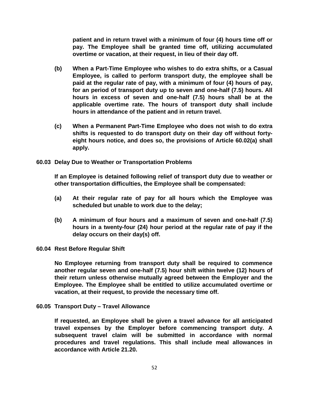**patient and in return travel with a minimum of four (4) hours time off or pay. The Employee shall be granted time off, utilizing accumulated overtime or vacation, at their request, in lieu of their day off.**

- **(b) When a Part-Time Employee who wishes to do extra shifts, or a Casual Employee, is called to perform transport duty, the employee shall be paid at the regular rate of pay, with a minimum of four (4) hours of pay, for an period of transport duty up to seven and one-half (7.5) hours. All hours in excess of seven and one-half (7.5) hours shall be at the applicable overtime rate. The hours of transport duty shall include hours in attendance of the patient and in return travel.**
- **(c) When a Permanent Part-Time Employee who does not wish to do extra shifts is requested to do transport duty on their day off without fortyeight hours notice, and does so, the provisions of Article 60.02(a) shall apply.**
- **60.03 Delay Due to Weather or Transportation Problems**

**If an Employee is detained following relief of transport duty due to weather or other transportation difficulties, the Employee shall be compensated:** 

- **(a) At their regular rate of pay for all hours which the Employee was scheduled but unable to work due to the delay;**
- **(b) A minimum of four hours and a maximum of seven and one-half (7.5) hours in a twenty-four (24) hour period at the regular rate of pay if the delay occurs on their day(s) off.**

### **60.04 Rest Before Regular Shift**

**No Employee returning from transport duty shall be required to commence another regular seven and one-half (7.5) hour shift within twelve (12) hours of their return unless otherwise mutually agreed between the Employer and the Employee. The Employee shall be entitled to utilize accumulated overtime or vacation, at their request, to provide the necessary time off.** 

**60.05 Transport Duty – Travel Allowance**

**If requested, an Employee shall be given a travel advance for all anticipated travel expenses by the Employer before commencing transport duty. A subsequent travel claim will be submitted in accordance with normal procedures and travel regulations. This shall include meal allowances in accordance with Article 21.20.**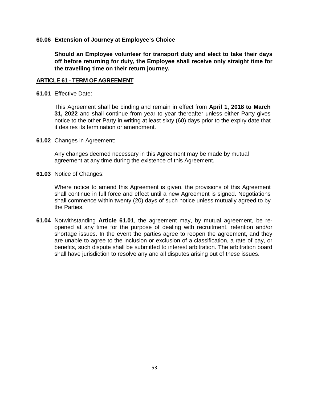### **60.06 Extension of Journey at Employee's Choice**

**Should an Employee volunteer for transport duty and elect to take their days off before returning for duty, the Employee shall receive only straight time for the travelling time on their return journey.** 

## **ARTICLE 61 - TERM OF AGREEMENT**

**61.01** Effective Date:

This Agreement shall be binding and remain in effect from **April 1, 2018 to March 31, 2022** and shall continue from year to year thereafter unless either Party gives notice to the other Party in writing at least sixty (60) days prior to the expiry date that it desires its termination or amendment.

**61.02** Changes in Agreement:

Any changes deemed necessary in this Agreement may be made by mutual agreement at any time during the existence of this Agreement.

**61.03** Notice of Changes:

Where notice to amend this Agreement is given, the provisions of this Agreement shall continue in full force and effect until a new Agreement is signed. Negotiations shall commence within twenty (20) days of such notice unless mutually agreed to by the Parties.

**61.04** Notwithstanding **Article 61.01**, the agreement may, by mutual agreement, be reopened at any time for the purpose of dealing with recruitment, retention and/or shortage issues. In the event the parties agree to reopen the agreement, and they are unable to agree to the inclusion or exclusion of a classification, a rate of pay, or benefits, such dispute shall be submitted to interest arbitration. The arbitration board shall have jurisdiction to resolve any and all disputes arising out of these issues.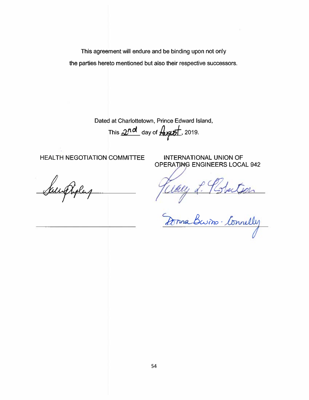This agreement will endure and be binding upon not only the parties hereto mentioned but also their respective successors.

Dated at Charlottetown, Prince Edward Island,

This  $2nd$  day of  $\frac{1}{2}$  2019.

**HEALTH NEGOTIATION COMMITTEE** 

Saundholas

**INTERNATIONAL UNION OF OPERATING ENGINEERS LOCAL 942** 

Wally L. Plstectson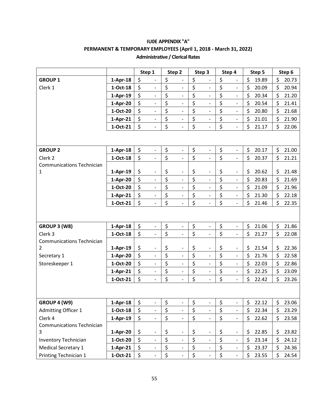|                                                    |            |          | Step 1                   | Step 2                             | Step 3                             | Step 4                             |         | Step 5 | Step 6      |
|----------------------------------------------------|------------|----------|--------------------------|------------------------------------|------------------------------------|------------------------------------|---------|--------|-------------|
| <b>GROUP 1</b>                                     | $1-Apr-18$ | \$       | $\overline{\phantom{0}}$ | \$                                 | \$                                 | \$<br>$\overline{\phantom{0}}$     | \$      | 19.89  | \$<br>20.73 |
| Clerk 1                                            | $1-Oct-18$ | \$       | $\blacksquare$           | \$<br>$\overline{\phantom{a}}$     | \$<br>$\overline{\phantom{a}}$     | \$<br>$\overline{\phantom{0}}$     | \$      | 20.09  | \$<br>20.94 |
|                                                    | $1-Apr-19$ | \$       | $\frac{1}{2}$            | \$<br>$\overline{a}$               | \$<br>$\overline{\phantom{a}}$     | \$<br>$\qquad \qquad \blacksquare$ | \$      | 20.34  | \$<br>21.20 |
|                                                    | 1-Apr-20   | \$       | $\overline{\phantom{a}}$ | \$<br>$\overline{\phantom{a}}$     | \$<br>$\blacksquare$               | \$<br>$\blacksquare$               | \$      | 20.54  | \$<br>21.41 |
|                                                    | 1-Oct-20   | \$       |                          | \$<br>$\frac{1}{2}$                | \$<br>$\overline{\phantom{0}}$     | \$<br>$\qquad \qquad \blacksquare$ | \$      | 20.80  | \$<br>21.68 |
|                                                    | $1-Apr-21$ | \$       | $\blacksquare$           | \$<br>$\blacksquare$               | \$<br>$\blacksquare$               | \$<br>$\frac{1}{2}$                | \$      | 21.01  | \$<br>21.90 |
|                                                    | 1-Oct-21   | \$       | $\overline{\phantom{a}}$ | \$                                 | \$<br>$\frac{1}{2}$                | \$<br>$\overline{\phantom{a}}$     | \$      | 21.17  | \$<br>22.06 |
|                                                    |            |          |                          |                                    |                                    |                                    |         |        |             |
| <b>GROUP 2</b>                                     | $1-Apr-18$ | \$       | $\overline{\phantom{a}}$ | \$<br>$\overline{a}$               | \$<br>$\qquad \qquad \blacksquare$ | \$<br>$\overline{\phantom{0}}$     | \$      | 20.17  | \$<br>21.00 |
| Clerk 2                                            | 1-Oct-18   | \$       | $\overline{\phantom{a}}$ | \$<br>$\overline{\phantom{a}}$     | \$<br>$\overline{\phantom{m}}$     | \$<br>$\frac{1}{2}$                | \$      | 20.37  | \$<br>21.21 |
| <b>Communications Technician</b>                   |            |          |                          |                                    |                                    |                                    |         |        |             |
| 1                                                  | $1-Apr-19$ | \$       | $\overline{\phantom{a}}$ | \$<br>$\qquad \qquad \blacksquare$ | \$<br>$\qquad \qquad \blacksquare$ | \$<br>$\overline{\phantom{0}}$     | \$      | 20.62  | \$<br>21.48 |
|                                                    | 1-Apr-20   | \$<br>\$ | $\overline{\phantom{a}}$ | \$<br>$\overline{\phantom{a}}$     | \$<br>$\overline{\phantom{a}}$     | \$<br>$\frac{1}{2}$                | $\zeta$ | 20.83  | \$<br>21.69 |
|                                                    | 1-Oct-20   |          | $\overline{\phantom{a}}$ | \$<br>$\overline{\phantom{a}}$     | \$<br>$\frac{1}{2}$                | \$<br>$\overline{\phantom{0}}$     | \$      | 21.09  | \$<br>21.96 |
|                                                    | $1-Apr-21$ | \$       | $\overline{\phantom{a}}$ | \$<br>$\frac{1}{2}$                | \$<br>$\qquad \qquad \blacksquare$ | \$<br>$\qquad \qquad \blacksquare$ | \$      | 21.30  | \$<br>22.18 |
|                                                    | 1-Oct-21   | \$       | $\blacksquare$           | \$<br>$\qquad \qquad \blacksquare$ | \$<br>$\frac{1}{2}$                | \$<br>$\qquad \qquad \blacksquare$ | \$      | 21.46  | \$<br>22.35 |
|                                                    |            |          |                          |                                    |                                    |                                    |         |        |             |
| GROUP 3 (W8)                                       | $1-Apr-18$ | \$       | $\blacksquare$           | \$<br>$\qquad \qquad \blacksquare$ | \$<br>$\overline{\phantom{m}}$     | \$<br>$\overline{\phantom{0}}$     | \$      | 21.06  | \$<br>21.86 |
| Clerk 3                                            | $1-Oct-18$ | \$       | $\blacksquare$           | \$<br>$\blacksquare$               | \$<br>$\overline{\phantom{a}}$     | \$<br>$\frac{1}{2}$                | \$      | 21.27  | \$<br>22.08 |
| <b>Communications Technician</b><br>$\overline{2}$ | $1-Apr-19$ | \$       | $\overline{\phantom{a}}$ | \$<br>$\qquad \qquad \blacksquare$ | \$<br>$\qquad \qquad \blacksquare$ | \$<br>$\qquad \qquad \blacksquare$ | \$      | 21.54  | \$<br>22.36 |
| Secretary 1                                        | 1-Apr-20   | \$       | $\overline{\phantom{a}}$ | \$<br>$\blacksquare$               | \$                                 | \$<br>$\frac{1}{2}$                | $\zeta$ | 21.76  | \$<br>22.58 |
| Storeskeeper 1                                     | 1-Oct-20   | \$       | $\overline{\phantom{a}}$ | \$<br>$\blacksquare$               | \$<br>$\qquad \qquad -$            | \$<br>$\overline{\phantom{a}}$     | \$      | 22.03  | \$<br>22.86 |
|                                                    | $1-Apr-21$ | \$       | $\overline{\phantom{a}}$ | \$<br>$\overline{\phantom{0}}$     | \$<br>$\blacksquare$               | \$<br>$\overline{\phantom{0}}$     | \$      | 22.25  | \$<br>23.09 |
|                                                    | 1-Oct-21   | \$       | $\blacksquare$           | \$<br>$\overline{\phantom{0}}$     | \$<br>$\frac{1}{2}$                | \$<br>$\overline{\phantom{0}}$     | \$      | 22.42  | \$<br>23.26 |
|                                                    |            |          |                          |                                    |                                    |                                    |         |        |             |
| GROUP 4 (W9)                                       | $1-Apr-18$ | \$       |                          | \$<br>-                            | \$                                 | \$<br>$\overline{a}$               | \$      | 22.12  | \$<br>23.06 |
| <b>Admitting Officer 1</b>                         | $1-Oct-18$ | \$       | $\blacksquare$           | \$<br>$\blacksquare$               | \$<br>$\overline{\phantom{a}}$     | \$<br>$\frac{1}{2}$                | \$      | 22.34  | \$<br>23.29 |
| Clerk 4                                            | $1-Apr-19$ | \$       | $\overline{\phantom{a}}$ | \$<br>$\overline{\phantom{a}}$     | \$<br>$\overline{\phantom{m}}$     | \$<br>$\frac{1}{2}$                | \$      | 22.62  | \$<br>23.58 |
| <b>Communications Technician</b>                   |            |          |                          |                                    |                                    |                                    |         |        |             |
| 3                                                  | 1-Apr-20   | \$       |                          | \$<br>$\qquad \qquad -$            | \$<br>$\qquad \qquad -$            | \$<br>$\qquad \qquad -$            | \$      | 22.85  | \$<br>23.82 |
| <b>Inventory Technician</b>                        | 1-Oct-20   | \$       | $\overline{\phantom{a}}$ | \$<br>$\overline{\phantom{a}}$     | \$<br>$\overline{\phantom{a}}$     | \$<br>$\frac{1}{2}$                | \$      | 23.14  | \$<br>24.12 |
| Medical Secretary 1                                | $1-Apr-21$ | \$       |                          | \$                                 | \$<br>$\qquad \qquad \blacksquare$ | \$<br>$\overline{\phantom{0}}$     | \$      | 23.37  | \$<br>24.36 |
| Printing Technician 1                              | $1-Oct-21$ | \$       | $\overline{\phantom{a}}$ | \$<br>$\overline{\phantom{a}}$     | \$<br>$\frac{1}{2}$                | \$<br>$\overline{\phantom{0}}$     | \$      | 23.55  | \$<br>24.54 |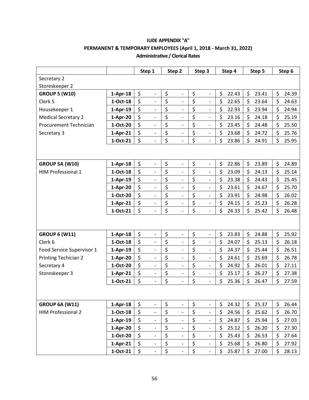|                             |            | Step 1                         | Step 2                             | Step 3                             | Step 4      | Step 5      | Step 6      |
|-----------------------------|------------|--------------------------------|------------------------------------|------------------------------------|-------------|-------------|-------------|
| Secretary 2                 |            |                                |                                    |                                    |             |             |             |
| Storeskeeper 2              |            |                                |                                    |                                    |             |             |             |
| <b>GROUP 5 (W10)</b>        | $1-Apr-18$ | \$<br>$\overline{\phantom{a}}$ | \$<br>$\overline{a}$               | \$<br>$\overline{\phantom{0}}$     | \$<br>22.43 | \$<br>23.41 | \$<br>24.39 |
| Clerk 5                     | $1-Oct-18$ | \$<br>$\overline{\phantom{0}}$ | \$<br>$\qquad \qquad \blacksquare$ | \$<br>$\overline{a}$               | \$<br>22.65 | \$<br>23.64 | \$<br>24.63 |
| Housekeeper 1               | $1-Apr-19$ | \$<br>$\qquad \qquad -$        | \$<br>$\qquad \qquad -$            | \$<br>$\overline{\phantom{0}}$     | \$<br>22.93 | \$<br>23.94 | \$<br>24.94 |
| <b>Medical Secretary 2</b>  | 1-Apr-20   | \$<br>$\overline{\phantom{a}}$ | \$<br>$\overline{\phantom{0}}$     | \$<br>$\overline{\phantom{0}}$     | \$<br>23.16 | \$<br>24.18 | \$<br>25.19 |
| Procurement Technician      | 1-Oct-20   | \$<br>$\overline{\phantom{a}}$ | \$<br>$\blacksquare$               | \$<br>$\overline{\phantom{0}}$     | \$<br>23.45 | \$<br>24.48 | \$<br>25.50 |
| Secretary 3                 | $1-Apr-21$ | \$<br>$\overline{a}$           | \$<br>$\frac{1}{2}$                | \$<br>$\overline{\phantom{0}}$     | \$<br>23.68 | \$<br>24.72 | \$<br>25.76 |
|                             | 1-Oct-21   | \$<br>$\overline{\phantom{a}}$ | \$<br>$\overline{a}$               | \$<br>$\overline{a}$               | \$<br>23.86 | \$<br>24.91 | \$<br>25.95 |
|                             |            |                                |                                    |                                    |             |             |             |
| <b>GROUP 5A (W10)</b>       | $1-Apr-18$ | \$<br>$\qquad \qquad -$        | \$<br>$\qquad \qquad \blacksquare$ | \$<br>$\overline{\phantom{0}}$     | \$<br>22.86 | \$<br>23.89 | \$<br>24.89 |
| HIM Professional 1          | 1-Oct-18   | \$<br>$\frac{1}{2}$            | \$<br>$\overline{a}$               | \$<br>$\overline{\phantom{0}}$     | \$<br>23.09 | \$<br>24.13 | \$<br>25.14 |
|                             | $1-Apr-19$ | \$<br>$\overline{\phantom{a}}$ | \$<br>$\overline{\phantom{a}}$     | \$<br>$\overline{\phantom{0}}$     | \$<br>23.38 | \$<br>24.43 | \$<br>25.45 |
|                             | 1-Apr-20   | \$<br>$\overline{a}$           | \$<br>$\overline{\phantom{0}}$     | \$<br>$\overline{a}$               | \$<br>23.61 | \$<br>24.67 | \$<br>25.70 |
|                             | 1-Oct-20   | \$<br>$\overline{\phantom{a}}$ | \$<br>$\overline{\phantom{a}}$     | \$<br>$\overline{a}$               | \$<br>23.91 | \$<br>24.98 | \$<br>26.02 |
|                             | $1-Apr-21$ | \$<br>$\overline{\phantom{0}}$ | \$<br>$\qquad \qquad \blacksquare$ | \$<br>$\overline{\phantom{0}}$     | \$<br>24.15 | \$<br>25.23 | \$<br>26.28 |
|                             | 1-Oct-21   | \$                             | \$<br>$\overline{\phantom{m}}$     | \$<br>$\overline{\phantom{m}}$     | \$<br>24.33 | \$<br>25.42 | \$<br>26.48 |
|                             |            |                                |                                    |                                    |             |             |             |
| <b>GROUP 6 (W11)</b>        | $1-Apr-18$ | \$<br>$\overline{\phantom{a}}$ | \$<br>$\qquad \qquad -$            | \$<br>$\overline{\phantom{0}}$     | \$<br>23.83 | \$<br>24.88 | \$<br>25.92 |
| Clerk <sub>6</sub>          | $1-Oct-18$ | \$<br>$\overline{a}$           | \$<br>$\frac{1}{2}$                | \$<br>$\overline{a}$               | \$<br>24.07 | \$<br>25.13 | \$<br>26.18 |
| Food Service Supervisor 1   | $1-Apr-19$ | \$<br>$\overline{\phantom{a}}$ | \$<br>$\qquad \qquad \blacksquare$ | \$<br>$\overline{\phantom{0}}$     | \$<br>24.37 | \$<br>25.44 | \$<br>26.51 |
| <b>Printing Techician 2</b> | 1-Apr-20   | \$<br>$\overline{\phantom{a}}$ | \$<br>$\qquad \qquad -$            | \$<br>$\qquad \qquad -$            | \$<br>24.61 | \$<br>25.69 | \$<br>26.78 |
| Secretary 4                 | 1-Oct-20   | \$<br>$\frac{1}{2}$            | \$<br>$\overline{\phantom{0}}$     | \$<br>$\overline{\phantom{m}}$     | \$<br>24.92 | \$<br>26.01 | \$<br>27.11 |
| Storeskeeper 3              | $1-Apr-21$ | \$<br>$\overline{\phantom{a}}$ | \$<br>$\overline{\phantom{a}}$     | \$<br>$\overline{\phantom{0}}$     | \$<br>25.17 | \$<br>26.27 | \$<br>27.38 |
|                             | 1-Oct-21   | \$<br>$\overline{\phantom{0}}$ | \$                                 | \$<br>$\overline{\phantom{m}}$     | \$<br>25.36 | \$<br>26.47 | \$<br>27.59 |
|                             |            |                                |                                    |                                    |             |             |             |
| <b>GROUP 6A (W11)</b>       | $1-Apr-18$ | \$<br>$\blacksquare$           | \$<br>$\overline{\phantom{a}}$     | \$<br>$\overline{\phantom{0}}$     | \$<br>24.32 | \$<br>25.37 | \$<br>26.44 |
| <b>HIM Professional 2</b>   | $1-Oct-18$ | \$<br>$\overline{\phantom{0}}$ | \$<br>$\overline{\phantom{a}}$     | \$<br>$\overline{\phantom{0}}$     | \$<br>24.56 | \$<br>25.62 | \$<br>26.70 |
|                             | 1-Apr-19   | \$<br>$\overline{\phantom{a}}$ | \$<br>$\blacksquare$               | \$<br>$\qquad \qquad \blacksquare$ | \$<br>24.87 | \$<br>25.94 | \$<br>27.03 |
|                             | 1-Apr-20   | \$<br>$\overline{\phantom{a}}$ | \$<br>$\overline{\phantom{a}}$     | \$<br>$\overline{\phantom{0}}$     | \$<br>25.12 | \$<br>26.20 | \$<br>27.30 |
|                             | 1-Oct-20   | \$<br>$\overline{\phantom{a}}$ | \$                                 | \$<br>$\overline{\phantom{0}}$     | \$<br>25.43 | \$<br>26.53 | \$<br>27.64 |
|                             | $1-Apr-21$ | \$<br>$\overline{\phantom{a}}$ | \$<br>$\overline{\phantom{a}}$     | \$<br>$\overline{\phantom{0}}$     | \$<br>25.68 | \$<br>26.80 | \$<br>27.92 |
|                             | 1-Oct-21   | \$<br>$\overline{\phantom{a}}$ | \$<br>$\qquad \qquad \blacksquare$ | \$<br>$\overline{\phantom{0}}$     | \$<br>25.87 | \$<br>27.00 | \$<br>28.13 |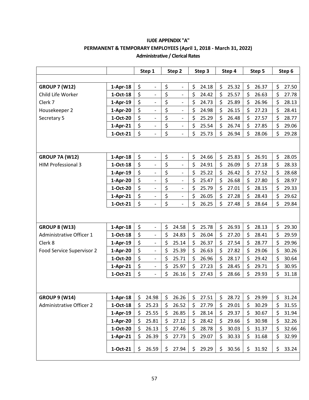|                                     |                        |          | Step 1                                               |          | Step 2                       |          | Step 3         |          | Step 4         |          | Step 5         |          | Step 6         |
|-------------------------------------|------------------------|----------|------------------------------------------------------|----------|------------------------------|----------|----------------|----------|----------------|----------|----------------|----------|----------------|
|                                     |                        |          |                                                      |          |                              |          |                |          |                |          |                |          |                |
| <b>GROUP 7 (W12)</b>                | $1-Apr-18$             | \$       | $\overline{\phantom{0}}$                             | \$       | $\overline{a}$               | \$       | 24.18          | \$       | 25.32          | \$       | 26.37          | \$       | 27.50          |
| Child Life Worker                   | 1-Oct-18               | \$       | $\qquad \qquad -$                                    | \$       | $\overline{a}$               | \$       | 24.42          | \$       | 25.57          | \$       | 26.63          | \$       | 27.78          |
| Clerk 7                             | $1-Apr-19$             | \$       |                                                      | \$       | $\overline{\phantom{a}}$     | \$       | 24.73          | \$       | 25.89          | \$       | 26.96          | \$       | 28.13          |
| Housekeeper 2                       | $1-Apr-20$             | \$       | $\overline{\phantom{0}}$                             | \$       | $\overline{\phantom{0}}$     | \$       | 24.98          | \$       | 26.15          | \$       | 27.23          | \$       | 28.41          |
| Secretary 5                         | 1-Oct-20               | \$       | $\overline{\phantom{0}}$                             | \$       | $\qquad \qquad -$            | \$       | 25.29          | \$       | 26.48          | \$       | 27.57          | \$       | 28.77          |
|                                     | $1-Apr-21$             | \$       | $\overline{\phantom{0}}$                             | \$       | $\overline{\phantom{0}}$     | \$       | 25.54          | \$       | 26.74          | \$       | 27.85          | \$       | 29.06          |
|                                     | 1-Oct-21               | \$       | $\overline{\phantom{0}}$                             | \$       | $\overline{\phantom{0}}$     | \$       | 25.73          | \$       | 26.94          | \$       | 28.06          | \$       | 29.28          |
|                                     |                        |          |                                                      |          |                              |          |                |          |                |          |                |          |                |
|                                     |                        |          |                                                      |          |                              |          |                |          |                |          |                |          |                |
| <b>GROUP 7A (W12)</b>               | $1-Apr-18$             | \$       | $\qquad \qquad -$                                    | \$       | $\overline{\phantom{a}}$     | \$       | 24.66          | \$       | 25.83          | \$       | 26.91          | \$       | 28.05          |
| <b>HIM Professional 3</b>           | 1-Oct-18               | \$       | $\overline{\phantom{0}}$                             | \$       | $\overline{\phantom{0}}$     | \$       | 24.91          | \$       | 26.09          | \$       | 27.18          | \$       | 28.33          |
|                                     | $1-Apr-19$             | \$       | $\overline{\phantom{0}}$                             | \$       | $\qquad \qquad -$            | \$       | 25.22          | \$       | 26.42          | \$       | 27.52          | \$       | 28.68          |
|                                     | 1-Apr-20               | \$       | $\overline{\phantom{0}}$                             | \$       | $\overline{\phantom{0}}$     | \$       | 25.47          | \$       | 26.68          | \$       | 27.80          | \$       | 28.97          |
|                                     | 1-Oct-20               | \$       | $\overline{\phantom{0}}$                             | \$       | $\qquad \qquad \blacksquare$ | \$       | 25.79          | \$       | 27.01          | \$       | 28.15          | \$       | 29.33          |
|                                     | $1-Apr-21$             | \$       | $\overline{\phantom{a}}$                             | \$       | -                            | \$       | 26.05          | \$       | 27.28          | \$       | 28.43          | \$       | 29.62          |
|                                     | 1-Oct-21               | \$       | $\overline{\phantom{0}}$                             | \$       | $\qquad \qquad \blacksquare$ | \$       | 26.25          | \$       | 27.48          | \$       | 28.64          | \$       | 29.84          |
|                                     |                        |          |                                                      |          |                              |          |                |          |                |          |                |          |                |
|                                     |                        |          |                                                      |          |                              |          |                |          |                |          |                |          |                |
| <b>GROUP 8 (W13)</b>                | $1-Apr-18$             | \$<br>\$ | $\overline{\phantom{0}}$                             | \$<br>\$ | 24.58                        | \$<br>\$ | 25.78          | \$<br>\$ | 26.93          | \$<br>\$ | 28.13          | \$       | 29.30          |
| Administrative Officer 1<br>Clerk 8 | 1-Oct-18               | \$       | $\overline{\phantom{0}}$                             |          | 24.83                        | \$       | 26.04          |          | 27.20          | \$       | 28.41          | \$       | 29.59          |
|                                     | $1-Apr-19$             | \$       | $\overline{\phantom{0}}$                             | \$       | 25.14                        | \$       | 26.37          | \$<br>\$ | 27.54          |          | 28.77          | \$       | 29.96          |
| Food Service Supervisor 2           | 1-Apr-20<br>1-Oct-20   | \$       | $\qquad \qquad -$<br>$\overline{\phantom{0}}$        | \$<br>\$ | 25.39<br>25.71               | \$       | 26.63<br>26.96 | \$       | 27.82<br>28.17 | \$<br>\$ | 29.06<br>29.42 | \$<br>\$ | 30.26<br>30.64 |
|                                     |                        | \$       |                                                      | \$       | 25.97                        | \$       | 27.23          | \$       | 28.45          | \$       | 29.71          | \$       | 30.95          |
|                                     | $1-Apr-21$<br>1-Oct-21 | \$       | $\overline{\phantom{0}}$<br>$\overline{\phantom{0}}$ | \$       | 26.16                        | \$       |                | \$       | 28.66          | \$       | 29.93          | \$       | 31.18          |
|                                     |                        |          |                                                      |          |                              |          | 27.43          |          |                |          |                |          |                |
|                                     |                        |          |                                                      |          |                              |          |                |          |                |          |                |          |                |
| <b>GROUP 9 (W14)</b>                | $1-Apr-18$             | \$       | 24.98                                                | \$       | 26.26                        | \$       | 27.51          | \$       | 28.72          | \$       | 29.99          | \$       | 31.24          |
| <b>Administrative Officer 2</b>     | $1-Oct-18$             | \$       | 25.23                                                | \$       | 26.52                        | \$       | 27.79          | \$       | 29.01          | \$       | 30.29          | \$       | 31.55          |
|                                     | $1-Apr-19$             | \$       | 25.55                                                | \$       | 26.85                        | \$       | 28.14          | \$       | 29.37          | \$       | 30.67          | \$       | 31.94          |
|                                     | $1-Apr-20$             | \$       | 25.81                                                | \$       | 27.12                        | \$       | 28.42          | \$       | 29.66          | \$       | 30.98          | \$       | 32.26          |
|                                     | 1-Oct-20               | \$       | 26.13                                                | \$       | 27.46                        | \$       | 28.78          | \$       | 30.03          | \$       | 31.37          | \$       | 32.66          |
|                                     | $1-Apr-21$             | \$       | 26.39                                                | \$       | 27.73                        | \$       | 29.07          | \$       | 30.33          | \$       | 31.68          | \$       | 32.99          |
|                                     |                        |          |                                                      |          |                              |          |                |          |                |          |                |          |                |
|                                     | 1-Oct-21               | \$       | 26.59                                                | \$       | 27.94                        | \$       | 29.29          | \$       | 30.56          | \$       | 31.92          | \$       | 33.24          |
|                                     |                        |          |                                                      |          |                              |          |                |          |                |          |                |          |                |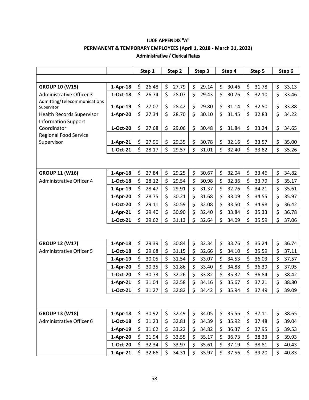|                                            |            | Step 1      | Step 2      | Step 3      | Step 4      | Step 5      | Step 6      |
|--------------------------------------------|------------|-------------|-------------|-------------|-------------|-------------|-------------|
|                                            |            |             |             |             |             |             |             |
| <b>GROUP 10 (W15)</b>                      | $1-Apr-18$ | \$<br>26.48 | \$<br>27.79 | \$<br>29.14 | \$<br>30.46 | \$<br>31.78 | \$<br>33.13 |
| <b>Administrative Officer 3</b>            | $1-Oct-18$ | \$<br>26.74 | \$<br>28.07 | \$<br>29.43 | \$<br>30.76 | \$<br>32.10 | \$<br>33.46 |
| Admitting/Telecommunications<br>Supervisor | $1-Apr-19$ | \$<br>27.07 | \$<br>28.42 | \$<br>29.80 | \$<br>31.14 | \$<br>32.50 | \$<br>33.88 |
| <b>Health Records Supervisor</b>           | 1-Apr-20   | \$<br>27.34 | \$<br>28.70 | \$<br>30.10 | \$<br>31.45 | \$<br>32.83 | \$<br>34.22 |
| <b>Information Support</b>                 |            |             |             |             |             |             |             |
| Coordinator                                | 1-Oct-20   | \$<br>27.68 | \$<br>29.06 | \$<br>30.48 | \$<br>31.84 | \$<br>33.24 | \$<br>34.65 |
| <b>Regional Food Service</b>               |            |             |             |             |             |             |             |
| Supervisor                                 | $1-Apr-21$ | \$<br>27.96 | \$<br>29.35 | \$<br>30.78 | \$<br>32.16 | \$<br>33.57 | \$<br>35.00 |
|                                            | 1-Oct-21   | \$<br>28.17 | \$<br>29.57 | \$<br>31.01 | \$<br>32.40 | \$<br>33.82 | \$<br>35.26 |
|                                            |            |             |             |             |             |             |             |
|                                            |            |             |             |             |             |             |             |
| <b>GROUP 11 (W16)</b>                      | $1-Apr-18$ | \$<br>27.84 | \$<br>29.25 | \$<br>30.67 | \$<br>32.04 | \$<br>33.46 | \$<br>34.82 |
| <b>Administrative Officer 4</b>            | $1-Oct-18$ | \$<br>28.12 | \$<br>29.54 | \$<br>30.98 | \$<br>32.36 | \$<br>33.79 | \$<br>35.17 |
|                                            | $1-Apr-19$ | \$<br>28.47 | \$<br>29.91 | \$<br>31.37 | \$<br>32.76 | \$<br>34.21 | \$<br>35.61 |
|                                            | $1-Apr-20$ | \$<br>28.75 | \$<br>30.21 | \$<br>31.68 | \$<br>33.09 | \$<br>34.55 | \$<br>35.97 |
|                                            | 1-Oct-20   | \$<br>29.11 | \$<br>30.59 | \$<br>32.08 | \$<br>33.50 | \$<br>34.98 | \$<br>36.42 |
|                                            | $1-Apr-21$ | \$<br>29.40 | \$<br>30.90 | \$<br>32.40 | \$<br>33.84 | \$<br>35.33 | \$<br>36.78 |
|                                            | 1-Oct-21   | \$<br>29.62 | \$<br>31.13 | \$<br>32.64 | \$<br>34.09 | \$<br>35.59 | \$<br>37.06 |
|                                            |            |             |             |             |             |             |             |
| <b>GROUP 12 (W17)</b>                      | $1-Apr-18$ | \$<br>29.39 | \$<br>30.84 | \$<br>32.34 | \$<br>33.76 | \$<br>35.24 | \$<br>36.74 |
| <b>Administrative Officer 5</b>            | 1-Oct-18   | \$<br>29.68 | \$<br>31.15 | \$<br>32.66 | \$<br>34.10 | \$<br>35.59 | \$<br>37.11 |
|                                            | $1-Apr-19$ | \$<br>30.05 | \$<br>31.54 | \$<br>33.07 | \$<br>34.53 | \$<br>36.03 | \$<br>37.57 |
|                                            | $1-Apr-20$ | \$<br>30.35 | \$<br>31.86 | \$<br>33.40 | \$<br>34.88 | \$<br>36.39 | \$<br>37.95 |
|                                            | 1-Oct-20   | \$<br>30.73 | \$<br>32.26 | \$<br>33.82 | \$<br>35.32 | \$<br>36.84 | \$<br>38.42 |
|                                            | $1-Apr-21$ | \$<br>31.04 | \$<br>32.58 | \$<br>34.16 | \$<br>35.67 | \$<br>37.21 | \$<br>38.80 |
|                                            | 1-Oct-21   | Ś<br>31.27  | \$<br>32.82 | Ś.<br>34.42 | Ś<br>35.94  | Ś<br>37.49  | Ś<br>39.09  |
|                                            |            |             |             |             |             |             |             |
|                                            |            |             |             |             |             |             |             |
| <b>GROUP 13 (W18)</b>                      | $1-Apr-18$ | 30.92<br>\$ | \$<br>32.49 | \$<br>34.05 | \$<br>35.56 | \$<br>37.11 | \$<br>38.65 |
| Administrative Officer 6                   | $1-Oct-18$ | \$<br>31.23 | \$<br>32.81 | \$<br>34.39 | \$<br>35.92 | \$<br>37.48 | \$<br>39.04 |
|                                            | $1-Apr-19$ | \$<br>31.62 | \$<br>33.22 | \$<br>34.82 | \$<br>36.37 | \$<br>37.95 | \$<br>39.53 |
|                                            | 1-Apr-20   | \$<br>31.94 | \$<br>33.55 | \$<br>35.17 | \$<br>36.73 | \$<br>38.33 | \$<br>39.93 |
|                                            | 1-Oct-20   | \$<br>32.34 | \$<br>33.97 | \$<br>35.61 | \$<br>37.19 | \$<br>38.81 | \$<br>40.43 |
|                                            | $1-Apr-21$ | \$<br>32.66 | \$<br>34.31 | \$<br>35.97 | \$<br>37.56 | \$<br>39.20 | \$<br>40.83 |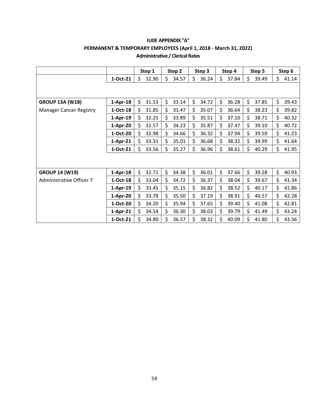|                                |            | Step 1      | Step 2      | Step 3      | Step 4      | Step 5      | Step 6      |
|--------------------------------|------------|-------------|-------------|-------------|-------------|-------------|-------------|
|                                | 1-Oct-21   | \$<br>32.90 | \$<br>34.57 | \$<br>36.24 | \$<br>37.84 | \$<br>39.49 | \$<br>41.14 |
|                                |            |             |             |             |             |             |             |
| <b>GROUP 13A (W18)</b>         | $1-Apr-18$ | \$<br>31.53 | \$<br>33.14 | \$<br>34.72 | \$<br>36.28 | \$<br>37.85 | \$<br>39.43 |
| <b>Manager Cancer Registry</b> | 1-Oct-18   | \$<br>31.85 | \$<br>33.47 | \$<br>35.07 | \$<br>36.64 | \$<br>38.23 | \$<br>39.82 |
|                                | 1-Apr-19   | \$<br>32.25 | \$<br>33.89 | \$<br>35.51 | \$<br>37.10 | \$<br>38.71 | \$<br>40.32 |
|                                | 1-Apr-20   | Ś.<br>32.57 | \$<br>34.23 | \$<br>35.87 | \$<br>37.47 | \$<br>39.10 | \$<br>40.72 |
|                                | 1-Oct-20   | \$<br>32.98 | \$<br>34.66 | \$<br>36.32 | \$<br>37.94 | \$<br>39.59 | \$<br>41.23 |
|                                | $1-Apr-21$ | \$<br>33.31 | \$<br>35.01 | \$<br>36.68 | \$<br>38.32 | \$<br>39.99 | \$<br>41.64 |
|                                | 1-Oct-21   | \$<br>33.56 | \$<br>35.27 | \$<br>36.96 | \$<br>38.61 | \$<br>40.29 | \$<br>41.95 |
|                                |            |             |             |             |             |             |             |
| <b>GROUP 14 (W19)</b>          | $1-Apr-18$ | \$<br>32.71 | \$<br>34.38 | \$<br>36.01 | \$<br>37.66 | \$<br>39.28 | \$<br>40.93 |
| Administrative Officer 7       | 1-Oct-18   | \$<br>33.04 | \$<br>34.72 | \$<br>36.37 | \$<br>38.04 | \$<br>39.67 | \$<br>41.34 |
|                                | $1-Apr-19$ | \$<br>33.45 | \$<br>35.15 | \$<br>36.82 | \$<br>38.52 | \$<br>40.17 | \$<br>41.86 |
|                                | 1-Apr-20   | \$<br>33.78 | \$<br>35.50 | \$<br>37.19 | \$<br>38.91 | \$<br>40.57 | \$<br>42.28 |
|                                | 1-Oct-20   | \$<br>34.20 | \$<br>35.94 | \$<br>37.65 | \$<br>39.40 | \$<br>41.08 | \$<br>42.81 |
|                                | 1-Apr-21   | \$<br>34.54 | \$<br>36.30 | \$<br>38.03 | \$<br>39.79 | \$<br>41.49 | \$<br>43.24 |
|                                | 1-Oct-21   | Ś<br>34.80  | Ś.<br>36.57 | Ś<br>38.32  | \$<br>40.09 | \$<br>41.80 | \$<br>43.56 |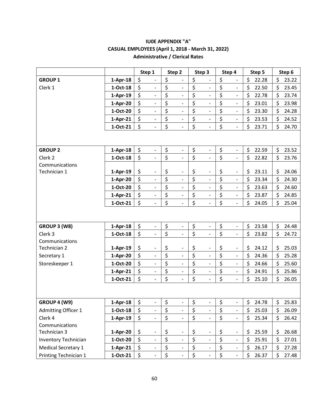|                                |            | Step 1                         | Step 2                             | Step 3                             | Step 4                         |         | Step 5 | Step 6      |
|--------------------------------|------------|--------------------------------|------------------------------------|------------------------------------|--------------------------------|---------|--------|-------------|
| <b>GROUP 1</b>                 | $1-Apr-18$ | \$<br>$\overline{\phantom{0}}$ | \$                                 | \$<br>$\overline{\phantom{0}}$     | \$                             | \$      | 22.28  | \$<br>23.22 |
| Clerk 1                        | $1-Oct-18$ | \$<br>$\blacksquare$           | \$<br>$\blacksquare$               | \$<br>$\overline{\phantom{0}}$     | \$<br>$\overline{\phantom{0}}$ | \$      | 22.50  | \$<br>23.45 |
|                                | $1-Apr-19$ | \$<br>$\blacksquare$           | \$<br>$\frac{1}{2}$                | \$<br>$\overline{a}$               | \$<br>$\overline{\phantom{0}}$ | \$      | 22.78  | \$<br>23.74 |
|                                | $1-Apr-20$ | \$<br>$\blacksquare$           | \$<br>$\overline{\phantom{0}}$     | \$<br>$\overline{\phantom{0}}$     | \$<br>$\overline{a}$           | \$      | 23.01  | \$<br>23.98 |
|                                | 1-Oct-20   | \$<br>$\overline{\phantom{a}}$ | \$<br>$\qquad \qquad -$            | \$<br>$\overline{a}$               | \$<br>$\overline{\phantom{0}}$ | \$      | 23.30  | \$<br>24.28 |
|                                | $1-Apr-21$ | \$<br>$\overline{\phantom{0}}$ | \$<br>$\qquad \qquad \blacksquare$ | \$<br>$\overline{a}$               | \$<br>$\overline{\phantom{0}}$ | \$      | 23.53  | \$<br>24.52 |
|                                | 1-Oct-21   | \$                             | \$                                 | \$                                 | \$<br>$\overline{\phantom{0}}$ | \$      | 23.71  | \$<br>24.70 |
|                                |            |                                |                                    |                                    |                                |         |        |             |
| <b>GROUP 2</b>                 | $1-Apr-18$ | \$<br>$\frac{1}{2}$            | \$<br>$\qquad \qquad \blacksquare$ | \$<br>$\overline{\phantom{0}}$     | \$<br>$\overline{\phantom{0}}$ | \$      | 22.59  | \$<br>23.52 |
| Clerk 2                        | $1-Oct-18$ | \$<br>$\blacksquare$           | \$<br>$\frac{1}{2}$                | \$<br>$\overline{\phantom{0}}$     | \$<br>$\overline{a}$           | \$      | 22.82  | \$<br>23.76 |
| Communications                 |            |                                |                                    |                                    |                                |         |        |             |
| Technician 1                   | $1-Apr-19$ | \$<br>$\overline{\phantom{0}}$ | \$<br>$\qquad \qquad \blacksquare$ | \$<br>$\overline{\phantom{0}}$     | \$<br>$\overline{\phantom{0}}$ | \$      | 23.11  | \$<br>24.06 |
|                                | $1-Apr-20$ | \$<br>$\overline{\phantom{a}}$ | \$<br>$\frac{1}{2}$                | \$<br>$\overline{\phantom{0}}$     | \$<br>$\frac{1}{2}$            | \$      | 23.34  | \$<br>24.30 |
|                                | 1-Oct-20   | \$<br>$\qquad \qquad -$        | \$<br>$\qquad \qquad -$            | \$<br>$\overline{\phantom{0}}$     | \$<br>$\bar{\phantom{a}}$      | \$      | 23.63  | \$<br>24.60 |
|                                | $1-Apr-21$ | \$<br>$\blacksquare$           | \$<br>$\overline{\phantom{0}}$     | \$<br>$\overline{a}$               | \$<br>$\frac{1}{2}$            | \$      | 23.87  | \$<br>24.85 |
|                                | 1-Oct-21   | \$<br>$\overline{\phantom{0}}$ | \$<br>$\qquad \qquad \blacksquare$ | \$<br>$\overline{\phantom{0}}$     | \$<br>$\overline{\phantom{0}}$ | \$      | 24.05  | \$<br>25.04 |
|                                |            |                                |                                    |                                    |                                |         |        |             |
| GROUP 3 (W8)                   | $1-Apr-18$ | \$<br>$\overline{\phantom{a}}$ | \$<br>$\qquad \qquad \blacksquare$ | \$<br>$\overline{\phantom{0}}$     | \$<br>$\overline{\phantom{0}}$ | \$      | 23.58  | \$<br>24.48 |
| Clerk 3                        | $1-Oct-18$ | \$<br>$\frac{1}{2}$            | \$<br>$\frac{1}{2}$                | \$<br>$\overline{\phantom{0}}$     | \$<br>$\overline{\phantom{0}}$ | \$      | 23.82  | \$<br>24.72 |
| Communications<br>Technician 2 | $1-Apr-19$ | \$<br>$\overline{\phantom{0}}$ | \$<br>$\overline{\phantom{0}}$     | \$<br>$\qquad \qquad -$            | \$<br>$\qquad \qquad -$        | \$      | 24.12  | \$<br>25.03 |
| Secretary 1                    | 1-Apr-20   | \$<br>$\overline{\phantom{a}}$ | \$<br>$\overline{\phantom{0}}$     | \$<br>$\overline{\phantom{0}}$     | \$<br>$\overline{\phantom{0}}$ | \$      | 24.36  | \$<br>25.28 |
| Storeskeeper 1                 | 1-Oct-20   | \$<br>$\overline{\phantom{a}}$ | \$<br>$\blacksquare$               | \$<br>$\overline{\phantom{0}}$     | \$<br>$\overline{\phantom{0}}$ | \$      | 24.66  | \$<br>25.60 |
|                                | $1-Apr-21$ | \$<br>$\overline{\phantom{0}}$ | \$<br>$\qquad \qquad \blacksquare$ | \$<br>$\overline{\phantom{0}}$     | \$<br>$\frac{1}{2}$            | \$      | 24.91  | \$<br>25.86 |
|                                | 1-Oct-21   | \$<br>$\overline{\phantom{a}}$ | \$<br>$\qquad \qquad -$            | \$<br>$\overline{\phantom{0}}$     | \$<br>$\overline{\phantom{0}}$ | \$      | 25.10  | \$<br>26.05 |
|                                |            |                                |                                    |                                    |                                |         |        |             |
| GROUP 4 (W9)                   | $1-Apr-18$ | \$<br>$\overline{\phantom{0}}$ | \$<br>$\qquad \qquad \blacksquare$ | \$<br>$\overline{\phantom{0}}$     | \$<br>$\overline{\phantom{0}}$ | \$      | 24.78  | \$<br>25.83 |
| <b>Admitting Officer 1</b>     | $1-Oct-18$ | \$<br>$\frac{1}{2}$            | \$<br>$\frac{1}{2}$                | \$<br>$\overline{\phantom{0}}$     | \$<br>$\frac{1}{2}$            | \$      | 25.03  | \$<br>26.09 |
| Clerk 4                        | 1-Apr-19   | \$<br>$\overline{\phantom{a}}$ | \$<br>$\blacksquare$               | \$<br>$\overline{\phantom{0}}$     | \$<br>$\overline{\phantom{0}}$ | \$      | 25.34  | \$<br>26.42 |
| Communications                 |            |                                |                                    |                                    |                                |         |        |             |
| Technician 3                   | 1-Apr-20   | \$                             | \$<br>$\qquad \qquad \blacksquare$ | \$<br>$\qquad \qquad \blacksquare$ | \$<br>$\qquad \qquad -$        | \$      | 25.59  | \$<br>26.68 |
| <b>Inventory Technician</b>    | 1-Oct-20   | \$<br>$\overline{\phantom{a}}$ | \$<br>$\overline{\phantom{a}}$     | \$<br>$\overline{\phantom{0}}$     | \$<br>÷,                       | $\zeta$ | 25.91  | \$<br>27.01 |
| <b>Medical Secretary 1</b>     | $1-Apr-21$ | \$<br>$\overline{\phantom{a}}$ | \$<br>$\overline{\phantom{a}}$     | \$<br>$\qquad \qquad \blacksquare$ | \$<br>$\overline{\phantom{0}}$ | \$      | 26.17  | \$<br>27.28 |
| Printing Technician 1          | $1-Oct-21$ | \$<br>$\overline{\phantom{a}}$ | \$<br>$\frac{1}{2}$                | \$<br>$\overline{\phantom{0}}$     | \$<br>$\overline{\phantom{0}}$ | \$      | 26.37  | \$<br>27.48 |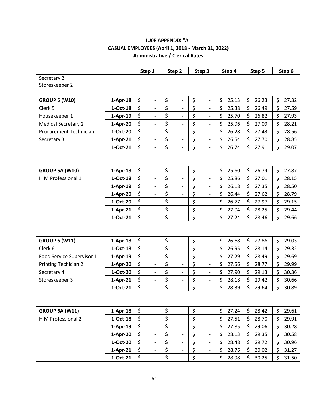| Secretary 2                                                                                                                                                                            |       |
|----------------------------------------------------------------------------------------------------------------------------------------------------------------------------------------|-------|
|                                                                                                                                                                                        |       |
| Storeskeeper 2                                                                                                                                                                         |       |
| \$<br>\$<br>\$<br>\$<br>\$<br>\$<br><b>GROUP 5 (W10)</b><br>$1-Apr-18$<br>25.13<br>26.23<br>$\overline{\phantom{a}}$<br>$\qquad \qquad \blacksquare$<br>$\blacksquare$                 | 27.32 |
| \$<br>\$<br>\$<br>\$<br>\$<br>\$<br>Clerk 5<br>$1-Oct-18$<br>25.38<br>26.49<br>$\overline{\phantom{0}}$<br>$\qquad \qquad -$<br>$\overline{a}$                                         | 27.59 |
| \$<br>\$<br>\$<br>\$<br>\$<br>\$<br>Housekeeper 1<br>25.70<br>26.82<br>$1-Apr-19$<br>$\overline{\phantom{0}}$<br>$\overline{a}$<br>$\qquad \qquad -$                                   | 27.93 |
| \$<br>\$<br>\$<br>\$<br>\$<br>\$<br>25.96<br><b>Medical Secretary 2</b><br>27.09<br>1-Apr-20<br>$\qquad \qquad \blacksquare$<br>$\overline{a}$<br>$\qquad \qquad \blacksquare$         | 28.21 |
| \$<br>\$<br>\$<br>\$<br>\$<br>\$<br>1-Oct-20<br>26.28<br>27.43<br><b>Procurement Technician</b><br>$\overline{a}$<br>$\overline{\phantom{0}}$<br>$\overline{\phantom{a}}$              | 28.56 |
| \$<br>\$<br>\$<br>\$<br>\$<br>\$<br>26.54<br>Secretary 3<br>$1-Apr-21$<br>27.70<br>$\overline{\phantom{a}}$<br>$\qquad \qquad \blacksquare$<br>$\blacksquare$                          | 28.85 |
| \$<br>\$<br>\$<br>\$<br>\$<br>\$<br>26.74<br>1-Oct-21<br>27.91<br>$\overline{a}$                                                                                                       | 29.07 |
|                                                                                                                                                                                        |       |
|                                                                                                                                                                                        |       |
| \$<br>\$<br>\$<br>\$<br>\$<br>\$<br>25.60<br>26.74<br><b>GROUP 5A (W10)</b><br>$1-Apr-18$<br>$\overline{\phantom{a}}$<br>$\qquad \qquad \blacksquare$<br>$\overline{\phantom{a}}$      | 27.87 |
| \$<br>\$<br>\$<br>\$<br>\$<br>\$<br><b>HIM Professional 1</b><br>$1-Oct-18$<br>25.86<br>27.01<br>$\overline{a}$<br>$\overline{\phantom{0}}$                                            | 28.15 |
| \$<br>\$<br>\$<br>\$<br>\$<br>\$<br>26.18<br>27.35<br>$1-Apr-19$<br>$\overline{\phantom{a}}$<br>$\overline{a}$<br>$\overline{\phantom{0}}$                                             | 28.50 |
| \$<br>\$<br>\$<br>\$<br>\$<br>\$<br>26.44<br>27.62<br>1-Apr-20<br>$\overline{\phantom{a}}$<br>$\overline{\phantom{0}}$<br>$\overline{\phantom{0}}$                                     | 28.79 |
| \$<br>\$<br>\$<br>\$<br>\$<br>\$<br>1-Oct-20<br>26.77<br>27.97<br>$\overline{\phantom{0}}$<br>$\overline{a}$<br>$\overline{\phantom{0}}$                                               | 29.15 |
| \$<br>\$<br>\$<br>\$<br>\$<br>\$<br>27.04<br>28.25<br>$1-Apr-21$<br>$\overline{\phantom{a}}$<br>$\overline{\phantom{0}}$<br>$\blacksquare$                                             | 29.44 |
| \$<br>\$<br>\$<br>\$<br>\$<br>\$<br>1-Oct-21<br>27.24<br>28.46<br>$\overline{a}$                                                                                                       | 29.66 |
|                                                                                                                                                                                        |       |
| 26.68<br>\$<br>27.86                                                                                                                                                                   | 29.03 |
| \$<br>\$<br>\$<br>\$<br>\$<br><b>GROUP 6 (W11)</b><br>$1-Apr-18$<br>$\overline{\phantom{a}}$<br>$\overline{a}$<br>$\qquad \qquad \blacksquare$<br>\$<br>\$<br>\$<br>Clerk <sub>6</sub> |       |
| \$<br>\$<br>\$<br>$1-Oct-18$<br>26.95<br>28.14<br>$\qquad \qquad \blacksquare$<br>$\overline{\phantom{a}}$<br>$\overline{\phantom{a}}$<br>\$<br>\$<br>\$<br>\$                         | 29.32 |
| \$<br>\$<br>27.29<br>28.49<br>Food Service Supervisor 1<br>$1-Apr-19$<br>$\overline{\phantom{0}}$<br>$\overline{a}$<br>$\overline{\phantom{a}}$<br>\$<br>\$                            | 29.69 |
| \$<br>\$<br>\$<br>\$<br>27.56<br>28.77<br><b>Printing Techician 2</b><br>1-Apr-20<br>$\overline{\phantom{a}}$<br>$\overline{\phantom{0}}$<br>$\overline{\phantom{a}}$                  | 29.99 |
| \$<br>\$<br>\$<br>\$<br>\$<br>\$<br>1-Oct-20<br>27.90<br>Secretary 4<br>29.13<br>$\overline{a}$<br>$\qquad \qquad \blacksquare$                                                        | 30.36 |
| \$<br>\$<br>\$<br>\$<br>\$<br>\$<br>Storeskeeper 3<br>28.18<br>29.42<br>1-Apr-21<br>$\overline{\phantom{a}}$<br>$\overline{a}$<br>$\overline{\phantom{a}}$                             | 30.66 |
| \$<br>\$<br>\$<br>\$<br>\$<br>\$<br>1-Oct-21<br>28.39<br>29.64<br>$\overline{\phantom{a}}$<br>$\overline{a}$<br>$\qquad \qquad \blacksquare$                                           | 30.89 |
|                                                                                                                                                                                        |       |
| \$<br>\$<br>\$<br>\$<br>\$<br>\$<br><b>GROUP 6A (W11)</b><br>$1-Apr-18$<br>27.24<br>28.42<br>$\overline{\phantom{a}}$<br>$\overline{\phantom{0}}$<br>$\overline{a}$                    | 29.61 |
| \$<br>\$<br>\$<br><b>HIM Professional 2</b><br>\$<br>\$<br>\$<br>1-Oct-18<br>28.70<br>27.51<br>$\overline{\phantom{0}}$<br>$\qquad \qquad \blacksquare$<br>$\overline{\phantom{a}}$    | 29.91 |
| \$<br>\$<br>\$<br>\$<br>\$<br>\$<br>27.85<br>$1-Apr-19$<br>29.06<br>$\qquad \qquad \blacksquare$<br>$\overline{\phantom{a}}$                                                           | 30.28 |
| \$<br>\$<br>\$<br>\$<br>\$<br>\$<br>28.13<br>29.35<br>1-Apr-20<br>$\overline{\phantom{a}}$<br>$\qquad \qquad \blacksquare$<br>$\overline{\phantom{a}}$                                 | 30.58 |
| \$<br>\$<br>\$<br>$\zeta$<br>\$<br>\$<br>1-Oct-20<br>28.48<br>29.72<br>$\overline{\phantom{a}}$<br>$\qquad \qquad -$<br>$\blacksquare$                                                 | 30.96 |
| \$<br>\$<br>\$<br>$\zeta$<br>\$<br>\$<br>$1-Apr-21$<br>28.76<br>30.02<br>$\overline{\phantom{a}}$                                                                                      | 31.27 |
| \$<br>\$<br>\$<br>\$<br>\$<br>\$<br>$1-Oct-21$<br>28.98<br>30.25<br>$\blacksquare$<br>$\blacksquare$<br>$\overline{\phantom{a}}$                                                       | 31.50 |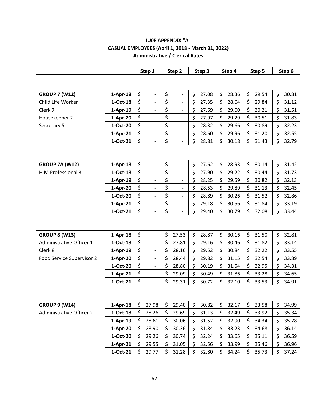|                                 |            |         | Step 1                   | Step 2                             | Step 3      | Step 4      | Step 5      | Step 6      |
|---------------------------------|------------|---------|--------------------------|------------------------------------|-------------|-------------|-------------|-------------|
|                                 |            |         |                          |                                    |             |             |             |             |
| <b>GROUP 7 (W12)</b>            | $1-Apr-18$ | $\zeta$ | $\overline{\phantom{a}}$ | \$<br>$\overline{a}$               | \$<br>27.08 | \$<br>28.36 | \$<br>29.54 | \$<br>30.81 |
| Child Life Worker               | $1-Oct-18$ | \$      | $\overline{\phantom{a}}$ | \$<br>$\qquad \qquad -$            | \$<br>27.35 | \$<br>28.64 | \$<br>29.84 | \$<br>31.12 |
| Clerk 7                         | $1-Apr-19$ | \$      |                          | \$<br>$\overline{\phantom{m}}$     | \$<br>27.69 | \$<br>29.00 | \$<br>30.21 | \$<br>31.51 |
| Housekeeper 2                   | 1-Apr-20   | \$      | $\overline{\phantom{a}}$ | \$<br>$\overline{a}$               | \$<br>27.97 | \$<br>29.29 | \$<br>30.51 | \$<br>31.83 |
| Secretary 5                     | 1-Oct-20   | \$      | $\overline{\phantom{a}}$ | \$<br>$\qquad \qquad -$            | \$<br>28.32 | \$<br>29.66 | \$<br>30.89 | \$<br>32.23 |
|                                 | $1-Apr-21$ | \$      | $\overline{\phantom{a}}$ | \$<br>$\overline{a}$               | \$<br>28.60 | \$<br>29.96 | \$<br>31.20 | \$<br>32.55 |
|                                 | 1-Oct-21   | \$      | $\overline{\phantom{a}}$ | \$<br>$\overline{a}$               | \$<br>28.81 | \$<br>30.18 | \$<br>31.43 | \$<br>32.79 |
|                                 |            |         |                          |                                    |             |             |             |             |
| <b>GROUP 7A (W12)</b>           | $1-Apr-18$ | \$      | $\overline{\phantom{a}}$ | \$<br>$\overline{a}$               | \$<br>27.62 | \$<br>28.93 | \$<br>30.14 | \$<br>31.42 |
| <b>HIM Professional 3</b>       | 1-Oct-18   | \$      | $\overline{\phantom{a}}$ | \$<br>$\overline{a}$               | \$<br>27.90 | \$<br>29.22 | \$<br>30.44 | \$<br>31.73 |
|                                 | $1-Apr-19$ | \$      | $\overline{\phantom{a}}$ | \$<br>$\qquad \qquad -$            | \$<br>28.25 | \$<br>29.59 | \$<br>30.82 | \$<br>32.13 |
|                                 | 1-Apr-20   | \$      | $\overline{\phantom{m}}$ | \$<br>$\overline{a}$               | \$<br>28.53 | \$<br>29.89 | \$<br>31.13 | \$<br>32.45 |
|                                 | 1-Oct-20   | \$      | $\overline{\phantom{a}}$ | \$<br>$\qquad \qquad \blacksquare$ | \$<br>28.89 | \$<br>30.26 | \$<br>31.52 | \$<br>32.86 |
|                                 | $1-Apr-21$ | \$      | $\overline{\phantom{a}}$ | \$<br>$\qquad \qquad \blacksquare$ | \$<br>29.18 | \$<br>30.56 | \$<br>31.84 | \$<br>33.19 |
|                                 | 1-Oct-21   | \$      | $\overline{\phantom{a}}$ | \$<br>$\overline{\phantom{m}}$     | \$<br>29.40 | \$<br>30.79 | \$<br>32.08 | \$<br>33.44 |
|                                 |            |         |                          |                                    |             |             |             |             |
| <b>GROUP 8 (W13)</b>            | $1-Apr-18$ | \$      | $\overline{\phantom{a}}$ | \$<br>27.53                        | \$<br>28.87 | \$<br>30.16 | \$<br>31.50 | \$<br>32.81 |
| Administrative Officer 1        | $1-Oct-18$ | \$      | $\overline{\phantom{m}}$ | \$<br>27.81                        | \$<br>29.16 | \$<br>30.46 | \$<br>31.82 | \$<br>33.14 |
| Clerk 8                         | $1-Apr-19$ | \$      | $\overline{\phantom{a}}$ | \$<br>28.16                        | \$<br>29.52 | \$<br>30.84 | \$<br>32.22 | \$<br>33.55 |
| Food Service Supervisor 2       | 1-Apr-20   | \$      | $\overline{\phantom{a}}$ | \$<br>28.44                        | \$<br>29.82 | \$<br>31.15 | \$<br>32.54 | \$<br>33.89 |
|                                 | 1-Oct-20   | \$      | $\blacksquare$           | \$<br>28.80                        | \$<br>30.19 | \$<br>31.54 | \$<br>32.95 | \$<br>34.31 |
|                                 | $1-Apr-21$ | \$      | $\overline{\phantom{a}}$ | \$<br>29.09                        | \$<br>30.49 | \$<br>31.86 | \$<br>33.28 | \$<br>34.65 |
|                                 | 1-Oct-21   | \$      | $\overline{\phantom{a}}$ | \$<br>29.31                        | \$<br>30.72 | \$<br>32.10 | \$<br>33.53 | \$<br>34.91 |
|                                 |            |         |                          |                                    |             |             |             |             |
| <b>GROUP 9 (W14)</b>            | $1-Apr-18$ | \$      | 27.98                    | \$<br>29.40                        | \$<br>30.82 | \$<br>32.17 | \$<br>33.58 | \$<br>34.99 |
| <b>Administrative Officer 2</b> | $1-Oct-18$ | $\zeta$ | 28.26                    | \$<br>29.69                        | \$<br>31.13 | \$<br>32.49 | \$<br>33.92 | \$<br>35.34 |
|                                 | $1-Apr-19$ | \$      | 28.61                    | \$<br>30.06                        | \$<br>31.52 | \$<br>32.90 | \$<br>34.34 | \$<br>35.78 |
|                                 | 1-Apr-20   | \$      | 28.90                    | \$<br>30.36                        | \$<br>31.84 | \$<br>33.23 | \$<br>34.68 | \$<br>36.14 |
|                                 | 1-Oct-20   | \$      | 29.26                    | \$<br>30.74                        | \$<br>32.24 | \$<br>33.65 | \$<br>35.11 | \$<br>36.59 |
|                                 | $1-Apr-21$ | \$      | 29.55                    | \$<br>31.05                        | \$<br>32.56 | \$<br>33.99 | \$<br>35.46 | \$<br>36.96 |
|                                 | 1-Oct-21   | \$      | 29.77                    | \$<br>31.28                        | \$<br>32.80 | \$<br>34.24 | \$<br>35.73 | \$<br>37.24 |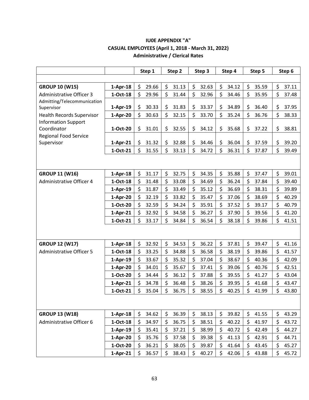|                                           |            | Step 1      | Step 2      | Step 3      | Step 4      | Step 5      | Step 6      |
|-------------------------------------------|------------|-------------|-------------|-------------|-------------|-------------|-------------|
|                                           |            |             |             |             |             |             |             |
| <b>GROUP 10 (W15)</b>                     | $1-Apr-18$ | 29.66<br>\$ | \$<br>31.13 | \$<br>32.63 | \$<br>34.12 | \$<br>35.59 | \$<br>37.11 |
| <b>Administrative Officer 3</b>           | 1-Oct-18   | \$<br>29.96 | \$<br>31.44 | \$<br>32.96 | \$<br>34.46 | \$<br>35.95 | \$<br>37.48 |
| Admitting/Telecommunication               |            |             |             |             |             |             |             |
| Supervisor                                | $1-Apr-19$ | \$<br>30.33 | \$<br>31.83 | \$<br>33.37 | \$<br>34.89 | \$<br>36.40 | \$<br>37.95 |
| <b>Health Records Supervisor</b>          | 1-Apr-20   | \$<br>30.63 | \$<br>32.15 | \$<br>33.70 | \$<br>35.24 | \$<br>36.76 | \$<br>38.33 |
| <b>Information Support</b><br>Coordinator | 1-Oct-20   | \$<br>31.01 | \$<br>32.55 | \$<br>34.12 | \$<br>35.68 | \$<br>37.22 | \$<br>38.81 |
| Regional Food Service                     |            |             |             |             |             |             |             |
| Supervisor                                | $1-Apr-21$ | \$<br>31.32 | \$<br>32.88 | \$<br>34.46 | \$<br>36.04 | \$<br>37.59 | \$<br>39.20 |
|                                           | 1-Oct-21   | \$<br>31.55 | \$<br>33.13 | \$<br>34.72 | \$<br>36.31 | \$<br>37.87 | \$<br>39.49 |
|                                           |            |             |             |             |             |             |             |
|                                           |            |             |             |             |             |             |             |
| <b>GROUP 11 (W16)</b>                     | $1-Apr-18$ | \$<br>31.17 | \$<br>32.75 | \$<br>34.35 | \$<br>35.88 | \$<br>37.47 | \$<br>39.01 |
| <b>Administrative Officer 4</b>           | 1-Oct-18   | \$<br>31.48 | \$<br>33.08 | \$<br>34.69 | \$<br>36.24 | \$<br>37.84 | \$<br>39.40 |
|                                           | $1-Apr-19$ | \$<br>31.87 | \$<br>33.49 | \$<br>35.12 | \$<br>36.69 | \$<br>38.31 | \$<br>39.89 |
|                                           | $1-Apr-20$ | \$<br>32.19 | \$<br>33.82 | \$<br>35.47 | \$<br>37.06 | \$<br>38.69 | \$<br>40.29 |
|                                           | 1-Oct-20   | \$<br>32.59 | \$<br>34.24 | \$<br>35.91 | \$<br>37.52 | \$<br>39.17 | \$<br>40.79 |
|                                           | $1-Apr-21$ | \$<br>32.92 | \$<br>34.58 | \$<br>36.27 | \$<br>37.90 | \$<br>39.56 | \$<br>41.20 |
|                                           | 1-Oct-21   | \$<br>33.17 | \$<br>34.84 | \$<br>36.54 | \$<br>38.18 | \$<br>39.86 | \$<br>41.51 |
|                                           |            |             |             |             |             |             |             |
|                                           |            |             |             |             |             |             |             |
| <b>GROUP 12 (W17)</b>                     | $1-Apr-18$ | \$<br>32.92 | \$<br>34.53 | \$<br>36.22 | \$<br>37.81 | \$<br>39.47 | \$<br>41.16 |
| <b>Administrative Officer 5</b>           | $1-Oct-18$ | \$<br>33.25 | \$<br>34.88 | \$<br>36.58 | \$<br>38.19 | \$<br>39.86 | \$<br>41.57 |
|                                           | $1-Apr-19$ | \$<br>33.67 | \$<br>35.32 | \$<br>37.04 | \$<br>38.67 | \$<br>40.36 | \$<br>42.09 |
|                                           | 1-Apr-20   | \$<br>34.01 | \$<br>35.67 | \$<br>37.41 | \$<br>39.06 | \$<br>40.76 | \$<br>42.51 |
|                                           | 1-Oct-20   | \$<br>34.44 | \$<br>36.12 | \$<br>37.88 | \$<br>39.55 | \$<br>41.27 | \$<br>43.04 |
|                                           | $1-Apr-21$ | \$<br>34.78 | \$<br>36.48 | \$<br>38.26 | \$<br>39.95 | \$<br>41.68 | \$<br>43.47 |
|                                           | 1-Oct-21   | Ś<br>35.04  | \$<br>36.75 | \$<br>38.55 | Ś<br>40.25  | Ś<br>41.99  | Ś<br>43.80  |
|                                           |            |             |             |             |             |             |             |
|                                           |            |             |             |             |             |             |             |
| <b>GROUP 13 (W18)</b>                     | $1-Apr-18$ | \$<br>34.62 | \$<br>36.39 | \$<br>38.13 | 39.82<br>\$ | \$<br>41.55 | \$<br>43.29 |
| Administrative Officer 6                  | $1-Oct-18$ | \$<br>34.97 | \$<br>36.75 | \$<br>38.51 | \$<br>40.22 | \$<br>41.97 | \$<br>43.72 |
|                                           | $1-Apr-19$ | \$<br>35.41 | \$<br>37.21 | \$<br>38.99 | \$<br>40.72 | \$<br>42.49 | \$<br>44.27 |
|                                           | 1-Apr-20   | 35.76<br>\$ | \$<br>37.58 | \$<br>39.38 | \$<br>41.13 | \$<br>42.91 | \$<br>44.71 |
|                                           | 1-Oct-20   | \$<br>36.21 | \$<br>38.05 | \$<br>39.87 | \$<br>41.64 | \$<br>43.45 | \$<br>45.27 |
|                                           | $1-Apr-21$ | \$<br>36.57 | \$<br>38.43 | \$<br>40.27 | \$<br>42.06 | \$<br>43.88 | \$<br>45.72 |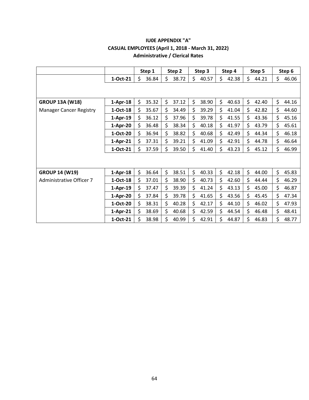|                                |            | Step 1      | Step 2      | Step 3      | Step 4      | Step 5      | Step 6      |
|--------------------------------|------------|-------------|-------------|-------------|-------------|-------------|-------------|
|                                | 1-Oct-21   | \$<br>36.84 | \$<br>38.72 | \$<br>40.57 | \$<br>42.38 | \$<br>44.21 | \$<br>46.06 |
|                                |            |             |             |             |             |             |             |
| <b>GROUP 13A (W18)</b>         | $1-Apr-18$ | \$<br>35.32 | \$<br>37.12 | \$<br>38.90 | \$<br>40.63 | \$<br>42.40 | \$<br>44.16 |
| <b>Manager Cancer Registry</b> | 1-Oct-18   | \$<br>35.67 | \$<br>34.49 | \$<br>39.29 | \$<br>41.04 | \$<br>42.82 | \$<br>44.60 |
|                                | $1-Apr-19$ | \$<br>36.12 | \$<br>37.96 | \$<br>39.78 | \$<br>41.55 | \$<br>43.36 | \$<br>45.16 |
|                                | 1-Apr-20   | 36.48<br>\$ | \$<br>38.34 | \$<br>40.18 | \$<br>41.97 | \$<br>43.79 | \$<br>45.61 |
|                                | 1-Oct-20   | \$<br>36.94 | \$<br>38.82 | \$<br>40.68 | \$<br>42.49 | \$<br>44.34 | \$<br>46.18 |
|                                | $1-Apr-21$ | \$<br>37.31 | \$<br>39.21 | \$<br>41.09 | \$<br>42.91 | \$<br>44.78 | \$<br>46.64 |
|                                | 1-Oct-21   | \$<br>37.59 | \$<br>39.50 | \$<br>41.40 | \$<br>43.23 | \$<br>45.12 | \$<br>46.99 |
|                                |            |             |             |             |             |             |             |
| <b>GROUP 14 (W19)</b>          | $1-Apr-18$ | \$<br>36.64 | \$<br>38.51 | \$<br>40.33 | \$<br>42.18 | \$<br>44.00 | \$<br>45.83 |
| Administrative Officer 7       | 1-Oct-18   | 37.01<br>Ś  | \$<br>38.90 | \$<br>40.73 | \$<br>42.60 | \$<br>44.44 | \$<br>46.29 |
|                                | $1-Apr-19$ | \$<br>37.47 | \$<br>39.39 | \$<br>41.24 | \$<br>43.13 | \$<br>45.00 | \$<br>46.87 |
|                                | $1-Apr-20$ | 37.84<br>\$ | \$<br>39.78 | \$<br>41.65 | \$<br>43.56 | \$<br>45.45 | \$<br>47.34 |
|                                | 1-Oct-20   | Ś.<br>38.31 | \$<br>40.28 | \$<br>42.17 | \$<br>44.10 | \$<br>46.02 | \$<br>47.93 |
|                                | $1-Apr-21$ | \$<br>38.69 | \$<br>40.68 | \$<br>42.59 | \$<br>44.54 | \$<br>46.48 | \$<br>48.41 |
|                                | 1-Oct-21   | Ś.<br>38.98 | \$<br>40.99 | Ś<br>42.91  | \$<br>44.87 | \$<br>46.83 | \$<br>48.77 |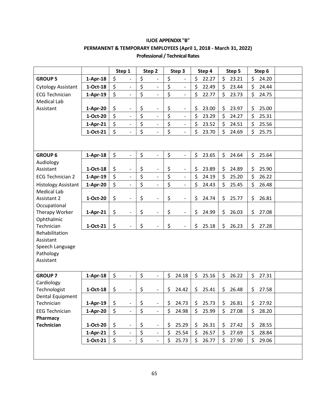## **IUOE APPENDIX "B" PERMANENT & TEMPORARY EMPLOYEES (April 1, 2018 - March 31, 2022) Professional / Technical Rates**

| \$<br>\$<br>\$<br>\$<br>\$<br>\$<br><b>GROUP 5</b><br>$1-Apr-18$<br>23.21<br>24.20<br>22.27<br>$\qquad \qquad -$<br>\$<br>\$<br>\$<br>\$<br>\$<br>\$<br>$1-Oct-18$<br>22.49<br>23.44<br>24.44<br><b>Cytology Assistant</b><br>$\overline{\phantom{0}}$<br>$\blacksquare$<br>$\overline{\phantom{0}}$<br>\$<br>\$<br>\$<br>\$<br>\$<br>\$<br><b>ECG Technician</b><br>$1-Apr-19$<br>22.77<br>23.73<br>24.75<br>$\overline{\phantom{a}}$<br>$\overline{\phantom{0}}$<br>$\overline{\phantom{0}}$<br><b>Medical Lab</b><br>\$<br>\$<br>\$<br>\$<br>23.00<br>\$<br>23.97<br>\$<br>25.00<br>Assistant<br>1-Apr-20<br>$\overline{\phantom{a}}$<br>$\qquad \qquad \blacksquare$<br>$\overline{\phantom{0}}$<br>$\overline{\xi}$<br>\$<br>\$<br>\$<br>\$<br>\$<br>1-Oct-20<br>23.29<br>25.31<br>24.27<br>$\overline{\phantom{0}}$<br>$\overline{\phantom{a}}$<br>$\overline{\phantom{a}}$<br>\$<br>\$<br>\$<br>\$<br>\$<br>\$<br>23.52<br>24.51<br>25.56<br>$1-Apr-21$<br>$\frac{1}{2}$<br>$\overline{\phantom{a}}$<br>\$<br>\$<br>\$<br>\$<br>\$<br>\$<br>1-Oct-21<br>23.70<br>24.69<br>25.75<br>$\overline{\phantom{a}}$<br>$\overline{\phantom{0}}$<br>\$<br>\$<br>\$<br>\$<br>\$<br>\$<br>23.65<br><b>GROUP 6</b><br>$1-Apr-18$<br>24.64<br>25.64<br>$\overline{\phantom{a}}$<br>$\overline{\phantom{a}}$<br>$\overline{\phantom{0}}$<br>Audiology<br>\$<br>\$<br>\$<br>$1-Oct-18$<br>23.89<br>\$<br>\$<br>24.89<br>\$<br>25.90<br>Assistant<br>$\overline{\phantom{a}}$<br>$\overline{\phantom{0}}$<br>$\qquad \qquad -$<br>\$<br>\$<br>\$<br>\$<br>\$<br>\$<br><b>ECG Technician 2</b><br>$1-Apr-19$<br>24.19<br>25.20<br>26.22<br>$\overline{\phantom{0}}$<br>$\qquad \qquad -$<br>$\overline{\phantom{a}}$<br>\$<br>\$<br>\$<br>\$<br>\$<br>\$<br>$1-Apr-20$<br>24.43<br>25.45<br>26.48<br><b>Histology Assistant</b><br>$\overline{\phantom{0}}$<br>$\overline{\phantom{a}}$<br>$\overline{\phantom{0}}$ |  | Step 1 | Step 2 | Step 3 | Step 4 | Step 5 | Step 6 |  |
|-----------------------------------------------------------------------------------------------------------------------------------------------------------------------------------------------------------------------------------------------------------------------------------------------------------------------------------------------------------------------------------------------------------------------------------------------------------------------------------------------------------------------------------------------------------------------------------------------------------------------------------------------------------------------------------------------------------------------------------------------------------------------------------------------------------------------------------------------------------------------------------------------------------------------------------------------------------------------------------------------------------------------------------------------------------------------------------------------------------------------------------------------------------------------------------------------------------------------------------------------------------------------------------------------------------------------------------------------------------------------------------------------------------------------------------------------------------------------------------------------------------------------------------------------------------------------------------------------------------------------------------------------------------------------------------------------------------------------------------------------------------------------------------------------------------------------------------------------------------------------------------------------------------|--|--------|--------|--------|--------|--------|--------|--|
|                                                                                                                                                                                                                                                                                                                                                                                                                                                                                                                                                                                                                                                                                                                                                                                                                                                                                                                                                                                                                                                                                                                                                                                                                                                                                                                                                                                                                                                                                                                                                                                                                                                                                                                                                                                                                                                                                                           |  |        |        |        |        |        |        |  |
|                                                                                                                                                                                                                                                                                                                                                                                                                                                                                                                                                                                                                                                                                                                                                                                                                                                                                                                                                                                                                                                                                                                                                                                                                                                                                                                                                                                                                                                                                                                                                                                                                                                                                                                                                                                                                                                                                                           |  |        |        |        |        |        |        |  |
|                                                                                                                                                                                                                                                                                                                                                                                                                                                                                                                                                                                                                                                                                                                                                                                                                                                                                                                                                                                                                                                                                                                                                                                                                                                                                                                                                                                                                                                                                                                                                                                                                                                                                                                                                                                                                                                                                                           |  |        |        |        |        |        |        |  |
|                                                                                                                                                                                                                                                                                                                                                                                                                                                                                                                                                                                                                                                                                                                                                                                                                                                                                                                                                                                                                                                                                                                                                                                                                                                                                                                                                                                                                                                                                                                                                                                                                                                                                                                                                                                                                                                                                                           |  |        |        |        |        |        |        |  |
|                                                                                                                                                                                                                                                                                                                                                                                                                                                                                                                                                                                                                                                                                                                                                                                                                                                                                                                                                                                                                                                                                                                                                                                                                                                                                                                                                                                                                                                                                                                                                                                                                                                                                                                                                                                                                                                                                                           |  |        |        |        |        |        |        |  |
|                                                                                                                                                                                                                                                                                                                                                                                                                                                                                                                                                                                                                                                                                                                                                                                                                                                                                                                                                                                                                                                                                                                                                                                                                                                                                                                                                                                                                                                                                                                                                                                                                                                                                                                                                                                                                                                                                                           |  |        |        |        |        |        |        |  |
|                                                                                                                                                                                                                                                                                                                                                                                                                                                                                                                                                                                                                                                                                                                                                                                                                                                                                                                                                                                                                                                                                                                                                                                                                                                                                                                                                                                                                                                                                                                                                                                                                                                                                                                                                                                                                                                                                                           |  |        |        |        |        |        |        |  |
|                                                                                                                                                                                                                                                                                                                                                                                                                                                                                                                                                                                                                                                                                                                                                                                                                                                                                                                                                                                                                                                                                                                                                                                                                                                                                                                                                                                                                                                                                                                                                                                                                                                                                                                                                                                                                                                                                                           |  |        |        |        |        |        |        |  |
|                                                                                                                                                                                                                                                                                                                                                                                                                                                                                                                                                                                                                                                                                                                                                                                                                                                                                                                                                                                                                                                                                                                                                                                                                                                                                                                                                                                                                                                                                                                                                                                                                                                                                                                                                                                                                                                                                                           |  |        |        |        |        |        |        |  |
|                                                                                                                                                                                                                                                                                                                                                                                                                                                                                                                                                                                                                                                                                                                                                                                                                                                                                                                                                                                                                                                                                                                                                                                                                                                                                                                                                                                                                                                                                                                                                                                                                                                                                                                                                                                                                                                                                                           |  |        |        |        |        |        |        |  |
|                                                                                                                                                                                                                                                                                                                                                                                                                                                                                                                                                                                                                                                                                                                                                                                                                                                                                                                                                                                                                                                                                                                                                                                                                                                                                                                                                                                                                                                                                                                                                                                                                                                                                                                                                                                                                                                                                                           |  |        |        |        |        |        |        |  |
|                                                                                                                                                                                                                                                                                                                                                                                                                                                                                                                                                                                                                                                                                                                                                                                                                                                                                                                                                                                                                                                                                                                                                                                                                                                                                                                                                                                                                                                                                                                                                                                                                                                                                                                                                                                                                                                                                                           |  |        |        |        |        |        |        |  |
|                                                                                                                                                                                                                                                                                                                                                                                                                                                                                                                                                                                                                                                                                                                                                                                                                                                                                                                                                                                                                                                                                                                                                                                                                                                                                                                                                                                                                                                                                                                                                                                                                                                                                                                                                                                                                                                                                                           |  |        |        |        |        |        |        |  |
|                                                                                                                                                                                                                                                                                                                                                                                                                                                                                                                                                                                                                                                                                                                                                                                                                                                                                                                                                                                                                                                                                                                                                                                                                                                                                                                                                                                                                                                                                                                                                                                                                                                                                                                                                                                                                                                                                                           |  |        |        |        |        |        |        |  |
| <b>Medical Lab</b>                                                                                                                                                                                                                                                                                                                                                                                                                                                                                                                                                                                                                                                                                                                                                                                                                                                                                                                                                                                                                                                                                                                                                                                                                                                                                                                                                                                                                                                                                                                                                                                                                                                                                                                                                                                                                                                                                        |  |        |        |        |        |        |        |  |
| \$<br>\$<br>\$<br>\$<br>\$<br>\$<br><b>Assistant 2</b><br>1-Oct-20<br>24.74<br>25.77<br>26.81<br>$\overline{\phantom{a}}$<br>$\overline{\phantom{0}}$<br>$\overline{\phantom{0}}$                                                                                                                                                                                                                                                                                                                                                                                                                                                                                                                                                                                                                                                                                                                                                                                                                                                                                                                                                                                                                                                                                                                                                                                                                                                                                                                                                                                                                                                                                                                                                                                                                                                                                                                         |  |        |        |        |        |        |        |  |
| Occupational<br>\$                                                                                                                                                                                                                                                                                                                                                                                                                                                                                                                                                                                                                                                                                                                                                                                                                                                                                                                                                                                                                                                                                                                                                                                                                                                                                                                                                                                                                                                                                                                                                                                                                                                                                                                                                                                                                                                                                        |  |        |        |        |        |        |        |  |
| \$<br>\$<br>\$<br>\$<br>Therapy Worker<br>24.99<br>26.03<br>\$<br>27.08<br>$1-Apr-21$<br>$\overline{\phantom{a}}$<br>$\overline{\phantom{a}}$<br>Ophthalmic                                                                                                                                                                                                                                                                                                                                                                                                                                                                                                                                                                                                                                                                                                                                                                                                                                                                                                                                                                                                                                                                                                                                                                                                                                                                                                                                                                                                                                                                                                                                                                                                                                                                                                                                               |  |        |        |        |        |        |        |  |
| \$<br>\$<br>\$<br>\$<br>Technician<br>1-Oct-21<br>25.18<br>\$<br>\$<br>26.23<br>27.28<br>$\frac{1}{2}$<br>$\qquad \qquad \blacksquare$                                                                                                                                                                                                                                                                                                                                                                                                                                                                                                                                                                                                                                                                                                                                                                                                                                                                                                                                                                                                                                                                                                                                                                                                                                                                                                                                                                                                                                                                                                                                                                                                                                                                                                                                                                    |  |        |        |        |        |        |        |  |
| Rehabilitation                                                                                                                                                                                                                                                                                                                                                                                                                                                                                                                                                                                                                                                                                                                                                                                                                                                                                                                                                                                                                                                                                                                                                                                                                                                                                                                                                                                                                                                                                                                                                                                                                                                                                                                                                                                                                                                                                            |  |        |        |        |        |        |        |  |
| Assistant                                                                                                                                                                                                                                                                                                                                                                                                                                                                                                                                                                                                                                                                                                                                                                                                                                                                                                                                                                                                                                                                                                                                                                                                                                                                                                                                                                                                                                                                                                                                                                                                                                                                                                                                                                                                                                                                                                 |  |        |        |        |        |        |        |  |
| Speech Language                                                                                                                                                                                                                                                                                                                                                                                                                                                                                                                                                                                                                                                                                                                                                                                                                                                                                                                                                                                                                                                                                                                                                                                                                                                                                                                                                                                                                                                                                                                                                                                                                                                                                                                                                                                                                                                                                           |  |        |        |        |        |        |        |  |
| Pathology                                                                                                                                                                                                                                                                                                                                                                                                                                                                                                                                                                                                                                                                                                                                                                                                                                                                                                                                                                                                                                                                                                                                                                                                                                                                                                                                                                                                                                                                                                                                                                                                                                                                                                                                                                                                                                                                                                 |  |        |        |        |        |        |        |  |
| Assistant                                                                                                                                                                                                                                                                                                                                                                                                                                                                                                                                                                                                                                                                                                                                                                                                                                                                                                                                                                                                                                                                                                                                                                                                                                                                                                                                                                                                                                                                                                                                                                                                                                                                                                                                                                                                                                                                                                 |  |        |        |        |        |        |        |  |
|                                                                                                                                                                                                                                                                                                                                                                                                                                                                                                                                                                                                                                                                                                                                                                                                                                                                                                                                                                                                                                                                                                                                                                                                                                                                                                                                                                                                                                                                                                                                                                                                                                                                                                                                                                                                                                                                                                           |  |        |        |        |        |        |        |  |
| \$<br>\$<br>\$<br>\$<br>\$<br>\$<br>25.16<br><b>GROUP 7</b><br>24.18<br>26.22<br>27.31<br>$1-Apr-18$<br>$\qquad \qquad \blacksquare$                                                                                                                                                                                                                                                                                                                                                                                                                                                                                                                                                                                                                                                                                                                                                                                                                                                                                                                                                                                                                                                                                                                                                                                                                                                                                                                                                                                                                                                                                                                                                                                                                                                                                                                                                                      |  |        |        |        |        |        |        |  |
| Cardiology                                                                                                                                                                                                                                                                                                                                                                                                                                                                                                                                                                                                                                                                                                                                                                                                                                                                                                                                                                                                                                                                                                                                                                                                                                                                                                                                                                                                                                                                                                                                                                                                                                                                                                                                                                                                                                                                                                |  |        |        |        |        |        |        |  |
| \$<br>\$<br>\$<br>\$<br>25.41<br>\$<br>\$<br>27.58<br>$1-Oct-18$<br>24.42<br>26.48<br>Technologist<br>$\frac{1}{2}$                                                                                                                                                                                                                                                                                                                                                                                                                                                                                                                                                                                                                                                                                                                                                                                                                                                                                                                                                                                                                                                                                                                                                                                                                                                                                                                                                                                                                                                                                                                                                                                                                                                                                                                                                                                       |  |        |        |        |        |        |        |  |
| Dental Equipment                                                                                                                                                                                                                                                                                                                                                                                                                                                                                                                                                                                                                                                                                                                                                                                                                                                                                                                                                                                                                                                                                                                                                                                                                                                                                                                                                                                                                                                                                                                                                                                                                                                                                                                                                                                                                                                                                          |  |        |        |        |        |        |        |  |
| \$<br>\$<br>\$<br>Technician<br>$1-Apr-19$<br>\$<br>25.73<br>\$<br>\$<br>24.73<br>26.81<br>27.92<br>$\overline{\phantom{a}}$                                                                                                                                                                                                                                                                                                                                                                                                                                                                                                                                                                                                                                                                                                                                                                                                                                                                                                                                                                                                                                                                                                                                                                                                                                                                                                                                                                                                                                                                                                                                                                                                                                                                                                                                                                              |  |        |        |        |        |        |        |  |
| $\ddot{\varsigma}$<br>\$<br>\$<br>\$<br>\$<br>\$<br>24.98<br>25.99<br>27.08<br><b>EEG Technician</b><br>1-Apr-20<br>28.20<br>$\blacksquare$<br>$\overline{\phantom{0}}$                                                                                                                                                                                                                                                                                                                                                                                                                                                                                                                                                                                                                                                                                                                                                                                                                                                                                                                                                                                                                                                                                                                                                                                                                                                                                                                                                                                                                                                                                                                                                                                                                                                                                                                                   |  |        |        |        |        |        |        |  |
| Pharmacy<br>\$<br><b>Technician</b><br>1-Oct-20<br>\$<br>25.29<br>26.31<br>\$<br>27.42<br>28.55                                                                                                                                                                                                                                                                                                                                                                                                                                                                                                                                                                                                                                                                                                                                                                                                                                                                                                                                                                                                                                                                                                                                                                                                                                                                                                                                                                                                                                                                                                                                                                                                                                                                                                                                                                                                           |  |        |        |        |        |        |        |  |
| \$<br>\$<br>\$<br>$\overline{\phantom{a}}$<br>$\overline{\phantom{0}}$                                                                                                                                                                                                                                                                                                                                                                                                                                                                                                                                                                                                                                                                                                                                                                                                                                                                                                                                                                                                                                                                                                                                                                                                                                                                                                                                                                                                                                                                                                                                                                                                                                                                                                                                                                                                                                    |  |        |        |        |        |        |        |  |
| \$<br>\$<br>\$<br>\$<br>25.54<br>\$<br>\$<br>28.84<br>26.57<br>27.69<br>$1-Apr-21$<br>$\frac{1}{2}$                                                                                                                                                                                                                                                                                                                                                                                                                                                                                                                                                                                                                                                                                                                                                                                                                                                                                                                                                                                                                                                                                                                                                                                                                                                                                                                                                                                                                                                                                                                                                                                                                                                                                                                                                                                                       |  |        |        |        |        |        |        |  |
| \$<br>\$<br>\$<br>\$<br>\$<br>\$<br>29.06<br>1-Oct-21<br>25.73<br>26.77<br>27.90<br>$\overline{\phantom{a}}$                                                                                                                                                                                                                                                                                                                                                                                                                                                                                                                                                                                                                                                                                                                                                                                                                                                                                                                                                                                                                                                                                                                                                                                                                                                                                                                                                                                                                                                                                                                                                                                                                                                                                                                                                                                              |  |        |        |        |        |        |        |  |
|                                                                                                                                                                                                                                                                                                                                                                                                                                                                                                                                                                                                                                                                                                                                                                                                                                                                                                                                                                                                                                                                                                                                                                                                                                                                                                                                                                                                                                                                                                                                                                                                                                                                                                                                                                                                                                                                                                           |  |        |        |        |        |        |        |  |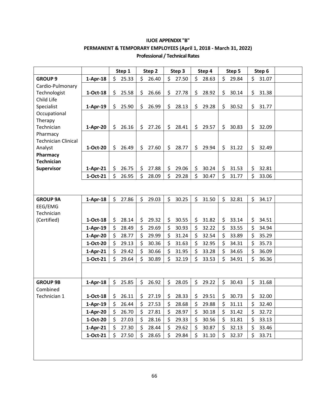## **IUOE APPENDIX "B" PERMANENT & TEMPORARY EMPLOYEES (April 1, 2018 - March 31, 2022) Professional / Technical Rates**

|                            |            |              | Step 1 |         | Step 2  | Step 3      | Step 4      | Step 5      | Step 6      |  |
|----------------------------|------------|--------------|--------|---------|---------|-------------|-------------|-------------|-------------|--|
| <b>GROUP 9</b>             | $1-Apr-18$ | Ś.           | 25.33  | \$      | 26.40   | \$<br>27.50 | \$<br>28.63 | \$<br>29.84 | \$<br>31.07 |  |
| Cardio-Pulmonary           |            |              |        |         |         |             |             |             |             |  |
| Technologist               | 1-Oct-18   | \$           | 25.58  | \$      | 26.66   | \$<br>27.78 | \$<br>28.92 | \$<br>30.14 | \$<br>31.38 |  |
| Child Life                 |            |              |        |         |         |             |             |             |             |  |
| Specialist                 | $1-Apr-19$ | \$           | 25.90  | \$      | 26.99   | \$<br>28.13 | \$<br>29.28 | \$<br>30.52 | \$<br>31.77 |  |
| Occupational               |            |              |        |         |         |             |             |             |             |  |
| Therapy<br>Technician      | $1-Apr-20$ | \$           | 26.16  |         | \$27.26 | \$<br>28.41 | \$<br>29.57 | \$<br>30.83 | \$<br>32.09 |  |
| Pharmacy                   |            |              |        |         |         |             |             |             |             |  |
| <b>Technician Clinical</b> |            |              |        |         |         |             |             |             |             |  |
| Analyst                    | 1-Oct-20   | Ś.           | 26.49  | \$      | 27.60   | \$<br>28.77 | \$<br>29.94 | \$<br>31.22 | \$<br>32.49 |  |
| Pharmacy                   |            |              |        |         |         |             |             |             |             |  |
| <b>Technician</b>          |            |              |        |         |         |             |             |             |             |  |
| Supervisor                 | $1-Apr-21$ | \$           | 26.75  | \$      | 27.88   | \$<br>29.06 | \$<br>30.24 | \$<br>31.53 | \$<br>32.81 |  |
|                            | 1-Oct-21   | \$           | 26.95  | \$      | 28.09   | \$<br>29.28 | \$<br>30.47 | \$<br>31.77 | \$<br>33.06 |  |
|                            |            |              |        |         |         |             |             |             |             |  |
|                            |            |              |        |         |         |             |             |             |             |  |
| <b>GROUP 9A</b>            | $1-Apr-18$ | $\mathsf{S}$ | 27.86  | $\zeta$ | 29.03   | \$<br>30.25 | \$<br>31.50 | \$<br>32.81 | \$<br>34.17 |  |
| EEG/EMG                    |            |              |        |         |         |             |             |             |             |  |
| Technician                 |            |              |        |         |         |             |             |             |             |  |
| (Certified)                | 1-Oct-18   | \$           | 28.14  | \$      | 29.32   | \$<br>30.55 | \$<br>31.82 | \$<br>33.14 | \$<br>34.51 |  |
|                            | $1-Apr-19$ | \$           | 28.49  | \$      | 29.69   | \$<br>30.93 | \$<br>32.22 | \$<br>33.55 | \$<br>34.94 |  |
|                            | $1-Apr-20$ | $\zeta$      | 28.77  | \$      | 29.99   | \$<br>31.24 | \$<br>32.54 | \$<br>33.89 | \$<br>35.29 |  |
|                            | 1-Oct-20   | \$           | 29.13  | \$      | 30.36   | 31.63       | \$<br>32.95 | \$<br>34.31 | \$<br>35.73 |  |
|                            | $1-Apr-21$ | $\zeta$      | 29.42  | \$      | 30.66   | \$<br>31.95 | \$<br>33.28 | \$<br>34.65 | \$<br>36.09 |  |
|                            | 1-Oct-21   | \$           | 29.64  | \$      | 30.89   | \$<br>32.19 | \$<br>33.53 | \$<br>34.91 | \$<br>36.36 |  |
|                            |            |              |        |         |         |             |             |             |             |  |
|                            |            |              |        |         |         |             |             |             |             |  |
| <b>GROUP 9B</b>            | $1-Apr-18$ | \$           | 25.85  | \$      | 26.92   | \$<br>28.05 | \$<br>29.22 | \$<br>30.43 | \$<br>31.68 |  |
| Combined                   |            |              |        |         |         |             |             |             |             |  |
| Technician 1               | 1-Oct-18   | \$           | 26.11  | \$      | 27.19   | \$<br>28.33 | \$<br>29.51 | \$<br>30.73 | \$<br>32.00 |  |
|                            | $1-Apr-19$ | \$           | 26.44  | \$      | 27.53   | \$<br>28.68 | \$<br>29.88 | \$<br>31.11 | \$<br>32.40 |  |
|                            | 1-Apr-20   | \$           | 26.70  | \$      | 27.81   | \$<br>28.97 | \$<br>30.18 | \$<br>31.42 | \$<br>32.72 |  |
|                            | 1-Oct-20   | \$           | 27.03  | \$      | 28.16   | \$<br>29.33 | \$<br>30.56 | \$<br>31.81 | \$<br>33.13 |  |
|                            | $1-Apr-21$ | \$           | 27.30  | \$      | 28.44   | \$<br>29.62 | \$<br>30.87 | \$<br>32.13 | \$<br>33.46 |  |
|                            | 1-Oct-21   | \$           | 27.50  | \$      | 28.65   | \$<br>29.84 | \$<br>31.10 | \$<br>32.37 | \$<br>33.71 |  |
|                            |            |              |        |         |         |             |             |             |             |  |
|                            |            |              |        |         |         |             |             |             |             |  |
|                            |            |              |        |         |         |             |             |             |             |  |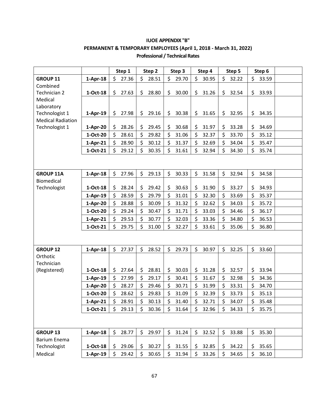# **IUOE APPENDIX "B" PERMANENT & TEMPORARY EMPLOYEES (April 1, 2018 - March 31, 2022)**

|                          |            |    | Step 1 |         | Step 2 | Step 3      | Step 4      | Step 5      |    | Step 6 |  |
|--------------------------|------------|----|--------|---------|--------|-------------|-------------|-------------|----|--------|--|
| <b>GROUP 11</b>          | $1-Apr-18$ | \$ | 27.36  | \$      | 28.51  | \$<br>29.70 | \$<br>30.95 | \$<br>32.22 | \$ | 33.59  |  |
| Combined                 |            |    |        |         |        |             |             |             |    |        |  |
| Technician 2             | $1-Oct-18$ | \$ | 27.63  | \$      | 28.80  | \$<br>30.00 | \$<br>31.26 | \$<br>32.54 | \$ | 33.93  |  |
| Medical                  |            |    |        |         |        |             |             |             |    |        |  |
| Laboratory               |            |    |        |         |        |             |             |             |    |        |  |
| Technologist 1           | $1-Apr-19$ | \$ | 27.98  | \$      | 29.16  | \$<br>30.38 | \$<br>31.65 | \$<br>32.95 | \$ | 34.35  |  |
| <b>Medical Radiation</b> |            |    |        |         |        |             |             |             |    |        |  |
| Technologist 1           | $1-Apr-20$ | \$ | 28.26  | \$      | 29.45  | \$<br>30.68 | \$<br>31.97 | \$<br>33.28 | \$ | 34.69  |  |
|                          | 1-Oct-20   | \$ | 28.61  | \$      | 29.82  | \$<br>31.06 | \$<br>32.37 | \$<br>33.70 | \$ | 35.12  |  |
|                          | $1-Apr-21$ | \$ | 28.90  | $\zeta$ | 30.12  | \$<br>31.37 | \$<br>32.69 | \$<br>34.04 | \$ | 35.47  |  |
|                          | 1-Oct-21   | \$ | 29.12  | \$      | 30.35  | \$<br>31.61 | \$<br>32.94 | \$<br>34.30 | \$ | 35.74  |  |
|                          |            |    |        |         |        |             |             |             |    |        |  |
| <b>GROUP 11A</b>         | $1-Apr-18$ | \$ | 27.96  | \$      | 29.13  | \$<br>30.33 | \$<br>31.58 | \$<br>32.94 | \$ | 34.58  |  |
| Biomedical               |            |    |        |         |        |             |             |             |    |        |  |
| Technologist             | 1-Oct-18   | \$ | 28.24  | \$      | 29.42  | \$<br>30.63 | \$<br>31.90 | \$<br>33.27 | \$ | 34.93  |  |
|                          | $1-Apr-19$ | \$ | 28.59  | \$      | 29.79  | \$<br>31.01 | \$<br>32.30 | \$<br>33.69 | \$ | 35.37  |  |
|                          | $1-Apr-20$ | \$ | 28.88  | $\zeta$ | 30.09  | \$<br>31.32 | \$<br>32.62 | \$<br>34.03 | \$ | 35.72  |  |
|                          | 1-Oct-20   | \$ | 29.24  | \$      | 30.47  | \$<br>31.71 | \$<br>33.03 | \$<br>34.46 | \$ | 36.17  |  |
|                          | $1-Apr-21$ | \$ | 29.53  | \$      | 30.77  | \$<br>32.03 | \$<br>33.36 | \$<br>34.80 | \$ | 36.53  |  |
|                          | $1-Oct-21$ | \$ | 29.75  | $\zeta$ | 31.00  | \$<br>32.27 | \$<br>33.61 | \$<br>35.06 | Ś. | 36.80  |  |
|                          |            |    |        |         |        |             |             |             |    |        |  |
| <b>GROUP 12</b>          | $1-Apr-18$ | \$ | 27.37  | \$      | 28.52  | \$<br>29.73 | \$<br>30.97 | \$<br>32.25 | \$ | 33.60  |  |
| Orthotic                 |            |    |        |         |        |             |             |             |    |        |  |
| Technician               |            |    |        |         |        |             |             |             |    |        |  |
| (Registered)             | 1-Oct-18   | \$ | 27.64  | \$      | 28.81  | \$<br>30.03 | \$<br>31.28 | \$<br>32.57 | \$ | 33.94  |  |
|                          | $1-Apr-19$ | \$ | 27.99  | \$      | 29.17  | \$<br>30.41 | \$<br>31.67 | \$<br>32.98 | \$ | 34.36  |  |
|                          | $1-Apr-20$ | Ś  | 28.27  | \$      | 29.46  | \$<br>30.71 | \$<br>31.99 | \$<br>33.31 | \$ | 34.70  |  |
|                          | 1-Oct-20   | \$ | 28.62  | \$      | 29.83  | \$<br>31.09 | \$<br>32.39 | \$<br>33.73 | \$ | 35.13  |  |
|                          | $1-Apr-21$ | \$ | 28.91  | \$      | 30.13  | \$<br>31.40 | \$<br>32.71 | \$<br>34.07 | \$ | 35.48  |  |
|                          | 1-Oct-21   | \$ | 29.13  | \$      | 30.36  | \$<br>31.64 | \$<br>32.96 | \$<br>34.33 | \$ | 35.75  |  |
|                          |            |    |        |         |        |             |             |             |    |        |  |
| <b>GROUP 13</b>          | $1-Apr-18$ | \$ | 28.77  | \$      | 29.97  | \$<br>31.24 | \$<br>32.52 | \$<br>33.88 | \$ | 35.30  |  |
| <b>Barium Enema</b>      |            |    |        |         |        |             |             |             |    |        |  |
| Technologist             | 1-Oct-18   |    | 29.06  | \$      | 30.27  | \$<br>31.55 | \$<br>32.85 | \$<br>34.22 | \$ | 35.65  |  |
| Medical                  | 1-Apr-19   | \$ | 29.42  | \$      | 30.65  | \$<br>31.94 | \$<br>33.26 | \$<br>34.65 | \$ | 36.10  |  |

#### **Professional / Technical Rates**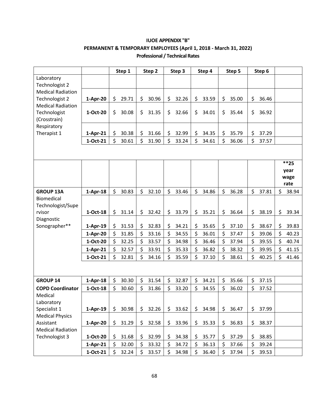|                          |            |     | Step 1 | Step 2      | Step 3      | Step 4      | Step 5      | Step 6      |                     |
|--------------------------|------------|-----|--------|-------------|-------------|-------------|-------------|-------------|---------------------|
| Laboratory               |            |     |        |             |             |             |             |             |                     |
| Technologist 2           |            |     |        |             |             |             |             |             |                     |
| <b>Medical Radiation</b> |            |     |        |             |             |             |             |             |                     |
| Technologist 2           | $1-Apr-20$ | \$  | 29.71  | \$<br>30.96 | \$<br>32.26 | \$<br>33.59 | \$<br>35.00 | \$<br>36.46 |                     |
| <b>Medical Radiation</b> |            |     |        |             |             |             |             |             |                     |
| Technologist             | 1-Oct-20   | \$  | 30.08  | \$<br>31.35 | \$<br>32.66 | \$<br>34.01 | \$<br>35.44 | \$<br>36.92 |                     |
| (Crosstrain)             |            |     |        |             |             |             |             |             |                     |
| Respiratory              |            |     |        |             |             |             |             |             |                     |
| Therapist 1              | $1-Apr-21$ | \$  | 30.38  | \$<br>31.66 | \$<br>32.99 | \$<br>34.35 | \$<br>35.79 | \$<br>37.29 |                     |
|                          | 1-Oct-21   | \$  | 30.61  | \$<br>31.90 | \$<br>33.24 | \$<br>34.61 | \$<br>36.06 | \$<br>37.57 |                     |
|                          |            |     |        |             |             |             |             |             |                     |
|                          |            |     |        |             |             |             |             |             |                     |
|                          |            |     |        |             |             |             |             |             | $***25$             |
|                          |            |     |        |             |             |             |             |             | year                |
|                          |            |     |        |             |             |             |             |             | wage                |
| <b>GROUP 13A</b>         | $1-Apr-18$ | \$  | 30.83  | \$<br>32.10 | \$<br>33.46 | \$<br>34.86 | \$<br>36.28 | \$<br>37.81 | \$<br>rate<br>38.94 |
| <b>Biomedical</b>        |            |     |        |             |             |             |             |             |                     |
| Technologist/Supe        |            |     |        |             |             |             |             |             |                     |
| rvisor                   | $1-Oct-18$ | \$  | 31.14  | \$<br>32.42 | \$<br>33.79 | \$<br>35.21 | \$<br>36.64 | \$<br>38.19 | \$<br>39.34         |
| Diagnostic               |            |     |        |             |             |             |             |             |                     |
| Sonographer**            | $1-Apr-19$ | \$  | 31.53  | \$<br>32.83 | \$<br>34.21 | \$<br>35.65 | \$<br>37.10 | \$<br>38.67 | \$<br>39.83         |
|                          | $1-Apr-20$ | \$  | 31.85  | \$<br>33.16 | \$<br>34.55 | \$<br>36.01 | \$<br>37.47 | \$<br>39.06 | \$<br>40.23         |
|                          | 1-Oct-20   | \$  | 32.25  | \$<br>33.57 | \$<br>34.98 | \$<br>36.46 | \$<br>37.94 | \$<br>39.55 | \$<br>40.74         |
|                          | $1-Apr-21$ | \$  | 32.57  | \$<br>33.91 | \$<br>35.33 | \$<br>36.82 | \$<br>38.32 | \$<br>39.95 | \$<br>41.15         |
|                          | 1-Oct-21   | \$  | 32.81  | \$<br>34.16 | \$<br>35.59 | \$<br>37.10 | \$<br>38.61 | \$<br>40.25 | \$<br>41.46         |
|                          |            |     |        |             |             |             |             |             |                     |
|                          |            |     |        |             |             |             |             |             |                     |
| <b>GROUP 14</b>          | $1-Apr-18$ | \$  | 30.30  | \$<br>31.54 | \$<br>32.87 | \$<br>34.21 | \$<br>35.66 | \$<br>37.15 |                     |
| <b>COPD Coordinator</b>  | 1-Oct-18   | \$  | 30.60  | \$<br>31.86 | \$<br>33.20 | \$<br>34.55 | \$<br>36.02 | \$<br>37.52 |                     |
| Medical                  |            |     |        |             |             |             |             |             |                     |
| Laboratory               |            |     |        |             |             |             |             |             |                     |
| Specialist 1             | $1-Apr-19$ | \$  | 30.98  | \$<br>32.26 | \$<br>33.62 | \$<br>34.98 | \$<br>36.47 | \$<br>37.99 |                     |
| <b>Medical Physics</b>   |            |     |        |             |             |             |             |             |                     |
| Assistant                | $1-Apr-20$ | \$. | 31.29  | \$<br>32.58 | \$<br>33.96 | \$<br>35.33 | \$<br>36.83 | \$<br>38.37 |                     |
| <b>Medical Radiation</b> |            |     |        |             |             |             |             |             |                     |
| Technologist 3           | 1-Oct-20   | \$  | 31.68  | \$<br>32.99 | \$<br>34.38 | \$<br>35.77 | \$<br>37.29 | \$<br>38.85 |                     |
|                          | $1-Apr-21$ | \$  | 32.00  | \$<br>33.32 | \$<br>34.72 | \$<br>36.13 | \$<br>37.66 | \$<br>39.24 |                     |
|                          | $1-Oct-21$ | \$  | 32.24  | \$<br>33.57 | \$<br>34.98 | \$<br>36.40 | \$<br>37.94 | \$<br>39.53 |                     |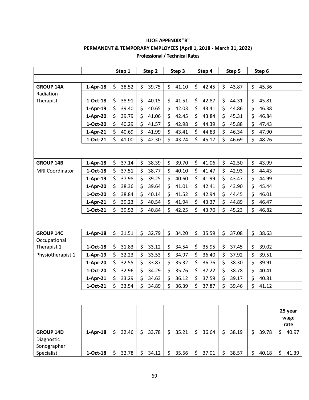|                        |            | Step 1      | Step 2      | Step 3      | Step 4      | Step 5      | Step 6      |                         |
|------------------------|------------|-------------|-------------|-------------|-------------|-------------|-------------|-------------------------|
|                        |            |             |             |             |             |             |             |                         |
| <b>GROUP 14A</b>       | $1-Apr-18$ | \$<br>38.52 | \$<br>39.75 | \$<br>41.10 | \$<br>42.45 | \$<br>43.87 | \$<br>45.36 |                         |
| Radiation              |            |             |             |             |             |             |             |                         |
| Therapist              | 1-Oct-18   | \$<br>38.91 | \$<br>40.15 | \$<br>41.51 | \$<br>42.87 | \$<br>44.31 | \$<br>45.81 |                         |
|                        | $1-Apr-19$ | \$<br>39.40 | \$<br>40.65 | \$<br>42.03 | \$<br>43.41 | \$<br>44.86 | \$<br>46.38 |                         |
|                        | $1-Apr-20$ | \$<br>39.79 | \$<br>41.06 | \$<br>42.45 | \$<br>43.84 | \$<br>45.31 | \$<br>46.84 |                         |
|                        | 1-Oct-20   | \$<br>40.29 | \$<br>41.57 | \$<br>42.98 | \$<br>44.39 | \$<br>45.88 | \$<br>47.43 |                         |
|                        | $1-Apr-21$ | \$<br>40.69 | \$<br>41.99 | \$<br>43.41 | \$<br>44.83 | \$<br>46.34 | \$<br>47.90 |                         |
|                        | 1-Oct-21   | \$<br>41.00 | \$<br>42.30 | \$<br>43.74 | \$<br>45.17 | \$<br>46.69 | \$<br>48.26 |                         |
|                        |            |             |             |             |             |             |             |                         |
| <b>GROUP 14B</b>       | $1-Apr-18$ | \$<br>37.14 | \$<br>38.39 | \$<br>39.70 | \$<br>41.06 | \$<br>42.50 | \$<br>43.99 |                         |
| <b>MRI Coordinator</b> | $1-Oct-18$ | \$<br>37.51 | \$<br>38.77 | \$<br>40.10 | \$<br>41.47 | \$<br>42.93 | \$<br>44.43 |                         |
|                        | $1-Apr-19$ | \$<br>37.98 | \$<br>39.25 | \$<br>40.60 | \$<br>41.99 | \$<br>43.47 | \$<br>44.99 |                         |
|                        | $1-Apr-20$ | \$<br>38.36 | \$<br>39.64 | \$<br>41.01 | \$<br>42.41 | \$<br>43.90 | \$<br>45.44 |                         |
|                        | 1-Oct-20   | \$<br>38.84 | \$<br>40.14 | \$<br>41.52 | \$<br>42.94 | \$<br>44.45 | \$<br>46.01 |                         |
|                        | $1-Apr-21$ | \$<br>39.23 | \$<br>40.54 | \$<br>41.94 | \$<br>43.37 | \$<br>44.89 | \$<br>46.47 |                         |
|                        | 1-Oct-21   | \$<br>39.52 | \$<br>40.84 | \$<br>42.25 | \$<br>43.70 | \$<br>45.23 | \$<br>46.82 |                         |
|                        |            |             |             |             |             |             |             |                         |
| <b>GROUP 14C</b>       | $1-Apr-18$ | \$<br>31.51 | \$<br>32.79 | \$<br>34.20 | \$<br>35.59 | \$<br>37.08 | \$<br>38.63 |                         |
| Occupational           |            |             |             |             |             |             |             |                         |
| Therapist 1            | 1-Oct-18   | \$<br>31.83 | \$<br>33.12 | \$<br>34.54 | \$<br>35.95 | \$<br>37.45 | \$<br>39.02 |                         |
| Physiotherapist 1      | $1-Apr-19$ | \$<br>32.23 | \$<br>33.53 | \$<br>34.97 | \$<br>36.40 | \$<br>37.92 | \$<br>39.51 |                         |
|                        | $1-Apr-20$ | \$<br>32.55 | \$<br>33.87 | \$<br>35.32 | \$<br>36.76 | \$<br>38.30 | \$<br>39.91 |                         |
|                        | 1-Oct-20   | \$<br>32.96 | \$<br>34.29 | \$<br>35.76 | \$<br>37.22 | \$<br>38.78 | \$<br>40.41 |                         |
|                        | $1-Apr-21$ | \$<br>33.29 | \$<br>34.63 | \$<br>36.12 | \$<br>37.59 | \$<br>39.17 | \$<br>40.81 |                         |
|                        | 1-Oct-21   | \$<br>33.54 | \$<br>34.89 | \$<br>36.39 | \$<br>37.87 | \$<br>39.46 | \$<br>41.12 |                         |
|                        |            |             |             |             |             |             |             |                         |
|                        |            |             |             |             |             |             |             | 25 year<br>wage<br>rate |
| <b>GROUP 14D</b>       | $1-Apr-18$ | \$<br>32.46 | \$<br>33.78 | \$<br>35.21 | \$<br>36.64 | \$<br>38.19 | \$<br>39.78 | \$<br>40.97             |
| Diagnostic             |            |             |             |             |             |             |             |                         |
| Sonographer            |            |             |             |             |             |             |             |                         |
| Specialist             | 1-Oct-18   | \$<br>32.78 | \$<br>34.12 | \$<br>35.56 | \$<br>37.01 | \$<br>38.57 | \$<br>40.18 | \$<br>41.39             |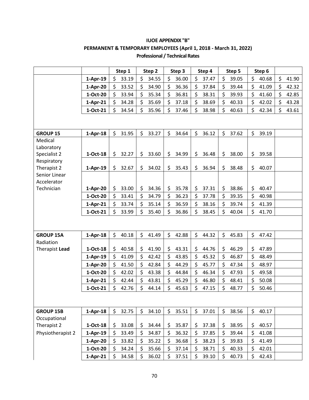|                            |            | Step 1           | Step 2           | Step 3      | Step 4      | Step 5       | Step 6      |             |
|----------------------------|------------|------------------|------------------|-------------|-------------|--------------|-------------|-------------|
|                            | $1-Apr-19$ | \$<br>33.19      | \$<br>34.55      | \$<br>36.00 | \$<br>37.47 | \$<br>39.05  | \$<br>40.68 | \$<br>41.90 |
|                            | $1-Apr-20$ | \$<br>33.52      | \$<br>34.90      | \$<br>36.36 | \$<br>37.84 | \$<br>39.44  | \$<br>41.09 | \$<br>42.32 |
|                            | 1-Oct-20   | Ś<br>33.94       | \$<br>35.34      | \$<br>36.81 | 38.31       | \$<br>39.93  | \$<br>41.60 | \$<br>42.85 |
|                            | $1-Apr-21$ | \$<br>34.28      | \$<br>35.69      | \$<br>37.18 | \$<br>38.69 | \$<br>40.33  | \$<br>42.02 | \$<br>43.28 |
|                            | 1-Oct-21   | \$<br>34.54      | \$<br>35.96      | \$<br>37.46 | \$<br>38.98 | \$<br>40.63  | \$<br>42.34 | \$<br>43.61 |
|                            |            |                  |                  |             |             |              |             |             |
| <b>GROUP 15</b>            | $1-Apr-18$ | \$<br>31.95      | \$<br>33.27      | \$<br>34.64 | \$<br>36.12 | \$<br>37.62  | \$<br>39.19 |             |
| Medical                    |            |                  |                  |             |             |              |             |             |
| Laboratory                 |            |                  |                  |             |             |              |             |             |
| Specialist 2               | $1-Oct-18$ | \$<br>32.27      | \$<br>33.60      | \$<br>34.99 | \$<br>36.48 | \$<br>38.00  | \$<br>39.58 |             |
| Respiratory<br>Therapist 2 |            | \$<br>32.67      | \$<br>34.02      | \$<br>35.43 | \$<br>36.94 | \$<br>38.48  | \$<br>40.07 |             |
| Senior Linear              | $1-Apr-19$ |                  |                  |             |             |              |             |             |
| Accelerator                |            |                  |                  |             |             |              |             |             |
| Technician                 | $1-Apr-20$ | \$<br>33.00      | \$<br>34.36      | \$<br>35.78 | \$<br>37.31 | \$<br>38.86  | \$<br>40.47 |             |
|                            | 1-Oct-20   | \$<br>33.41      | \$<br>34.79      | \$<br>36.23 | \$<br>37.78 | \$<br>39.35  | \$<br>40.98 |             |
|                            | $1-Apr-21$ | \$<br>33.74      | \$<br>35.14      | \$<br>36.59 | \$<br>38.16 | \$<br>39.74  | \$<br>41.39 |             |
|                            | 1-Oct-21   | \$<br>33.99      | \$<br>35.40      | \$<br>36.86 | \$<br>38.45 | \$<br>40.04  | \$<br>41.70 |             |
|                            |            |                  |                  |             |             |              |             |             |
| <b>GROUP 15A</b>           | $1-Apr-18$ | \$<br>40.18      | \$<br>41.49      | \$<br>42.88 | \$<br>44.32 | \$<br>45.83  | \$<br>47.42 |             |
| Radiation                  |            |                  |                  |             |             |              |             |             |
| Therapist Lead             | 1-Oct-18   | \$<br>40.58      | \$<br>41.90      | \$<br>43.31 | \$<br>44.76 | 46.29<br>\$  | \$<br>47.89 |             |
|                            | $1-Apr-19$ | \$<br>41.09      | \$<br>42.42      | \$<br>43.85 | \$<br>45.32 | \$<br>46.87  | \$<br>48.49 |             |
|                            | $1-Apr-20$ | \$<br>41.50      | \$<br>42.84      | \$<br>44.29 | \$<br>45.77 | \$<br>47.34  | \$<br>48.97 |             |
|                            | 1-Oct-20   | \$<br>42.02      | \$<br>43.38      | \$<br>44.84 | \$<br>46.34 | \$<br>47.93  | \$<br>49.58 |             |
|                            | 1-Apr-21   | $\zeta$<br>42.44 | \$<br>43.81      | \$<br>45.29 | \$<br>46.80 | \$<br>48.41  | \$<br>50.08 |             |
|                            | 1-Oct-21   | Ś<br>42.76       | Ś.<br>44.14      | Ś<br>45.63  | Ś<br>47.15  | \$<br>48.77  | \$<br>50.46 |             |
|                            |            |                  |                  |             |             |              |             |             |
| <b>GROUP 15B</b>           | $1-Apr-18$ | $\zeta$<br>32.75 | $\zeta$<br>34.10 | \$<br>35.51 | \$<br>37.01 | \$<br>38.56  | \$<br>40.17 |             |
| Occupational               |            |                  |                  |             |             |              |             |             |
| Therapist 2                | 1-Oct-18   | \$<br>33.08      | \$<br>34.44      | \$<br>35.87 | \$<br>37.38 | \$<br>38.95  | \$<br>40.57 |             |
| Physiotherapist 2          | $1-Apr-19$ | \$<br>33.49      | \$<br>34.87      | \$<br>36.32 | \$<br>37.85 | \$<br>39.44  | \$<br>41.08 |             |
|                            | $1-Apr-20$ | \$<br>33.82      | \$<br>35.22      | \$<br>36.68 | \$<br>38.23 | \$<br>39.83  | \$<br>41.49 |             |
|                            | 1-Oct-20   | \$<br>34.24      | \$<br>35.66      | \$<br>37.14 | \$<br>38.71 | \$.<br>40.33 | \$<br>42.01 |             |
|                            | $1-Apr-21$ | \$<br>34.58      | \$<br>36.02      | \$<br>37.51 | \$<br>39.10 | \$<br>40.73  | \$<br>42.43 |             |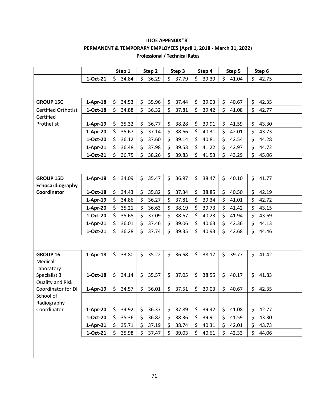|                            |            | Step 1      |         | Step 2 | Step 3      | Step 4      |     | Step 5 | Step 6      |  |
|----------------------------|------------|-------------|---------|--------|-------------|-------------|-----|--------|-------------|--|
|                            | 1-Oct-21   | \$<br>34.84 | \$      | 36.29  | \$<br>37.79 | \$<br>39.39 | \$  | 41.04  | \$<br>42.75 |  |
|                            |            |             |         |        |             |             |     |        |             |  |
|                            |            |             |         |        |             |             |     |        |             |  |
| <b>GROUP 15C</b>           | $1-Apr-18$ | \$<br>34.53 | \$      | 35.96  | \$<br>37.44 | \$<br>39.03 | \$  | 40.67  | \$<br>42.35 |  |
| <b>Certified Orthotist</b> | $1-Oct-18$ | \$<br>34.88 | \$      | 36.32  | \$<br>37.81 | \$<br>39.42 | \$  | 41.08  | \$<br>42.77 |  |
| Certified                  |            |             |         |        |             |             |     |        |             |  |
| Prothetist                 | 1-Apr-19   | \$<br>35.32 | \$      | 36.77  | \$<br>38.28 | \$<br>39.91 | \$  | 41.59  | \$<br>43.30 |  |
|                            | 1-Apr-20   | \$<br>35.67 | \$      | 37.14  | \$<br>38.66 | \$<br>40.31 | \$  | 42.01  | \$<br>43.73 |  |
|                            | 1-Oct-20   | \$<br>36.12 | \$      | 37.60  | \$<br>39.14 | \$<br>40.81 | \$  | 42.54  | \$<br>44.28 |  |
|                            | $1-Apr-21$ | \$<br>36.48 | \$      | 37.98  | \$<br>39.53 | \$<br>41.22 | \$  | 42.97  | \$<br>44.72 |  |
|                            | 1-Oct-21   | \$<br>36.75 | \$      | 38.26  | \$<br>39.83 | \$<br>41.53 | \$  | 43.29  | \$<br>45.06 |  |
|                            |            |             |         |        |             |             |     |        |             |  |
|                            |            |             |         |        |             |             |     |        |             |  |
| <b>GROUP 15D</b>           | $1-Apr-18$ | \$<br>34.09 | \$      | 35.47  | \$<br>36.97 | \$<br>38.47 | \$  | 40.10  | \$<br>41.77 |  |
| Echocardiography           |            |             |         |        |             |             |     |        |             |  |
| Coordinator                | 1-Oct-18   | \$<br>34.43 | \$      | 35.82  | \$<br>37.34 | \$<br>38.85 | \$  | 40.50  | \$<br>42.19 |  |
|                            | $1-Apr-19$ | \$<br>34.86 | \$      | 36.27  | \$<br>37.81 | \$<br>39.34 | \$  | 41.01  | \$<br>42.72 |  |
|                            | $1-Apr-20$ | \$<br>35.21 | \$      | 36.63  | \$<br>38.19 | \$<br>39.73 | \$  | 41.42  | \$<br>43.15 |  |
|                            | 1-Oct-20   | \$<br>35.65 | \$      | 37.09  | \$<br>38.67 | \$<br>40.23 | \$  | 41.94  | \$<br>43.69 |  |
|                            | 1-Apr-21   | \$<br>36.01 | \$      | 37.46  | \$<br>39.06 | \$<br>40.63 | \$  | 42.36  | \$<br>44.13 |  |
|                            | 1-Oct-21   | \$<br>36.28 | \$      | 37.74  | \$<br>39.35 | \$<br>40.93 | \$  | 42.68  | \$<br>44.46 |  |
|                            |            |             |         |        |             |             |     |        |             |  |
|                            |            |             |         |        |             |             |     |        |             |  |
| <b>GROUP 16</b>            | $1-Apr-18$ | \$<br>33.80 | \$      | 35.22  | \$<br>36.68 | \$<br>38.17 | \$  | 39.77  | \$<br>41.42 |  |
| Medical                    |            |             |         |        |             |             |     |        |             |  |
| Laboratory<br>Specialist 3 | 1-Oct-18   | \$<br>34.14 | \$      | 35.57  | \$<br>37.05 | \$<br>38.55 | \$  | 40.17  | \$<br>41.83 |  |
| <b>Quality and Risk</b>    |            |             |         |        |             |             |     |        |             |  |
| Coordinator for DI         | $1-Apr-19$ | \$<br>34.57 | \$      | 36.01  | \$<br>37.51 | \$<br>39.03 | \$  | 40.67  | \$<br>42.35 |  |
| School of                  |            |             |         |        |             |             |     |        |             |  |
| Radiography                |            |             |         |        |             |             |     |        |             |  |
| Coordinator                | $1-Apr-20$ | \$<br>34.92 | \$      | 36.37  | \$<br>37.89 | \$<br>39.42 | \$  | 41.08  | \$<br>42.77 |  |
|                            | 1-Oct-20   | \$<br>35.36 | \$      | 36.82  | \$<br>38.36 | \$<br>39.91 | \$  | 41.59  | \$<br>43.30 |  |
|                            | $1-Apr-21$ | \$<br>35.71 | $\zeta$ | 37.19  | \$<br>38.74 | \$<br>40.31 | \$  | 42.01  | \$<br>43.73 |  |
|                            | 1-Oct-21   | \$<br>35.98 | \$      | 37.47  | \$<br>39.03 | \$<br>40.61 | \$. | 42.33  | \$<br>44.06 |  |
|                            |            |             |         |        |             |             |     |        |             |  |
|                            |            |             |         |        |             |             |     |        |             |  |
|                            |            |             |         |        |             |             |     |        |             |  |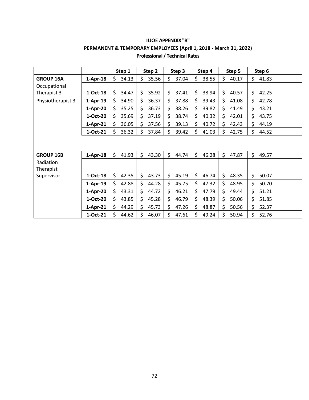|                        |            | Step 1      | Step 2      |    | Step 3 |    | Step 4 | Step 5      | Step 6      |  |
|------------------------|------------|-------------|-------------|----|--------|----|--------|-------------|-------------|--|
| <b>GROUP 16A</b>       | $1-Apr-18$ | \$<br>34.13 | \$<br>35.56 | \$ | 37.04  | Ś. | 38.55  | \$<br>40.17 | \$<br>41.83 |  |
| Occupational           |            |             |             |    |        |    |        |             |             |  |
| Therapist 3            | $1-Oct-18$ | \$<br>34.47 | \$<br>35.92 | \$ | 37.41  | \$ | 38.94  | \$<br>40.57 | \$<br>42.25 |  |
| Physiotherapist 3      | $1-Apr-19$ | \$<br>34.90 | \$<br>36.37 | \$ | 37.88  | \$ | 39.43  | \$<br>41.08 | \$<br>42.78 |  |
|                        | $1-Apr-20$ | \$<br>35.25 | \$<br>36.73 | \$ | 38.26  | \$ | 39.82  | \$<br>41.49 | \$<br>43.21 |  |
|                        | 1-Oct-20   | \$<br>35.69 | \$<br>37.19 | \$ | 38.74  | \$ | 40.32  | \$<br>42.01 | \$<br>43.75 |  |
|                        | $1-Apr-21$ | \$<br>36.05 | \$<br>37.56 | \$ | 39.13  | \$ | 40.72  | \$<br>42.43 | \$<br>44.19 |  |
|                        | 1-Oct-21   | \$<br>36.32 | \$<br>37.84 | \$ | 39.42  | \$ | 41.03  | \$<br>42.75 | \$<br>44.52 |  |
|                        |            |             |             |    |        |    |        |             |             |  |
| <b>GROUP 16B</b>       | $1-Apr-18$ | \$<br>41.93 | \$<br>43.30 | Ś. | 44.74  | \$ | 46.28  | \$<br>47.87 | \$<br>49.57 |  |
| Radiation<br>Therapist |            |             |             |    |        |    |        |             |             |  |
| Supervisor             | $1-Oct-18$ | \$<br>42.35 | \$<br>43.73 | \$ | 45.19  | \$ | 46.74  | \$<br>48.35 | \$<br>50.07 |  |
|                        | $1-Apr-19$ | \$<br>42.88 | \$<br>44.28 | \$ | 45.75  | \$ | 47.32  | \$<br>48.95 | \$<br>50.70 |  |
|                        | 1-Apr-20   | \$<br>43.31 | \$<br>44.72 | \$ | 46.21  | \$ | 47.79  | \$<br>49.44 | \$<br>51.21 |  |
|                        | 1-Oct-20   | \$<br>43.85 | \$<br>45.28 | \$ | 46.79  | \$ | 48.39  | \$<br>50.06 | \$<br>51.85 |  |
|                        | $1-Apr-21$ | \$<br>44.29 | \$<br>45.73 | \$ | 47.26  | \$ | 48.87  | \$<br>50.56 | \$<br>52.37 |  |
|                        | 1-Oct-21   | \$<br>44.62 | \$<br>46.07 | Ś  | 47.61  | Ś  | 49.24  | \$<br>50.94 | \$<br>52.76 |  |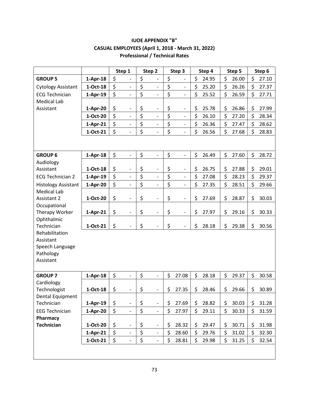|                                |            | Step 1                             | Step 2                             | Step 3                         | Step 4      | Step 5      | Step 6      |
|--------------------------------|------------|------------------------------------|------------------------------------|--------------------------------|-------------|-------------|-------------|
| <b>GROUP 5</b>                 | $1-Apr-18$ | \$<br>$\overline{\phantom{a}}$     | \$<br>$\overline{a}$               | \$<br>$\overline{\phantom{0}}$ | \$<br>24.95 | \$<br>26.00 | \$<br>27.10 |
| <b>Cytology Assistant</b>      | 1-Oct-18   | \$<br>$\overline{\phantom{0}}$     | \$<br>$\overline{\phantom{0}}$     | \$<br>$\overline{\phantom{0}}$ | \$<br>25.20 | \$<br>26.26 | \$<br>27.37 |
| <b>ECG Technician</b>          | $1-Apr-19$ | \$<br>$\frac{1}{2}$                | \$<br>$\frac{1}{2}$                | \$<br>$\overline{a}$           | \$<br>25.52 | \$<br>26.59 | \$<br>27.71 |
| <b>Medical Lab</b>             |            |                                    |                                    |                                |             |             |             |
| Assistant                      | $1-Apr-20$ | \$<br>$\qquad \qquad \blacksquare$ | \$<br>$\qquad \qquad -$            | \$<br>$\qquad \qquad -$        | \$<br>25.78 | \$<br>26.86 | \$<br>27.99 |
|                                | 1-Oct-20   | \$<br>$\frac{1}{2}$                | \$<br>$\qquad \qquad \blacksquare$ | \$<br>$\qquad \qquad -$        | \$<br>26.10 | \$<br>27.20 | \$<br>28.34 |
|                                | $1-Apr-21$ | \$<br>$\overline{\phantom{0}}$     | \$<br>$\blacksquare$               | \$<br>$\overline{\phantom{a}}$ | \$<br>26.36 | \$<br>27.47 | \$<br>28.62 |
|                                | 1-Oct-21   | \$                                 | \$<br>$\overline{a}$               | \$                             | \$<br>26.56 | \$<br>27.68 | \$<br>28.83 |
|                                |            |                                    |                                    |                                |             |             |             |
| <b>GROUP 6</b>                 | $1-Apr-18$ | \$<br>$\qquad \qquad \blacksquare$ | \$<br>$\overline{\phantom{0}}$     | \$<br>$\qquad \qquad -$        | \$<br>26.49 | \$<br>27.60 | \$<br>28.72 |
| Audiology                      |            |                                    |                                    |                                |             |             |             |
| Assistant                      | $1-Oct-18$ | \$<br>$\qquad \qquad \blacksquare$ | \$<br>$\overline{\phantom{a}}$     | \$<br>$\qquad \qquad -$        | \$<br>26.75 | \$<br>27.88 | \$<br>29.01 |
| <b>ECG Technician 2</b>        | $1-Apr-19$ | \$<br>$\frac{1}{2}$                | \$<br>$\qquad \qquad \blacksquare$ | \$<br>$\overline{\phantom{0}}$ | \$<br>27.08 | \$<br>28.23 | \$<br>29.37 |
| <b>Histology Assistant</b>     | 1-Apr-20   | \$<br>$\overline{\phantom{0}}$     | \$<br>$\overline{\phantom{0}}$     | \$<br>$\overline{\phantom{a}}$ | \$<br>27.35 | \$<br>28.51 | \$<br>29.66 |
| <b>Medical Lab</b>             |            |                                    |                                    |                                |             |             |             |
| Assistant 2                    | 1-Oct-20   | \$<br>$\overline{\phantom{a}}$     | \$<br>$\overline{a}$               | \$<br>$\overline{\phantom{0}}$ | \$<br>27.69 | \$<br>28.87 | \$<br>30.03 |
| Occupational                   |            | \$<br>$\overline{\phantom{a}}$     | \$<br>$\frac{1}{2}$                | \$                             | \$<br>27.97 | \$<br>29.16 | \$          |
| Therapy Worker<br>Ophthalmic   | 1-Apr-21   |                                    |                                    | $\overline{\phantom{a}}$       |             |             | 30.33       |
| Technician                     | 1-Oct-21   | \$                                 | \$<br>$\overline{a}$               | \$<br>$\qquad \qquad -$        | \$<br>28.18 | \$<br>29.38 | \$<br>30.56 |
| Rehabilitation                 |            |                                    |                                    |                                |             |             |             |
| Assistant                      |            |                                    |                                    |                                |             |             |             |
| Speech Language                |            |                                    |                                    |                                |             |             |             |
| Pathology                      |            |                                    |                                    |                                |             |             |             |
| Assistant                      |            |                                    |                                    |                                |             |             |             |
|                                |            |                                    |                                    |                                |             |             |             |
| <b>GROUP 7</b>                 | $1-Apr-18$ | \$<br>$\overline{\phantom{a}}$     | \$<br>$\frac{1}{2}$                | \$<br>27.08                    | \$<br>28.18 | \$<br>29.37 | \$<br>30.58 |
| Cardiology                     |            |                                    |                                    |                                |             |             |             |
| Technologist                   | 1-Oct-18   | \$                                 | \$                                 | \$<br>27.35                    | \$<br>28.46 | \$<br>29.66 | \$<br>30.89 |
| Dental Equipment<br>Technician | $1-Apr-19$ | \$<br>$\overline{\phantom{a}}$     | \$<br>$\blacksquare$               | \$<br>27.69                    | \$<br>28.82 | \$<br>30.03 | \$<br>31.28 |
| <b>EEG Technician</b>          | $1-Apr-20$ | \$<br>$\overline{\phantom{a}}$     | \$<br>$\overline{a}$               | \$<br>27.97                    | \$<br>29.11 | \$<br>30.33 | \$<br>31.59 |
| Pharmacy                       |            |                                    |                                    |                                |             |             |             |
| <b>Technician</b>              | 1-Oct-20   | \$<br>$\overline{\phantom{0}}$     | \$<br>$\overline{\phantom{0}}$     | \$<br>28.32                    | \$<br>29.47 | \$<br>30.71 | \$<br>31.98 |
|                                | $1-Apr-21$ | \$<br>$\overline{\phantom{a}}$     | \$<br>$\overline{\phantom{0}}$     | \$<br>28.60                    | \$<br>29.76 | \$<br>31.02 | \$<br>32.30 |
|                                | 1-Oct-21   | \$                                 | \$<br>$\overline{\phantom{0}}$     | \$<br>28.81                    | \$<br>29.98 | \$<br>31.25 | \$<br>32.54 |
|                                |            |                                    |                                    |                                |             |             |             |
|                                |            |                                    |                                    |                                |             |             |             |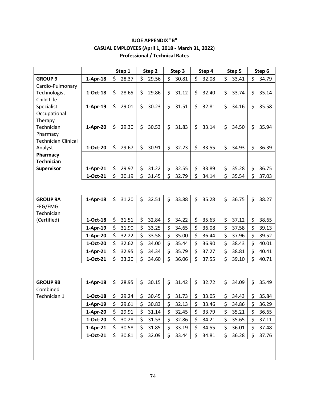|                            |            | Step 1      |    | Step 2 | Step 3      | Step 4      | Step 5      | Step 6      |
|----------------------------|------------|-------------|----|--------|-------------|-------------|-------------|-------------|
| <b>GROUP 9</b>             | $1-Apr-18$ | \$<br>28.37 | \$ | 29.56  | \$<br>30.81 | \$<br>32.08 | \$<br>33.41 | \$<br>34.79 |
| Cardio-Pulmonary           |            |             |    |        |             |             |             |             |
| Technologist               | $1-Oct-18$ | \$<br>28.65 | \$ | 29.86  | \$<br>31.12 | \$<br>32.40 | \$<br>33.74 | \$<br>35.14 |
| Child Life                 |            |             |    |        |             |             |             |             |
| Specialist                 | $1-Apr-19$ | \$<br>29.01 | \$ | 30.23  | \$<br>31.51 | \$<br>32.81 | \$<br>34.16 | \$<br>35.58 |
| Occupational               |            |             |    |        |             |             |             |             |
| Therapy                    |            |             |    |        |             |             |             |             |
| Technician                 | $1-Apr-20$ | \$<br>29.30 | \$ | 30.53  | \$<br>31.83 | \$<br>33.14 | \$<br>34.50 | \$<br>35.94 |
| Pharmacy                   |            |             |    |        |             |             |             |             |
| <b>Technician Clinical</b> |            | \$          |    |        | \$          |             | \$          |             |
| Analyst<br>Pharmacy        | 1-Oct-20   | 29.67       | \$ | 30.91  | 32.23       | \$<br>33.55 | 34.93       | \$<br>36.39 |
| <b>Technician</b>          |            |             |    |        |             |             |             |             |
| Supervisor                 | $1-Apr-21$ | \$<br>29.97 | \$ | 31.22  | \$<br>32.55 | \$<br>33.89 | \$<br>35.28 | \$<br>36.75 |
|                            | 1-Oct-21   | \$<br>30.19 | \$ | 31.45  | \$<br>32.79 | \$<br>34.14 | \$<br>35.54 | \$<br>37.03 |
|                            |            |             |    |        |             |             |             |             |
|                            |            |             |    |        |             |             |             |             |
| <b>GROUP 9A</b>            | $1-Apr-18$ | \$<br>31.20 | \$ | 32.51  | \$<br>33.88 | \$<br>35.28 | \$<br>36.75 | \$<br>38.27 |
| EEG/EMG                    |            |             |    |        |             |             |             |             |
| Technician                 |            |             |    |        |             |             |             |             |
| (Certified)                | $1-Oct-18$ | \$<br>31.51 | \$ | 32.84  | \$<br>34.22 | \$<br>35.63 | \$<br>37.12 | \$<br>38.65 |
|                            | $1-Apr-19$ | \$<br>31.90 | \$ | 33.25  | \$<br>34.65 | \$<br>36.08 | \$<br>37.58 | \$<br>39.13 |
|                            | $1-Apr-20$ | \$<br>32.22 | \$ | 33.58  | \$<br>35.00 | \$<br>36.44 | \$<br>37.96 | \$<br>39.52 |
|                            | 1-Oct-20   | \$<br>32.62 | \$ | 34.00  | \$<br>35.44 | \$<br>36.90 | \$<br>38.43 | \$<br>40.01 |
|                            | $1-Apr-21$ | \$<br>32.95 | \$ | 34.34  | \$<br>35.79 | \$<br>37.27 | \$<br>38.81 | \$<br>40.41 |
|                            | 1-Oct-21   | \$<br>33.20 | \$ | 34.60  | \$<br>36.06 | \$<br>37.55 | \$<br>39.10 | \$<br>40.71 |
|                            |            |             |    |        |             |             |             |             |
|                            |            |             |    |        |             |             |             |             |
| <b>GROUP 9B</b>            | $1-Apr-18$ | \$<br>28.95 | \$ | 30.15  | \$<br>31.42 | \$<br>32.72 | \$<br>34.09 | \$<br>35.49 |
| Combined                   |            |             |    |        |             |             |             |             |
| Technician 1               | $1-Oct-18$ | \$<br>29.24 | \$ | 30.45  | \$<br>31.73 | \$<br>33.05 | \$<br>34.43 | \$<br>35.84 |
|                            | $1-Apr-19$ | \$<br>29.61 | \$ | 30.83  | \$<br>32.13 | \$<br>33.46 | \$<br>34.86 | \$<br>36.29 |
|                            | $1-Apr-20$ | \$<br>29.91 | \$ | 31.14  | \$<br>32.45 | \$<br>33.79 | \$<br>35.21 | \$<br>36.65 |
|                            | 1-Oct-20   | \$<br>30.28 | \$ | 31.53  | \$<br>32.86 | \$<br>34.21 | \$<br>35.65 | \$<br>37.11 |
|                            | $1-Apr-21$ | \$<br>30.58 | \$ | 31.85  | \$<br>33.19 | \$<br>34.55 | \$<br>36.01 | \$<br>37.48 |
|                            | 1-Oct-21   | \$<br>30.81 | \$ | 32.09  | \$<br>33.44 | \$<br>34.81 | \$<br>36.28 | \$<br>37.76 |
|                            |            |             |    |        |             |             |             |             |
|                            |            |             |    |        |             |             |             |             |
|                            |            |             |    |        |             |             |             |             |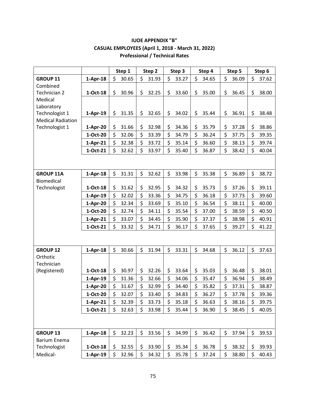|                          |            |     | Step 1 | Step 2      |     | Step 3 | Step 4      |     | Step 5 |     | Step 6 |
|--------------------------|------------|-----|--------|-------------|-----|--------|-------------|-----|--------|-----|--------|
| <b>GROUP 11</b>          | $1-Apr-18$ | \$  | 30.65  | \$<br>31.93 | \$  | 33.27  | \$<br>34.65 | \$  | 36.09  | \$  | 37.62  |
| Combined                 |            |     |        |             |     |        |             |     |        |     |        |
| Technician 2             | 1-Oct-18   | \$  | 30.96  | \$<br>32.25 | \$  | 33.60  | \$<br>35.00 | \$  | 36.45  | \$  | 38.00  |
| Medical                  |            |     |        |             |     |        |             |     |        |     |        |
| Laboratory               |            |     |        |             |     |        |             |     |        |     |        |
| Technologist 1           | $1-Apr-19$ | \$  | 31.35  | \$<br>32.65 | \$  | 34.02  | \$<br>35.44 | \$  | 36.91  | \$  | 38.48  |
| <b>Medical Radiation</b> |            |     |        |             |     |        |             |     |        |     |        |
| Technologist 1           | $1-Apr-20$ | \$  | 31.66  | \$<br>32.98 | \$  | 34.36  | \$<br>35.79 | \$  | 37.28  | \$  | 38.86  |
|                          | 1-Oct-20   | \$  | 32.06  | \$<br>33.39 | \$  | 34.79  | \$<br>36.24 | \$  | 37.75  | \$  | 39.35  |
|                          | $1-Apr-21$ | \$  | 32.38  | \$<br>33.72 | \$  | 35.14  | \$<br>36.60 | \$  | 38.13  | \$  | 39.74  |
|                          | 1-Oct-21   | \$  | 32.62  | \$<br>33.97 | \$  | 35.40  | \$<br>36.87 | \$  | 38.42  | \$  | 40.04  |
|                          |            |     |        |             |     |        |             |     |        |     |        |
| <b>GROUP 11A</b>         | $1-Apr-18$ | \$  | 31.31  | \$<br>32.62 | \$  | 33.98  | \$<br>35.38 | \$  | 36.89  | \$  | 38.72  |
| Biomedical               |            |     |        |             |     |        |             |     |        |     |        |
| Technologist             | 1-Oct-18   | \$  | 31.62  | \$<br>32.95 | \$  | 34.32  | \$<br>35.73 | \$  | 37.26  | \$  | 39.11  |
|                          | $1-Apr-19$ | \$  | 32.02  | \$<br>33.36 | \$  | 34.75  | \$<br>36.18 | \$  | 37.73  | \$  | 39.60  |
|                          | $1-Apr-20$ | \$  | 32.34  | \$<br>33.69 | \$  | 35.10  | \$<br>36.54 | \$  | 38.11  | \$  | 40.00  |
|                          | 1-Oct-20   | \$  | 32.74  | \$<br>34.11 | \$  | 35.54  | \$<br>37.00 | \$  | 38.59  | \$  | 40.50  |
|                          | $1-Apr-21$ | \$  | 33.07  | \$<br>34.45 | \$  | 35.90  | \$<br>37.37 | \$  | 38.98  | \$  | 40.91  |
|                          | 1-Oct-21   | \$  | 33.32  | \$<br>34.71 | \$  | 36.17  | \$<br>37.65 | \$  | 39.27  | \$  | 41.22  |
|                          |            |     |        |             |     |        |             |     |        |     |        |
| <b>GROUP 12</b>          | $1-Apr-18$ | \$  | 30.66  | \$<br>31.94 | \$  | 33.31  | \$<br>34.68 | \$  | 36.12  | \$  | 37.63  |
| Orthotic                 |            |     |        |             |     |        |             |     |        |     |        |
| Technician               |            |     |        |             |     |        |             |     |        |     |        |
| (Registered)             | 1-Oct-18   | \$  | 30.97  | \$<br>32.26 | \$  | 33.64  | \$<br>35.03 | \$  | 36.48  | \$  | 38.01  |
|                          | $1-Apr-19$ | \$  | 31.36  | \$<br>32.66 | \$  | 34.06  | \$<br>35.47 | \$  | 36.94  | \$  | 38.49  |
|                          | 1-Apr-20   | \$  | 31.67  | \$<br>32.99 | \$  | 34.40  | \$<br>35.82 | \$  | 37.31  | \$  | 38.87  |
|                          | 1-Oct-20   | \$  | 32.07  | \$<br>33.40 | \$  | 34.83  | \$<br>36.27 | \$  | 37.78  | \$  | 39.36  |
|                          | $1-Apr-21$ | \$  | 32.39  | \$<br>33.73 | \$  | 35.18  | \$<br>36.63 | \$  | 38.16  | \$  | 39.75  |
|                          | 1-Oct-21   | \$  | 32.63  | \$<br>33.98 | \$  | 35.44  | \$<br>36.90 | \$  | 38.45  | \$  | 40.05  |
|                          |            |     |        |             |     |        |             |     |        |     |        |
| <b>GROUP 13</b>          | $1-Apr-18$ | \$. | 32.23  | \$<br>33.56 | \$. | 34.99  | \$<br>36.42 | \$. | 37.94  | \$. | 39.53  |
| <b>Barium Enema</b>      |            |     |        |             |     |        |             |     |        |     |        |
| Technologist             | $1-Oct-18$ | \$  | 32.55  | \$<br>33.90 | \$  | 35.34  | \$<br>36.78 | \$  | 38.32  | \$  | 39.93  |
| Medical-                 | $1-Apr-19$ | \$  | 32.96  | \$<br>34.32 | \$  | 35.78  | \$<br>37.24 | \$  | 38.80  | \$  | 40.43  |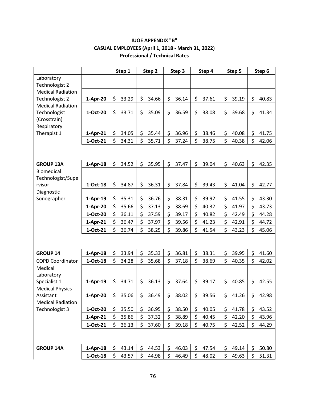|                          |            |     | Step 1 | Step 2      | Step 3      | Step 4      | Step 5      | Step 6      |
|--------------------------|------------|-----|--------|-------------|-------------|-------------|-------------|-------------|
| Laboratory               |            |     |        |             |             |             |             |             |
| Technologist 2           |            |     |        |             |             |             |             |             |
| <b>Medical Radiation</b> |            |     |        |             |             |             |             |             |
| Technologist 2           | 1-Apr-20   | \$  | 33.29  | \$<br>34.66 | \$<br>36.14 | \$<br>37.61 | \$<br>39.19 | \$<br>40.83 |
| <b>Medical Radiation</b> |            |     |        |             |             |             |             |             |
| Technologist             | 1-Oct-20   | \$  | 33.71  | \$<br>35.09 | \$<br>36.59 | \$<br>38.08 | \$<br>39.68 | \$<br>41.34 |
| (Crosstrain)             |            |     |        |             |             |             |             |             |
| Respiratory              |            |     |        |             |             |             |             |             |
| Therapist 1              | $1-Apr-21$ | \$  | 34.05  | \$<br>35.44 | \$<br>36.96 | \$<br>38.46 | \$<br>40.08 | \$<br>41.75 |
|                          | 1-Oct-21   | \$  | 34.31  | \$<br>35.71 | \$<br>37.24 | \$<br>38.75 | \$<br>40.38 | \$<br>42.06 |
|                          |            |     |        |             |             |             |             |             |
|                          |            |     |        |             |             |             |             |             |
| <b>GROUP 13A</b>         | $1-Apr-18$ | \$  | 34.52  | \$<br>35.95 | \$<br>37.47 | \$<br>39.04 | \$<br>40.63 | \$<br>42.35 |
| <b>Biomedical</b>        |            |     |        |             |             |             |             |             |
| Technologist/Supe        |            |     |        |             |             |             |             |             |
| rvisor                   | 1-Oct-18   | \$  | 34.87  | \$<br>36.31 | \$<br>37.84 | \$<br>39.43 | \$<br>41.04 | \$<br>42.77 |
| Diagnostic               |            |     |        |             |             |             |             |             |
| Sonographer              | $1-Apr-19$ | \$  | 35.31  | \$<br>36.76 | \$<br>38.31 | \$<br>39.92 | \$<br>41.55 | \$<br>43.30 |
|                          | $1-Apr-20$ | \$  | 35.66  | \$<br>37.13 | \$<br>38.69 | \$<br>40.32 | \$<br>41.97 | \$<br>43.73 |
|                          | 1-Oct-20   | \$  | 36.11  | \$<br>37.59 | \$<br>39.17 | \$<br>40.82 | \$<br>42.49 | \$<br>44.28 |
|                          | $1-Apr-21$ | \$  | 36.47  | \$<br>37.97 | \$<br>39.56 | \$<br>41.23 | \$<br>42.91 | \$<br>44.72 |
|                          | 1-Oct-21   | \$  | 36.74  | \$<br>38.25 | \$<br>39.86 | \$<br>41.54 | \$<br>43.23 | \$<br>45.06 |
|                          |            |     |        |             |             |             |             |             |
|                          |            |     |        |             |             |             |             |             |
| <b>GROUP 14</b>          | $1-Apr-18$ | \$  | 33.94  | \$<br>35.33 | \$<br>36.81 | \$<br>38.31 | \$<br>39.95 | \$<br>41.60 |
| <b>COPD Coordinator</b>  | 1-Oct-18   | \$  | 34.28  | \$<br>35.68 | \$<br>37.18 | \$<br>38.69 | \$<br>40.35 | \$<br>42.02 |
| Medical                  |            |     |        |             |             |             |             |             |
| Laboratory               |            |     |        |             |             |             |             |             |
| Specialist 1             | $1-Apr-19$ | \$  | 34.71  | \$<br>36.13 | \$<br>37.64 | \$<br>39.17 | \$<br>40.85 | \$<br>42.55 |
| <b>Medical Physics</b>   |            |     |        |             |             |             |             |             |
| Assistant                | 1-Apr-20   | \$  | 35.06  | \$<br>36.49 | \$<br>38.02 | \$<br>39.56 | \$<br>41.26 | \$<br>42.98 |
| <b>Medical Radiation</b> |            |     |        |             |             |             |             |             |
| Technologist 3           | 1-Oct-20   | \$  | 35.50  | \$<br>36.95 | \$<br>38.50 | \$<br>40.05 | \$<br>41.78 | \$<br>43.52 |
|                          | $1-Apr-21$ | \$  | 35.86  | \$<br>37.32 | \$<br>38.89 | \$<br>40.45 | \$<br>42.20 | \$<br>43.96 |
|                          | 1-Oct-21   | \$. | 36.13  | \$<br>37.60 | \$<br>39.18 | \$<br>40.75 | \$<br>42.52 | \$<br>44.29 |
|                          |            |     |        |             |             |             |             |             |
|                          |            |     |        |             |             |             |             |             |
| <b>GROUP 14A</b>         | $1-Apr-18$ | \$  | 43.14  | \$<br>44.53 | \$<br>46.03 | \$<br>47.54 | \$<br>49.14 | \$<br>50.80 |
|                          | 1-Oct-18   | \$  | 43.57  | \$<br>44.98 | \$<br>46.49 | \$<br>48.02 | \$<br>49.63 | \$<br>51.31 |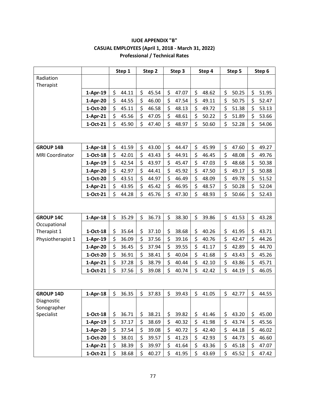|                           |            | Step 1      | Step 2      | Step 3      | Step 4      | Step 5      | Step 6      |
|---------------------------|------------|-------------|-------------|-------------|-------------|-------------|-------------|
| Radiation<br>Therapist    |            |             |             |             |             |             |             |
|                           | $1-Apr-19$ | \$<br>44.11 | \$<br>45.54 | \$<br>47.07 | \$<br>48.62 | \$<br>50.25 | \$<br>51.95 |
|                           | $1-Apr-20$ | \$<br>44.55 | \$<br>46.00 | \$<br>47.54 | \$<br>49.11 | \$<br>50.75 | \$<br>52.47 |
|                           | 1-Oct-20   | \$<br>45.11 | \$<br>46.58 | \$<br>48.13 | \$<br>49.72 | \$<br>51.38 | \$<br>53.13 |
|                           | $1-Apr-21$ | \$<br>45.56 | \$<br>47.05 | \$<br>48.61 | \$<br>50.22 | \$<br>51.89 | \$<br>53.66 |
|                           | 1-Oct-21   | \$<br>45.90 | \$<br>47.40 | \$<br>48.97 | \$<br>50.60 | \$<br>52.28 | \$<br>54.06 |
|                           |            |             |             |             |             |             |             |
| <b>GROUP 14B</b>          | $1-Apr-18$ | \$<br>41.59 | \$<br>43.00 | \$<br>44.47 | \$<br>45.99 | \$<br>47.60 | \$<br>49.27 |
| <b>MRI Coordinator</b>    | $1-Oct-18$ | \$<br>42.01 | \$<br>43.43 | \$<br>44.91 | \$<br>46.45 | \$<br>48.08 | \$<br>49.76 |
|                           | $1-Apr-19$ | \$<br>42.54 | \$<br>43.97 | \$<br>45.47 | \$<br>47.03 | \$<br>48.68 | \$<br>50.38 |
|                           | $1-Apr-20$ | \$<br>42.97 | \$<br>44.41 | \$<br>45.92 | \$<br>47.50 | \$<br>49.17 | \$<br>50.88 |
|                           | 1-Oct-20   | \$<br>43.51 | \$<br>44.97 | \$<br>46.49 | \$<br>48.09 | \$<br>49.78 | \$<br>51.52 |
|                           | $1-Apr-21$ | \$<br>43.95 | \$<br>45.42 | \$<br>46.95 | \$<br>48.57 | \$<br>50.28 | \$<br>52.04 |
|                           | 1-Oct-21   | \$<br>44.28 | \$<br>45.76 | \$<br>47.30 | \$<br>48.93 | \$<br>50.66 | \$<br>52.43 |
|                           |            |             |             |             |             |             |             |
| <b>GROUP 14C</b>          | $1-Apr-18$ | \$<br>35.29 | \$<br>36.73 | \$<br>38.30 | \$<br>39.86 | \$<br>41.53 | \$<br>43.28 |
| Occupational              |            |             |             |             |             |             |             |
| Therapist 1               | 1-Oct-18   | \$<br>35.64 | \$<br>37.10 | \$<br>38.68 | \$<br>40.26 | \$<br>41.95 | \$<br>43.71 |
| Physiotherapist 1         | $1-Apr-19$ | \$<br>36.09 | \$<br>37.56 | \$<br>39.16 | \$<br>40.76 | \$<br>42.47 | \$<br>44.26 |
|                           | $1-Apr-20$ | \$<br>36.45 | \$<br>37.94 | \$<br>39.55 | \$<br>41.17 | \$<br>42.89 | \$<br>44.70 |
|                           | 1-Oct-20   | \$<br>36.91 | \$<br>38.41 | \$<br>40.04 | \$<br>41.68 | \$<br>43.43 | \$<br>45.26 |
|                           | $1-Apr-21$ | \$<br>37.28 | \$<br>38.79 | \$<br>40.44 | \$<br>42.10 | \$<br>43.86 | \$<br>45.71 |
|                           | 1-Oct-21   | \$<br>37.56 | \$<br>39.08 | \$<br>40.74 | \$<br>42.42 | \$<br>44.19 | \$<br>46.05 |
|                           |            |             |             |             |             |             |             |
| <b>GROUP 14D</b>          | $1-Apr-18$ | \$<br>36.35 | \$<br>37.83 | \$<br>39.43 | \$<br>41.05 | \$<br>42.77 | \$<br>44.55 |
| Diagnostic<br>Sonographer |            |             |             |             |             |             |             |
| Specialist                | $1-Oct-18$ | \$<br>36.71 | \$<br>38.21 | 39.82<br>\$ | \$<br>41.46 | \$<br>43.20 | \$<br>45.00 |
|                           | $1-Apr-19$ | \$<br>37.17 | \$<br>38.69 | \$<br>40.32 | \$<br>41.98 | \$<br>43.74 | \$<br>45.56 |
|                           | $1-Apr-20$ | \$<br>37.54 | \$<br>39.08 | \$<br>40.72 | \$<br>42.40 | \$<br>44.18 | \$<br>46.02 |
|                           | 1-Oct-20   | \$<br>38.01 | \$<br>39.57 | \$<br>41.23 | \$<br>42.93 | \$<br>44.73 | \$<br>46.60 |
|                           | $1-Apr-21$ | \$<br>38.39 | \$<br>39.97 | \$<br>41.64 | \$<br>43.36 | \$<br>45.18 | \$<br>47.07 |
|                           | $1-Oct-21$ | \$<br>38.68 | \$<br>40.27 | \$<br>41.95 | \$<br>43.69 | \$<br>45.52 | \$<br>47.42 |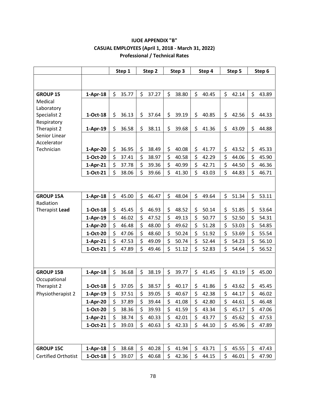|                            |            | Step 1      | Step 2      | Step 3      | Step 4      | Step 5      | Step 6      |
|----------------------------|------------|-------------|-------------|-------------|-------------|-------------|-------------|
|                            |            |             |             |             |             |             |             |
| <b>GROUP 15</b>            | $1-Apr-18$ | \$<br>35.77 | \$<br>37.27 | \$<br>38.80 | \$<br>40.45 | \$<br>42.14 | \$<br>43.89 |
| Medical                    |            |             |             |             |             |             |             |
| Laboratory                 |            |             |             |             |             |             |             |
| Specialist 2               | 1-Oct-18   | \$<br>36.13 | \$<br>37.64 | \$<br>39.19 | \$<br>40.85 | \$<br>42.56 | \$<br>44.33 |
| Respiratory<br>Therapist 2 | 1-Apr-19   | \$<br>36.58 | \$<br>38.11 | \$<br>39.68 | \$<br>41.36 | \$<br>43.09 | \$<br>44.88 |
| Senior Linear              |            |             |             |             |             |             |             |
| Accelerator                |            |             |             |             |             |             |             |
| Technician                 | 1-Apr-20   | 36.95<br>\$ | \$<br>38.49 | \$<br>40.08 | \$<br>41.77 | \$<br>43.52 | \$<br>45.33 |
|                            | 1-Oct-20   | \$<br>37.41 | \$<br>38.97 | \$<br>40.58 | \$<br>42.29 | \$<br>44.06 | \$<br>45.90 |
|                            | $1-Apr-21$ | \$<br>37.78 | \$<br>39.36 | \$<br>40.99 | \$<br>42.71 | \$<br>44.50 | \$<br>46.36 |
|                            | 1-Oct-21   | \$<br>38.06 | \$<br>39.66 | \$<br>41.30 | \$<br>43.03 | \$<br>44.83 | \$<br>46.71 |
|                            |            |             |             |             |             |             |             |
|                            |            |             |             |             |             |             |             |
| <b>GROUP 15A</b>           | $1-Apr-18$ | \$<br>45.00 | \$<br>46.47 | \$<br>48.04 | \$<br>49.64 | \$<br>51.34 | \$<br>53.11 |
| Radiation                  |            |             |             |             |             |             |             |
| Therapist Lead             | 1-Oct-18   | \$<br>45.45 | \$<br>46.93 | \$<br>48.52 | \$<br>50.14 | \$<br>51.85 | \$<br>53.64 |
|                            | $1-Apr-19$ | \$<br>46.02 | \$<br>47.52 | \$<br>49.13 | \$<br>50.77 | \$<br>52.50 | \$<br>54.31 |
|                            | 1-Apr-20   | \$<br>46.48 | \$<br>48.00 | \$<br>49.62 | \$<br>51.28 | \$<br>53.03 | \$<br>54.85 |
|                            | 1-Oct-20   | \$<br>47.06 | \$<br>48.60 | \$<br>50.24 | \$<br>51.92 | \$<br>53.69 | \$<br>55.54 |
|                            | $1-Apr-21$ | \$<br>47.53 | \$<br>49.09 | \$<br>50.74 | \$<br>52.44 | \$<br>54.23 | \$<br>56.10 |
|                            | 1-Oct-21   | \$<br>47.89 | \$<br>49.46 | \$<br>51.12 | \$<br>52.83 | \$<br>54.64 | \$<br>56.52 |
|                            |            |             |             |             |             |             |             |
| <b>GROUP 15B</b>           | $1-Apr-18$ | \$<br>36.68 | \$<br>38.19 | \$<br>39.77 | \$<br>41.45 | \$<br>43.19 | \$<br>45.00 |
| Occupational               |            |             |             |             |             |             |             |
| Therapist 2                | 1-Oct-18   | \$<br>37.05 | \$<br>38.57 | \$<br>40.17 | \$<br>41.86 | \$<br>43.62 | \$<br>45.45 |
| Physiotherapist 2          | 1-Apr-19   | 37.51<br>Ş  | \$<br>39.05 | \$<br>40.67 | 42.38<br>⇒  | \$<br>44.17 | 46.02<br>Ş  |
|                            | $1-Apr-20$ | \$<br>37.89 | \$<br>39.44 | \$<br>41.08 | \$<br>42.80 | \$<br>44.61 | \$<br>46.48 |
|                            | 1-Oct-20   | \$<br>38.36 | \$<br>39.93 | \$<br>41.59 | \$<br>43.34 | \$<br>45.17 | \$<br>47.06 |
|                            | $1-Apr-21$ | \$<br>38.74 | \$<br>40.33 | \$<br>42.01 | \$<br>43.77 | \$<br>45.62 | \$<br>47.53 |
|                            | 1-Oct-21   | \$<br>39.03 | \$<br>40.63 | \$<br>42.33 | \$<br>44.10 | \$<br>45.96 | \$<br>47.89 |
|                            |            |             |             |             |             |             |             |
| <b>GROUP 15C</b>           | $1-Apr-18$ | \$<br>38.68 | \$<br>40.28 | \$<br>41.94 | \$<br>43.71 | \$<br>45.55 | \$<br>47.43 |
| Certified Orthotist        | $1-Oct-18$ | \$<br>39.07 | \$<br>40.68 | \$<br>42.36 | \$<br>44.15 | \$<br>46.01 | \$<br>47.90 |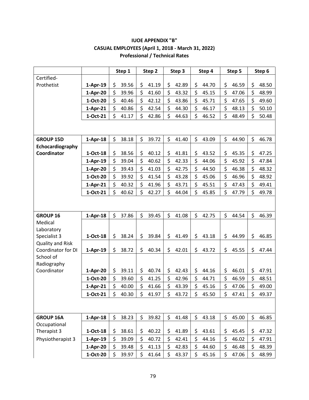|                            |            | Step 1      | Step 2      | Step 3      | Step 4      | Step 5      | Step 6      |
|----------------------------|------------|-------------|-------------|-------------|-------------|-------------|-------------|
| Certified-                 |            |             |             |             |             |             |             |
| Prothetist                 | $1-Apr-19$ | \$<br>39.56 | \$<br>41.19 | \$<br>42.89 | \$<br>44.70 | \$<br>46.59 | \$<br>48.50 |
|                            | 1-Apr-20   | \$<br>39.96 | \$<br>41.60 | \$<br>43.32 | \$<br>45.15 | \$<br>47.06 | \$<br>48.99 |
|                            | 1-Oct-20   | \$<br>40.46 | \$<br>42.12 | \$<br>43.86 | \$<br>45.71 | \$<br>47.65 | \$<br>49.60 |
|                            | $1-Apr-21$ | \$<br>40.86 | \$<br>42.54 | \$<br>44.30 | \$<br>46.17 | \$<br>48.13 | \$<br>50.10 |
|                            | 1-Oct-21   | \$<br>41.17 | \$<br>42.86 | \$<br>44.63 | \$<br>46.52 | \$<br>48.49 | \$<br>50.48 |
|                            |            |             |             |             |             |             |             |
| <b>GROUP 15D</b>           | $1-Apr-18$ | \$<br>38.18 | \$<br>39.72 | \$<br>41.40 | \$<br>43.09 | \$<br>44.90 | \$<br>46.78 |
| Echocardiography           |            |             |             |             |             |             |             |
| Coordinator                | 1-Oct-18   | \$<br>38.56 | \$<br>40.12 | \$<br>41.81 | \$<br>43.52 | \$<br>45.35 | \$<br>47.25 |
|                            | $1-Apr-19$ | \$<br>39.04 | \$<br>40.62 | \$<br>42.33 | \$<br>44.06 | \$<br>45.92 | \$<br>47.84 |
|                            | $1-Apr-20$ | \$<br>39.43 | \$<br>41.03 | \$<br>42.75 | \$<br>44.50 | \$<br>46.38 | \$<br>48.32 |
|                            | 1-Oct-20   | \$<br>39.92 | \$<br>41.54 | \$<br>43.28 | \$<br>45.06 | \$<br>46.96 | \$<br>48.92 |
|                            | $1-Apr-21$ | \$<br>40.32 | \$<br>41.96 | \$<br>43.71 | \$<br>45.51 | \$<br>47.43 | \$<br>49.41 |
|                            | 1-Oct-21   | \$<br>40.62 | \$<br>42.27 | \$<br>44.04 | \$<br>45.85 | \$<br>47.79 | \$<br>49.78 |
|                            |            |             |             |             |             |             |             |
| <b>GROUP 16</b>            | $1-Apr-18$ | \$<br>37.86 | \$<br>39.45 | \$<br>41.08 | \$<br>42.75 | \$<br>44.54 | \$<br>46.39 |
| Medical                    |            |             |             |             |             |             |             |
| Laboratory<br>Specialist 3 | 1-Oct-18   | \$<br>38.24 | \$<br>39.84 | \$<br>41.49 | \$<br>43.18 | \$<br>44.99 | \$<br>46.85 |
| <b>Quality and Risk</b>    |            |             |             |             |             |             |             |
| Coordinator for DI         | $1-Apr-19$ | \$<br>38.72 | \$<br>40.34 | \$<br>42.01 | \$<br>43.72 | \$<br>45.55 | \$<br>47.44 |
| School of                  |            |             |             |             |             |             |             |
| Radiography                |            |             |             |             |             |             |             |
| Coordinator                | 1-Apr-20   | \$<br>39.11 | \$<br>40.74 | \$<br>42.43 | \$<br>44.16 | \$<br>46.01 | \$<br>47.91 |
|                            | 1-Oct-20   | \$<br>39.60 | \$<br>41.25 | \$<br>42.96 | \$<br>44.71 | \$<br>46.59 | \$<br>48.51 |
|                            | $1-Apr-21$ | \$<br>40.00 | \$<br>41.66 | \$<br>43.39 | \$<br>45.16 | \$<br>47.06 | \$<br>49.00 |
|                            | 1-Oct-21   | \$<br>40.30 | \$<br>41.97 | \$<br>43.72 | \$<br>45.50 | \$<br>47.41 | \$<br>49.37 |
|                            |            |             |             |             |             |             |             |
| <b>GROUP 16A</b>           | $1-Apr-18$ | \$<br>38.23 | \$<br>39.82 | \$<br>41.48 | \$<br>43.18 | \$<br>45.00 | \$<br>46.85 |
| Occupational               |            |             |             |             |             |             |             |
| Therapist 3                | $1-Oct-18$ | \$<br>38.61 | \$<br>40.22 | \$<br>41.89 | \$<br>43.61 | \$<br>45.45 | \$<br>47.32 |
| Physiotherapist 3          | $1-Apr-19$ | \$<br>39.09 | \$<br>40.72 | \$<br>42.41 | \$<br>44.16 | \$<br>46.02 | \$<br>47.91 |
|                            | $1-Apr-20$ | \$<br>39.48 | \$<br>41.13 | \$<br>42.83 | \$<br>44.60 | \$<br>46.48 | \$<br>48.39 |
|                            | 1-Oct-20   | \$<br>39.97 | \$<br>41.64 | \$<br>43.37 | \$<br>45.16 | \$<br>47.06 | \$<br>48.99 |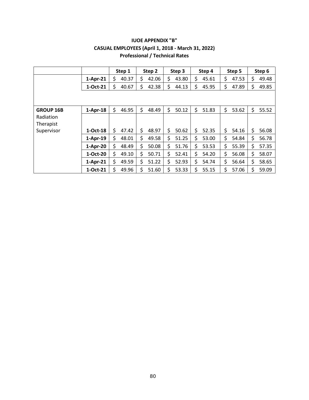|                        |            | Step 1      | Step 2      | Step 3      | Step 4      | Step 5      | Step 6      |
|------------------------|------------|-------------|-------------|-------------|-------------|-------------|-------------|
|                        | $1-Apr-21$ | \$<br>40.37 | \$<br>42.06 | Ś<br>43.80  | \$<br>45.61 | \$<br>47.53 | \$<br>49.48 |
|                        | 1-Oct-21   | \$<br>40.67 | 42.38<br>\$ | \$<br>44.13 | \$<br>45.95 | \$<br>47.89 | \$<br>49.85 |
|                        |            |             |             |             |             |             |             |
| <b>GROUP 16B</b>       | $1-Apr-18$ | \$<br>46.95 | \$<br>48.49 | \$<br>50.12 | \$<br>51.83 | \$<br>53.62 | \$<br>55.52 |
| Radiation<br>Therapist |            |             |             |             |             |             |             |
| Supervisor             | 1-Oct-18   | \$<br>47.42 | \$<br>48.97 | \$<br>50.62 | \$<br>52.35 | \$<br>54.16 | \$<br>56.08 |
|                        | $1-Apr-19$ | \$<br>48.01 | \$<br>49.58 | \$<br>51.25 | \$<br>53.00 | \$<br>54.84 | \$<br>56.78 |
|                        | $1-Apr-20$ | \$<br>48.49 | \$<br>50.08 | \$<br>51.76 | \$<br>53.53 | \$<br>55.39 | \$<br>57.35 |
|                        | 1-Oct-20   | \$<br>49.10 | \$<br>50.71 | \$<br>52.41 | \$<br>54.20 | \$<br>56.08 | \$<br>58.07 |
|                        | $1-Apr-21$ | \$<br>49.59 | \$<br>51.22 | \$<br>52.93 | \$<br>54.74 | \$<br>56.64 | \$<br>58.65 |
|                        | 1-Oct-21   | Ś<br>49.96  | 51.60<br>Ś  | 53.33<br>Ś  | \$<br>55.15 | Ś<br>57.06  | 59.09       |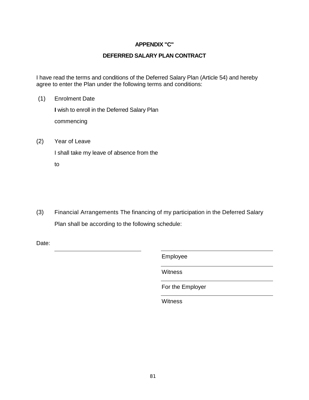### **APPENDIX "C"**

#### **DEFERRED SALARY PLAN CONTRACT**

I have read the terms and conditions of the Deferred Salary Plan (Article 54) and hereby agree to enter the Plan under the following terms and conditions:

- (1) Enrolment Date **I** wish to enroll in the Deferred Salary Plan commencing
- (2) Year of Leave

I shall take my leave of absence from the

to

(3) Financial Arrangements The financing of my participation in the Deferred Salary Plan shall be according to the following schedule:

Date:

Employee

**Witness** 

For the Employer

**Witness**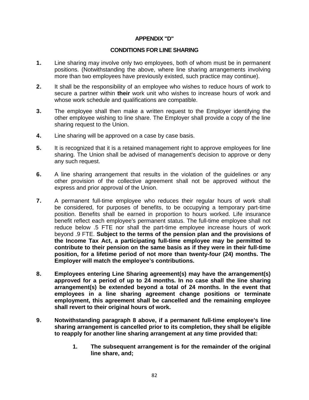#### **APPENDIX "D"**

#### **CONDITIONS FOR LINE SHARING**

- **1.** Line sharing may involve only two employees, both of whom must be in permanent positions. (Notwithstanding the above, where line sharing arrangements involving more than two employees have previously existed, such practice may continue).
- **2.** It shall be the responsibility of an employee who wishes to reduce hours of work to secure a partner within **their** work unit who wishes to increase hours of work and whose work schedule and qualifications are compatible.
- **3.** The employee shall then make a written request to the Employer identifying the other employee wishing to line share. The Employer shall provide a copy of the line sharing request to the Union.
- **4.** Line sharing will be approved on a case by case basis.
- **5.** It is recognized that it is a retained management right to approve employees for line sharing. The Union shall be advised of management's decision to approve or deny any such request.
- **6.** A line sharing arrangement that results in the violation of the guidelines or any other provision of the collective agreement shall not be approved without the express and prior approval of the Union.
- **7.** A permanent full-time employee who reduces their regular hours of work shall be considered, for purposes of benefits, to be occupying a temporary part-time position. Benefits shall be earned in proportion to hours worked. Life insurance benefit reflect each employee's permanent status. The full-time employee shall not reduce below .5 FTE nor shall the part-time employee increase hours of work beyond .9 FTE. **Subject to the terms of the pension plan and the provisions of the Income Tax Act, a participating full-time employee may be permitted to contribute to their pension on the same basis as if they were in their full-time position, for a lifetime period of not more than twenty-four (24) months. The Employer will match the employee's contributions.**
- **8. Employees entering Line Sharing agreement(s) may have the arrangement(s) approved for a period of up to 24 months. In no case shall the line sharing arrangement(s) be extended beyond a total of 24 months. In the event that employees in a line sharing agreement change positions or terminate employment, this agreement shall be cancelled and the remaining employee shall revert to their original hours of work.**
- **9. Notwithstanding paragraph 8 above, if a permanent full-time employee's line sharing arrangement is cancelled prior to its completion, they shall be eligible to reapply for another line sharing arrangement at any time provided that:** 
	- **1. The subsequent arrangement is for the remainder of the original line share, and;**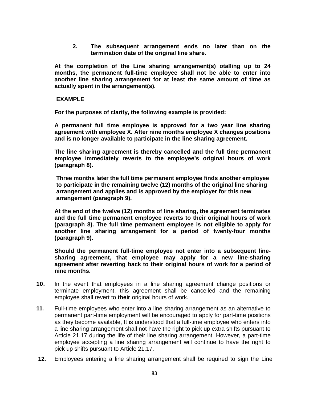**2. The subsequent arrangement ends no later than on the termination date of the original line share.** 

**At the completion of the Line sharing arrangement(s) otalling up to 24 months, the permanent full-time employee shall not be able to enter into another line sharing arrangement for at least the same amount of time as actually spent in the arrangement(s).** 

#### **EXAMPLE**

**For the purposes of clarity, the following example is provided:** 

**A permanent full time employee is approved for a two year line sharing agreement with employee X. After nine months employee X changes positions and is no longer available to participate in the line sharing agreement.** 

**The line sharing agreement is thereby cancelled and the full time permanent employee immediately reverts to the employee's original hours of work (paragraph 8).**

**Three months later the full time permanent employee finds another employee to participate in the remaining twelve (12) months of the original line sharing arrangement and applies and is approved by the employer for this new arrangement (paragraph 9).**

**At the end of the twelve (12) months of line sharing, the agreement terminates and the full time permanent employee reverts to their original hours of work (paragraph 8). The full time permanent employee is not eligible to apply for another line sharing arrangement for a period of twenty-four months (paragraph 9).** 

**Should the permanent full-time employee not enter into a subsequent linesharing agreement, that employee may apply for a new line-sharing agreement after reverting back to their original hours of work for a period of nine months.** 

- **10.** In the event that employees in a line sharing agreement change positions or terminate employment, this agreement shall be cancelled and the remaining employee shall revert to **their** original hours of work.
- **11.** Full-time employees who enter into a line sharing arrangement as an alternative to permanent part-time employment will be encouraged to apply for part-time positions as they become available, It is understood that a full-time employee who enters into a line sharing arrangement shall not have the right to pick up extra shifts pursuant to Article 21.17 during the life of their line sharing arrangement. However, a part-time employee accepting a line sharing arrangement will continue to have the right to pick up shifts pursuant to Article 21.17.
- **12.** Employees entering a line sharing arrangement shall be required to sign the Line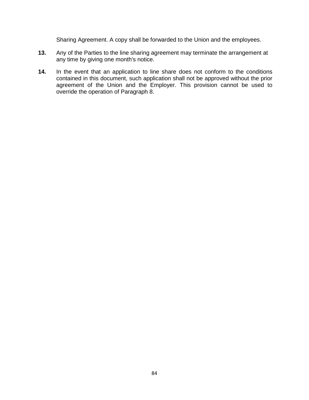Sharing Agreement. A copy shall be forwarded to the Union and the employees.

- **13.** Any of the Parties to the line sharing agreement may terminate the arrangement at any time by giving one month's notice.
- **14.** In the event that an application to line share does not conform to the conditions contained in this document, such application shall not be approved without the prior agreement of the Union and the Employer. This provision cannot be used to override the operation of Paragraph 8.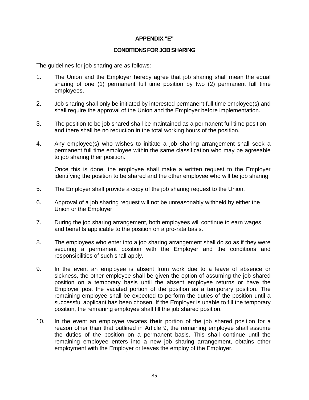#### **APPENDIX "E"**

#### **CONDITIONS FOR JOB SHARING**

The guidelines for job sharing are as follows:

- 1. The Union and the Employer hereby agree that job sharing shall mean the equal sharing of one (1) permanent full time position by two (2) permanent full time employees.
- 2. Job sharing shall only be initiated by interested permanent full time employee(s) and shall require the approval of the Union and the Employer before implementation.
- 3. The position to be job shared shall be maintained as a permanent full time position and there shall be no reduction in the total working hours of the position.
- 4. Any employee(s) who wishes to initiate a job sharing arrangement shall seek a permanent full time employee within the same classification who may be agreeable to job sharing their position.

Once this is done, the employee shall make a written request to the Employer identifying the position to be shared and the other employee who will be job sharing.

- 5. The Employer shall provide a copy of the job sharing request to the Union.
- 6. Approval of a job sharing request will not be unreasonably withheld by either the Union or the Employer.
- 7. During the job sharing arrangement, both employees will continue to earn wages and benefits applicable to the position on a pro-rata basis.
- 8. The employees who enter into a job sharing arrangement shall do so as if they were securing a permanent position with the Employer and the conditions and responsibilities of such shall apply.
- 9. In the event an employee is absent from work due to a leave of absence or sickness, the other employee shall be given the option of assuming the job shared position on a temporary basis until the absent employee returns or have the Employer post the vacated portion of the position as a temporary position. The remaining employee shall be expected to perform the duties of the position until a successful applicant has been chosen. If the Employer is unable to fill the temporary position, the remaining employee shall fill the job shared position.
- 10. In the event an employee vacates **their** portion of the job shared position for a reason other than that outlined in Article 9, the remaining employee shall assume the duties of the position on a permanent basis. This shall continue until the remaining employee enters into a new job sharing arrangement, obtains other employment with the Employer or leaves the employ of the Employer.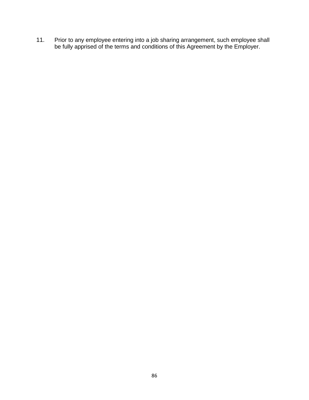11. Prior to any employee entering into a job sharing arrangement, such employee shall be fully apprised of the terms and conditions of this Agreement by the Employer.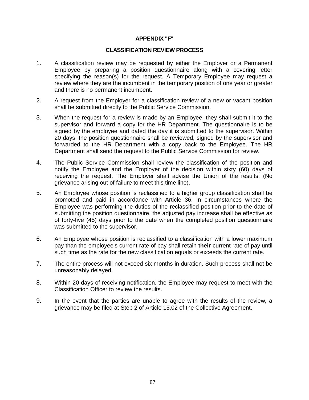#### **APPENDIX "F"**

#### **CLASSIFICATION REVIEW PROCESS**

- 1. A classification review may be requested by either the Employer or a Permanent Employee by preparing a position questionnaire along with a covering letter specifying the reason(s) for the request. A Temporary Employee may request a review where they are the incumbent in the temporary position of one year or greater and there is no permanent incumbent.
- 2. A request from the Employer for a classification review of a new or vacant position shall be submitted directly to the Public Service Commission.
- 3. When the request for a review is made by an Employee, they shall submit it to the supervisor and forward a copy for the HR Department. The questionnaire is to be signed by the employee and dated the day it is submitted to the supervisor. Within 20 days, the position questionnaire shall be reviewed, signed by the supervisor and forwarded to the HR Department with a copy back to the Employee. The HR Department shall send the request to the Public Service Commission for review.
- 4. The Public Service Commission shall review the classification of the position and notify the Employee and the Employer of the decision within sixty (60) days of receiving the request. The Employer shall advise the Union of the results. (No grievance arising out of failure to meet this time line).
- 5. An Employee whose position is reclassified to a higher group classification shall be promoted and paid in accordance with Article 36. In circumstances where the Employee was performing the duties of the reclassified position prior to the date of submitting the position questionnaire, the adjusted pay increase shall be effective as of forty-five (45) days prior to the date when the completed position questionnaire was submitted to the supervisor.
- 6. An Employee whose position is reclassified to a classification with a lower maximum pay than the employee's current rate of pay shall retain **their** current rate of pay until such time as the rate for the new classification equals or exceeds the current rate.
- 7. The entire process will not exceed six months in duration. Such process shall not be unreasonably delayed.
- 8. Within 20 days of receiving notification, the Employee may request to meet with the Classification Officer to review the results.
- 9. In the event that the parties are unable to agree with the results of the review, a grievance may be filed at Step 2 of Article 15.02 of the Collective Agreement.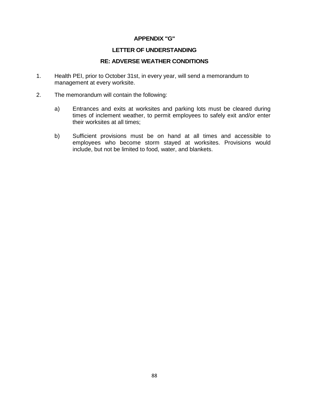#### **APPENDIX "G"**

#### **LETTER OF UNDERSTANDING**

#### **RE: ADVERSE WEATHER CONDITIONS**

- 1. Health PEI, prior to October 31st, in every year, will send a memorandum to management at every worksite.
- 2. The memorandum will contain the following:
	- a) Entrances and exits at worksites and parking lots must be cleared during times of inclement weather, to permit employees to safely exit and/or enter their worksites at all times;
	- b) Sufficient provisions must be on hand at all times and accessible to employees who become storm stayed at worksites. Provisions would include, but not be limited to food, water, and blankets.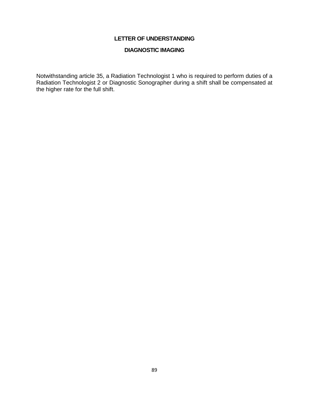#### **DIAGNOSTIC IMAGING**

Notwithstanding article 35, a Radiation Technologist 1 who is required to perform duties of a Radiation Technologist 2 or Diagnostic Sonographer during a shift shall be compensated at the higher rate for the full shift.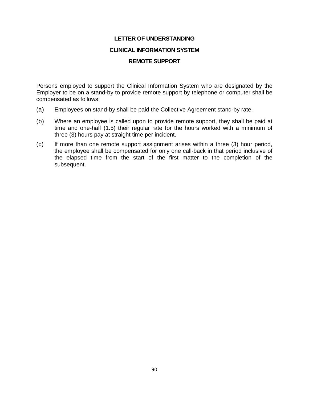#### **CLINICAL INFORMATION SYSTEM**

#### **REMOTE SUPPORT**

Persons employed to support the Clinical Information System who are designated by the Employer to be on a stand-by to provide remote support by telephone or computer shall be compensated as follows:

- (a) Employees on stand-by shall be paid the Collective Agreement stand-by rate.
- (b) Where an employee is called upon to provide remote support, they shall be paid at time and one-half (1.5) their regular rate for the hours worked with a minimum of three (3) hours pay at straight time per incident.
- (c) If more than one remote support assignment arises within a three (3) hour period, the employee shall be compensated for only one call-back in that period inclusive of the elapsed time from the start of the first matter to the completion of the subsequent.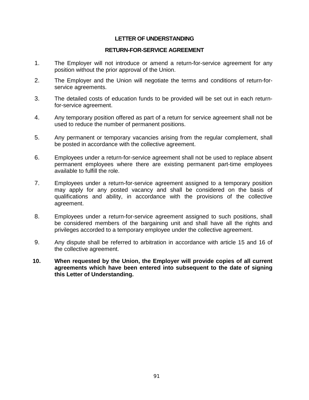#### **RETURN-FOR-SERVICE AGREEMENT**

- 1. The Employer will not introduce or amend a return-for-service agreement for any position without the prior approval of the Union.
- 2. The Employer and the Union will negotiate the terms and conditions of return-forservice agreements.
- 3. The detailed costs of education funds to be provided will be set out in each returnfor-service agreement.
- 4. Any temporary position offered as part of a return for service agreement shall not be used to reduce the number of permanent positions.
- 5. Any permanent or temporary vacancies arising from the regular complement, shall be posted in accordance with the collective agreement.
- 6. Employees under a return-for-service agreement shall not be used to replace absent permanent employees where there are existing permanent part-time employees available to fulfill the role.
- 7. Employees under a return-for-service agreement assigned to a temporary position may apply for any posted vacancy and shall be considered on the basis of qualifications and ability, in accordance with the provisions of the collective agreement.
- 8. Employees under a return-for-service agreement assigned to such positions, shall be considered members of the bargaining unit and shall have all the rights and privileges accorded to a temporary employee under the collective agreement.
- 9. Any dispute shall be referred to arbitration in accordance with article 15 and 16 of the collective agreement.
- **10. When requested by the Union, the Employer will provide copies of all current agreements which have been entered into subsequent to the date of signing this Letter of Understanding.**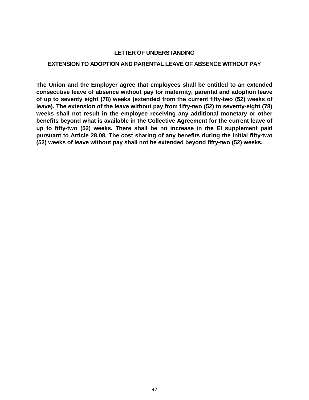#### **EXTENSION TO ADOPTION AND PARENTAL LEAVE OF ABSENCE WITHOUT PAY**

**The Union and the Employer agree that employees shall be entitled to an extended consecutive leave of absence without pay for maternity, parental and adoption leave of up to seventy eight (78) weeks (extended from the current fifty-two (52) weeks of leave). The extension of the leave without pay from fifty-two (52) to seventy-eight (78) weeks shall not result in the employee receiving any additional monetary or other benefits beyond what is available in the Collective Agreement for the current leave of up to fifty-two (52) weeks. There shall be no increase in the EI supplement paid pursuant to Article 28.08. The cost sharing of any benefits during the initial fifty-two (52) weeks of leave without pay shall not be extended beyond fifty-two (52) weeks.**